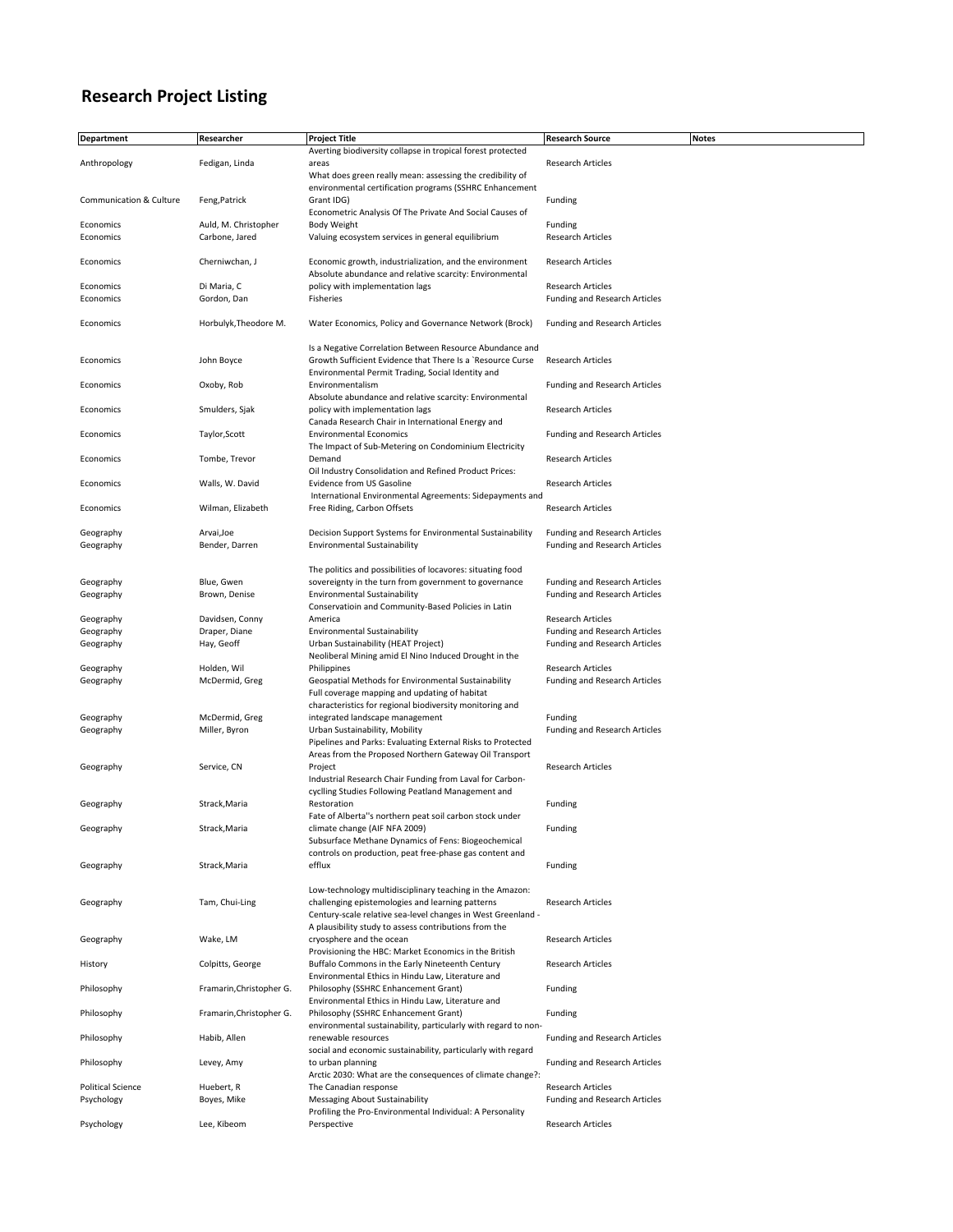## **Research Project Listing**

| <b>Department</b>        | Researcher               | <b>Project Title</b>                                           | <b>Research Source</b>               | <b>Notes</b> |
|--------------------------|--------------------------|----------------------------------------------------------------|--------------------------------------|--------------|
|                          |                          | Averting biodiversity collapse in tropical forest protected    |                                      |              |
| Anthropology             | Fedigan, Linda           | areas                                                          | <b>Research Articles</b>             |              |
|                          |                          | What does green really mean: assessing the credibility of      |                                      |              |
|                          |                          | environmental certification programs (SSHRC Enhancement        |                                      |              |
| Communication & Culture  | Feng, Patrick            | Grant IDG)                                                     | Funding                              |              |
|                          |                          | Econometric Analysis Of The Private And Social Causes of       |                                      |              |
| Economics                | Auld, M. Christopher     | Body Weight                                                    | Funding                              |              |
|                          |                          |                                                                |                                      |              |
| Economics                | Carbone, Jared           | Valuing ecosystem services in general equilibrium              | <b>Research Articles</b>             |              |
|                          |                          |                                                                |                                      |              |
| Economics                | Cherniwchan, J           | Economic growth, industrialization, and the environment        | <b>Research Articles</b>             |              |
|                          |                          | Absolute abundance and relative scarcity: Environmental        |                                      |              |
| Economics                | Di Maria, C              | policy with implementation lags                                | <b>Research Articles</b>             |              |
| Economics                | Gordon, Dan              | Fisheries                                                      | Funding and Research Articles        |              |
|                          |                          |                                                                |                                      |              |
| Economics                | Horbulyk, Theodore M.    | Water Economics, Policy and Governance Network (Brock)         | Funding and Research Articles        |              |
|                          |                          |                                                                |                                      |              |
|                          |                          | Is a Negative Correlation Between Resource Abundance and       |                                      |              |
| Economics                | John Boyce               | Growth Sufficient Evidence that There Is a `Resource Curse     | <b>Research Articles</b>             |              |
|                          |                          | Environmental Permit Trading, Social Identity and              |                                      |              |
| Economics                | Oxoby, Rob               | Environmentalism                                               | <b>Funding and Research Articles</b> |              |
|                          |                          | Absolute abundance and relative scarcity: Environmental        |                                      |              |
| Economics                | Smulders, Sjak           | policy with implementation lags                                | <b>Research Articles</b>             |              |
|                          |                          | Canada Research Chair in International Energy and              |                                      |              |
| Economics                | Taylor, Scott            | <b>Environmental Economics</b>                                 | <b>Funding and Research Articles</b> |              |
|                          |                          | The Impact of Sub-Metering on Condominium Electricity          |                                      |              |
|                          |                          |                                                                |                                      |              |
| Economics                | Tombe, Trevor            | Demand                                                         | <b>Research Articles</b>             |              |
|                          |                          | Oil Industry Consolidation and Refined Product Prices:         |                                      |              |
| Economics                | Walls, W. David          | Evidence from US Gasoline                                      | <b>Research Articles</b>             |              |
|                          |                          | International Environmental Agreements: Sidepayments and       |                                      |              |
| Economics                | Wilman, Elizabeth        | Free Riding, Carbon Offsets                                    | Research Articles                    |              |
|                          |                          |                                                                |                                      |              |
| Geography                | Arvai, Joe               | Decision Support Systems for Environmental Sustainability      | Funding and Research Articles        |              |
| Geography                | Bender, Darren           | <b>Environmental Sustainability</b>                            | Funding and Research Articles        |              |
|                          |                          |                                                                |                                      |              |
|                          |                          | The politics and possibilities of locavores: situating food    |                                      |              |
| Geography                | Blue, Gwen               | sovereignty in the turn from government to governance          | Funding and Research Articles        |              |
| Geography                | Brown, Denise            | <b>Environmental Sustainability</b>                            | Funding and Research Articles        |              |
|                          |                          | Conservatioin and Community-Based Policies in Latin            |                                      |              |
| Geography                | Davidsen, Conny          | America                                                        | <b>Research Articles</b>             |              |
| Geography                | Draper, Diane            | <b>Environmental Sustainability</b>                            | Funding and Research Articles        |              |
| Geography                | Hay, Geoff               | Urban Sustainability (HEAT Project)                            | <b>Funding and Research Articles</b> |              |
|                          |                          | Neoliberal Mining amid El Nino Induced Drought in the          |                                      |              |
| Geography                | Holden, Wil              | Philippines                                                    | Research Articles                    |              |
| Geography                | McDermid, Greg           | Geospatial Methods for Environmental Sustainability            | <b>Funding and Research Articles</b> |              |
|                          |                          | Full coverage mapping and updating of habitat                  |                                      |              |
|                          |                          | characteristics for regional biodiversity monitoring and       |                                      |              |
| Geography                | McDermid, Greg           | integrated landscape management                                | Funding                              |              |
| Geography                | Miller, Byron            | Urban Sustainability, Mobility                                 | Funding and Research Articles        |              |
|                          |                          | Pipelines and Parks: Evaluating External Risks to Protected    |                                      |              |
|                          |                          | Areas from the Proposed Northern Gateway Oil Transport         |                                      |              |
| Geography                | Service, CN              | Project                                                        | Research Articles                    |              |
|                          |                          | Industrial Research Chair Funding from Laval for Carbon-       |                                      |              |
|                          |                          | cyclling Studies Following Peatland Management and             |                                      |              |
| Geography                | Strack, Maria            | Restoration                                                    | Funding                              |              |
|                          |                          | Fate of Alberta"s northern peat soil carbon stock under        |                                      |              |
| Geography                | Strack, Maria            | climate change (AIF NFA 2009)                                  | Funding                              |              |
|                          |                          | Subsurface Methane Dynamics of Fens: Biogeochemical            |                                      |              |
|                          |                          | controls on production, peat free-phase gas content and        |                                      |              |
| Geography                | Strack, Maria            | efflux                                                         | Funding                              |              |
|                          |                          |                                                                |                                      |              |
|                          |                          | Low-technology multidisciplinary teaching in the Amazon:       |                                      |              |
| Geography                | Tam, Chui-Ling           | challenging epistemologies and learning patterns               | Research Articles                    |              |
|                          |                          |                                                                |                                      |              |
|                          |                          | Century-scale relative sea-level changes in West Greenland -   |                                      |              |
|                          |                          | A plausibility study to assess contributions from the          |                                      |              |
| Geography                | Wake, LM                 | cryosphere and the ocean                                       | Research Articles                    |              |
|                          |                          | Provisioning the HBC: Market Economics in the British          |                                      |              |
| History                  | Colpitts, George         | Buffalo Commons in the Early Nineteenth Century                | <b>Research Articles</b>             |              |
|                          |                          | Environmental Ethics in Hindu Law, Literature and              |                                      |              |
| Philosophy               | Framarin, Christopher G. | Philosophy (SSHRC Enhancement Grant)                           | Funding                              |              |
|                          |                          | Environmental Ethics in Hindu Law, Literature and              |                                      |              |
| Philosophy               | Framarin, Christopher G. | Philosophy (SSHRC Enhancement Grant)                           | Funding                              |              |
|                          |                          | environmental sustainability, particularly with regard to non- |                                      |              |
| Philosophy               | Habib, Allen             | renewable resources                                            | Funding and Research Articles        |              |
|                          |                          | social and economic sustainability, particularly with regard   |                                      |              |
| Philosophy               | Levey, Amy               | to urban planning                                              | Funding and Research Articles        |              |
|                          |                          | Arctic 2030: What are the consequences of climate change?:     |                                      |              |
| <b>Political Science</b> | Huebert, R               | The Canadian response                                          | <b>Research Articles</b>             |              |
| Psychology               | Boyes, Mike              | <b>Messaging About Sustainability</b>                          | Funding and Research Articles        |              |
|                          |                          | Profiling the Pro-Environmental Individual: A Personality      |                                      |              |
| Psychology               | Lee, Kibeom              | Perspective                                                    | Research Articles                    |              |
|                          |                          |                                                                |                                      |              |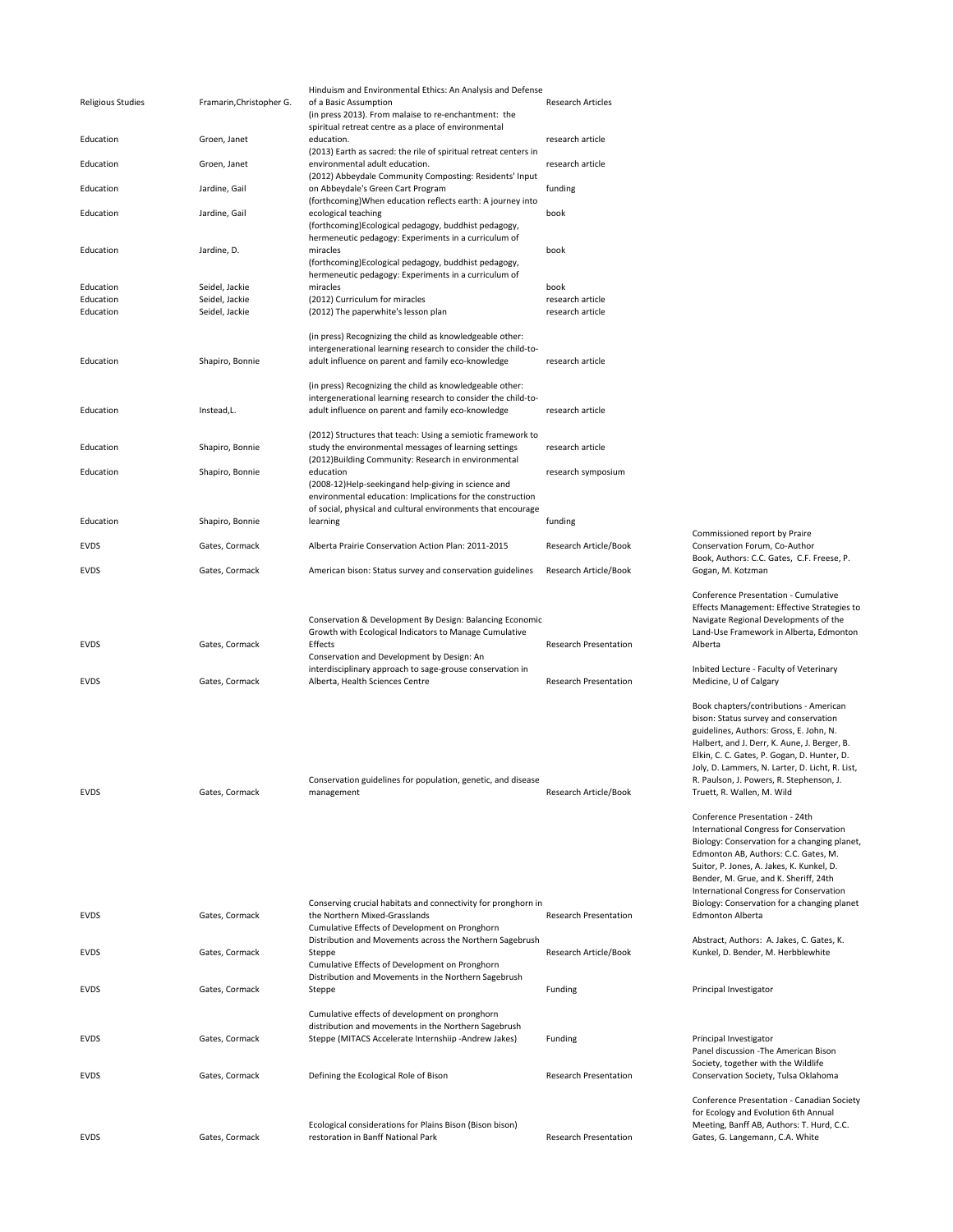| <b>Religious Studies</b> | Framarin, Christopher G. | Hinduism and Environmental Ethics: An Analysis and Defense<br>of a Basic Assumption<br>(in press 2013). From malaise to re-enchantment: the                                      | <b>Research Articles</b>     |                                                                                                                                                                                                                                                                                                                                                                                                                                                                                                                                                                                                                                                              |
|--------------------------|--------------------------|----------------------------------------------------------------------------------------------------------------------------------------------------------------------------------|------------------------------|--------------------------------------------------------------------------------------------------------------------------------------------------------------------------------------------------------------------------------------------------------------------------------------------------------------------------------------------------------------------------------------------------------------------------------------------------------------------------------------------------------------------------------------------------------------------------------------------------------------------------------------------------------------|
| Education                | Groen, Janet             | spiritual retreat centre as a place of environmental<br>education.                                                                                                               | research article             |                                                                                                                                                                                                                                                                                                                                                                                                                                                                                                                                                                                                                                                              |
| Education                | Groen, Janet             | (2013) Earth as sacred: the rile of spiritual retreat centers in<br>environmental adult education.                                                                               | research article             |                                                                                                                                                                                                                                                                                                                                                                                                                                                                                                                                                                                                                                                              |
| Education                | Jardine, Gail            | (2012) Abbeydale Community Composting: Residents' Input<br>on Abbeydale's Green Cart Program                                                                                     | funding                      |                                                                                                                                                                                                                                                                                                                                                                                                                                                                                                                                                                                                                                                              |
| Education                | Jardine, Gail            | (forthcoming) When education reflects earth: A journey into<br>ecological teaching                                                                                               | book                         |                                                                                                                                                                                                                                                                                                                                                                                                                                                                                                                                                                                                                                                              |
|                          |                          | (forthcoming)Ecological pedagogy, buddhist pedagogy,                                                                                                                             |                              |                                                                                                                                                                                                                                                                                                                                                                                                                                                                                                                                                                                                                                                              |
| Education                | Jardine, D.              | hermeneutic pedagogy: Experiments in a curriculum of<br>miracles<br>(forthcoming)Ecological pedagogy, buddhist pedagogy,<br>hermeneutic pedagogy: Experiments in a curriculum of | book                         |                                                                                                                                                                                                                                                                                                                                                                                                                                                                                                                                                                                                                                                              |
| Education                | Seidel, Jackie           | miracles                                                                                                                                                                         | book                         |                                                                                                                                                                                                                                                                                                                                                                                                                                                                                                                                                                                                                                                              |
| Education                | Seidel, Jackie           | (2012) Curriculum for miracles                                                                                                                                                   | research article             |                                                                                                                                                                                                                                                                                                                                                                                                                                                                                                                                                                                                                                                              |
| Education                | Seidel, Jackie           | (2012) The paperwhite's lesson plan                                                                                                                                              | research article             |                                                                                                                                                                                                                                                                                                                                                                                                                                                                                                                                                                                                                                                              |
|                          |                          | (in press) Recognizing the child as knowledgeable other:                                                                                                                         |                              |                                                                                                                                                                                                                                                                                                                                                                                                                                                                                                                                                                                                                                                              |
| Education                | Shapiro, Bonnie          | intergenerational learning research to consider the child-to-<br>adult influence on parent and family eco-knowledge                                                              | research article             |                                                                                                                                                                                                                                                                                                                                                                                                                                                                                                                                                                                                                                                              |
|                          |                          | (in press) Recognizing the child as knowledgeable other:                                                                                                                         |                              |                                                                                                                                                                                                                                                                                                                                                                                                                                                                                                                                                                                                                                                              |
| Education                | Instead,L.               | intergenerational learning research to consider the child-to-<br>adult influence on parent and family eco-knowledge                                                              | research article             |                                                                                                                                                                                                                                                                                                                                                                                                                                                                                                                                                                                                                                                              |
|                          |                          | (2012) Structures that teach: Using a semiotic framework to                                                                                                                      |                              |                                                                                                                                                                                                                                                                                                                                                                                                                                                                                                                                                                                                                                                              |
| Education                | Shapiro, Bonnie          | study the environmental messages of learning settings<br>(2012) Building Community: Research in environmental                                                                    | research article             |                                                                                                                                                                                                                                                                                                                                                                                                                                                                                                                                                                                                                                                              |
| Education                | Shapiro, Bonnie          | education<br>(2008-12)Help-seekingand help-giving in science and                                                                                                                 | research symposium           |                                                                                                                                                                                                                                                                                                                                                                                                                                                                                                                                                                                                                                                              |
|                          |                          | environmental education: Implications for the construction                                                                                                                       |                              |                                                                                                                                                                                                                                                                                                                                                                                                                                                                                                                                                                                                                                                              |
| Education                | Shapiro, Bonnie          | of social, physical and cultural environments that encourage<br>learning                                                                                                         | funding                      |                                                                                                                                                                                                                                                                                                                                                                                                                                                                                                                                                                                                                                                              |
| EVDS                     | Gates, Cormack           | Alberta Prairie Conservation Action Plan: 2011-2015                                                                                                                              | Research Article/Book        | Commissioned report by Praire<br>Conservation Forum, Co-Author                                                                                                                                                                                                                                                                                                                                                                                                                                                                                                                                                                                               |
| <b>EVDS</b>              | Gates, Cormack           | American bison: Status survey and conservation guidelines                                                                                                                        | Research Article/Book        | Book, Authors: C.C. Gates, C.F. Freese, P.<br>Gogan, M. Kotzman                                                                                                                                                                                                                                                                                                                                                                                                                                                                                                                                                                                              |
| <b>EVDS</b>              | Gates, Cormack           | Conservation & Development By Design: Balancing Economic<br>Growth with Ecological Indicators to Manage Cumulative<br>Effects                                                    | <b>Research Presentation</b> | Conference Presentation - Cumulative<br>Effects Management: Effective Strategies to<br>Navigate Regional Developments of the<br>Land-Use Framework in Alberta, Edmonton<br>Alberta                                                                                                                                                                                                                                                                                                                                                                                                                                                                           |
| <b>EVDS</b>              | Gates, Cormack           | Conservation and Development by Design: An<br>interdisciplinary approach to sage-grouse conservation in<br>Alberta, Health Sciences Centre                                       | <b>Research Presentation</b> | Inbited Lecture - Faculty of Veterinary<br>Medicine, U of Calgary                                                                                                                                                                                                                                                                                                                                                                                                                                                                                                                                                                                            |
| EVDS                     | Gates, Cormack           | Conservation guidelines for population, genetic, and disease<br>management<br>Conserving crucial habitats and connectivity for pronghorn in                                      | Research Article/Book        | Book chapters/contributions - American<br>bison: Status survey and conservation<br>guidelines, Authors: Gross, E. John, N.<br>Halbert, and J. Derr, K. Aune, J. Berger, B.<br>Elkin, C. C. Gates, P. Gogan, D. Hunter, D.<br>Joly, D. Lammers, N. Larter, D. Licht, R. List,<br>R. Paulson, J. Powers, R. Stephenson, J.<br>Truett, R. Wallen, M. Wild<br>Conference Presentation - 24th<br>International Congress for Conservation<br>Biology: Conservation for a changing planet,<br>Edmonton AB, Authors: C.C. Gates, M.<br>Suitor, P. Jones, A. Jakes, K. Kunkel, D.<br>Bender, M. Grue, and K. Sheriff, 24th<br>International Congress for Conservation |
| <b>EVDS</b>              | Gates, Cormack           | the Northern Mixed-Grasslands<br>Cumulative Effects of Development on Pronghorn                                                                                                  | <b>Research Presentation</b> | Biology: Conservation for a changing planet<br><b>Edmonton Alberta</b>                                                                                                                                                                                                                                                                                                                                                                                                                                                                                                                                                                                       |
| <b>EVDS</b>              | Gates, Cormack           | Distribution and Movements across the Northern Sagebrush<br>Steppe<br>Cumulative Effects of Development on Pronghorn                                                             | Research Article/Book        | Abstract, Authors: A. Jakes, C. Gates, K.<br>Kunkel, D. Bender, M. Herbblewhite                                                                                                                                                                                                                                                                                                                                                                                                                                                                                                                                                                              |
| EVDS                     | Gates, Cormack           | Distribution and Movements in the Northern Sagebrush<br>Steppe                                                                                                                   | Funding                      | Principal Investigator                                                                                                                                                                                                                                                                                                                                                                                                                                                                                                                                                                                                                                       |
| <b>EVDS</b>              | Gates, Cormack           | Cumulative effects of development on pronghorn<br>distribution and movements in the Northern Sagebrush<br>Steppe (MITACS Accelerate Internshiip -Andrew Jakes)                   | Funding                      | Principal Investigator<br>Panel discussion - The American Bison<br>Society, together with the Wildlife                                                                                                                                                                                                                                                                                                                                                                                                                                                                                                                                                       |
| <b>EVDS</b>              | Gates, Cormack           | Defining the Ecological Role of Bison                                                                                                                                            | Research Presentation        | Conservation Society, Tulsa Oklahoma                                                                                                                                                                                                                                                                                                                                                                                                                                                                                                                                                                                                                         |
| EVDS                     | Gates, Cormack           | Ecological considerations for Plains Bison (Bison bison)<br>restoration in Banff National Park                                                                                   | <b>Research Presentation</b> | Conference Presentation - Canadian Society<br>for Ecology and Evolution 6th Annual<br>Meeting, Banff AB, Authors: T. Hurd, C.C.<br>Gates, G. Langemann, C.A. White                                                                                                                                                                                                                                                                                                                                                                                                                                                                                           |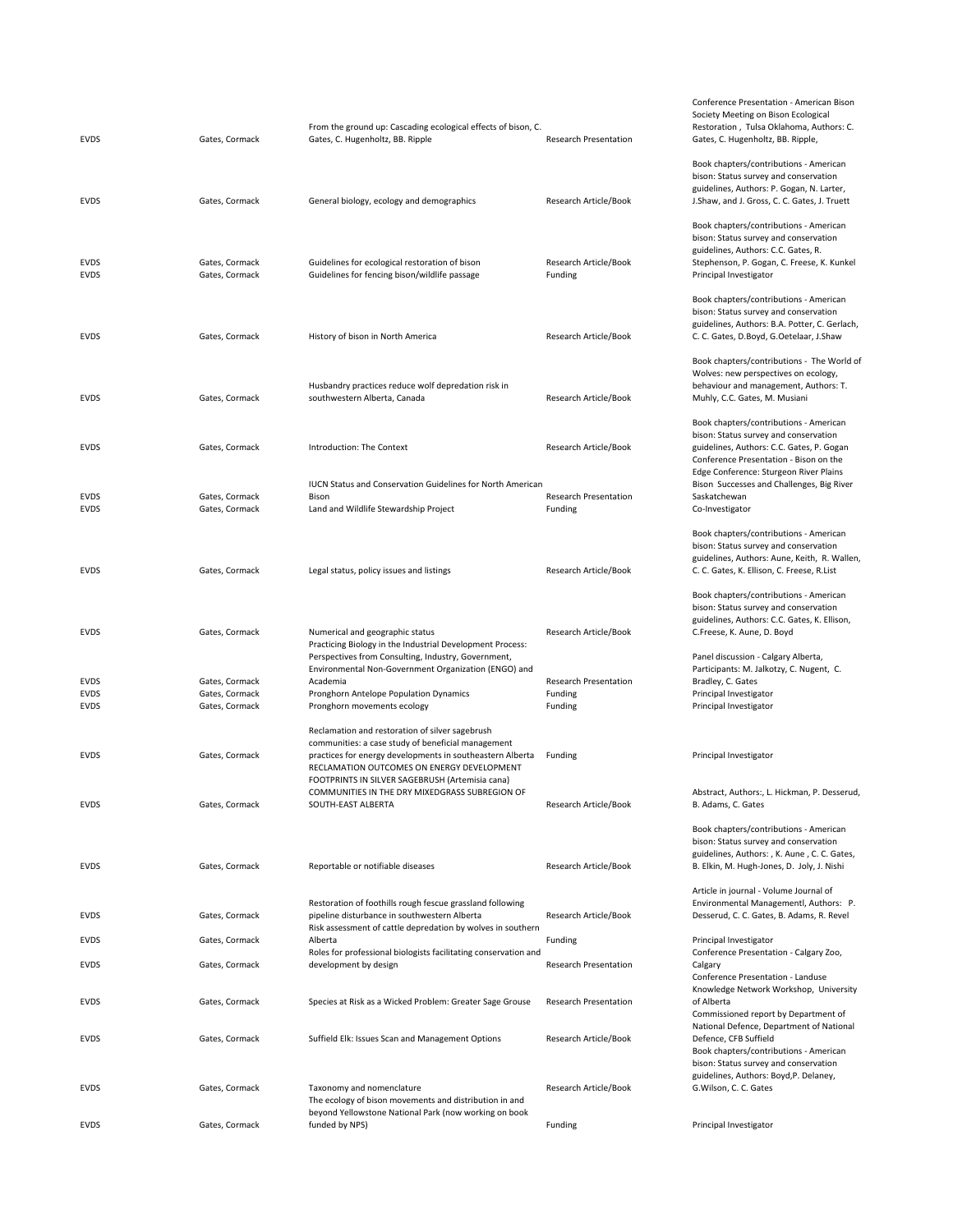| <b>EVDS</b>                        | Gates, Cormack                                     | From the ground up: Cascading ecological effects of bison, C.<br>Gates, C. Hugenholtz, BB. Ripple                                                                                                                                                             | <b>Research Presentation</b>                       | Society Meetin<br>Restoration, T<br>Gates, C. Huger                                            |
|------------------------------------|----------------------------------------------------|---------------------------------------------------------------------------------------------------------------------------------------------------------------------------------------------------------------------------------------------------------------|----------------------------------------------------|------------------------------------------------------------------------------------------------|
| <b>EVDS</b>                        | Gates, Cormack                                     | General biology, ecology and demographics                                                                                                                                                                                                                     | Research Article/Book                              | Book chapters/<br>bison: Status su<br>guidelines, Autl<br>J.Shaw, and J. G                     |
| <b>EVDS</b><br><b>EVDS</b>         | Gates, Cormack<br>Gates, Cormack                   | Guidelines for ecological restoration of bison<br>Guidelines for fencing bison/wildlife passage                                                                                                                                                               | Research Article/Book<br>Funding                   | Book chapters/<br>bison: Status su<br>guidelines, Autl<br>Stephenson, P.<br>Principal Invest   |
| <b>EVDS</b>                        | Gates, Cormack                                     | History of bison in North America                                                                                                                                                                                                                             | Research Article/Book                              | Book chapters/<br>bison: Status su<br>guidelines, Autl<br>C. C. Gates, D.B                     |
| <b>EVDS</b>                        | Gates, Cormack                                     | Husbandry practices reduce wolf depredation risk in<br>southwestern Alberta, Canada                                                                                                                                                                           | Research Article/Book                              | Book chapters/<br>Wolves: new pe<br>behaviour and<br>Muhly, C.C. Gat                           |
| <b>EVDS</b>                        | Gates, Cormack                                     | Introduction: The Context                                                                                                                                                                                                                                     | Research Article/Book                              | Book chapters/<br>bison: Status su<br>guidelines, Autl<br>Conference Pre                       |
| <b>EVDS</b><br>EVDS                | Gates, Cormack<br>Gates, Cormack                   | <b>IUCN Status and Conservation Guidelines for North American</b><br>Bison<br>Land and Wildlife Stewardship Project                                                                                                                                           | <b>Research Presentation</b><br>Funding            | Edge Conferen<br><b>Bison Successe</b><br>Saskatchewan<br>Co-Investigator                      |
| <b>EVDS</b>                        | Gates, Cormack                                     | Legal status, policy issues and listings                                                                                                                                                                                                                      | Research Article/Book                              | Book chapters/<br>bison: Status su<br>guidelines, Autl<br>C. C. Gates, K. E                    |
| <b>EVDS</b>                        | Gates, Cormack                                     | Numerical and geographic status                                                                                                                                                                                                                               | Research Article/Book                              | Book chapters/<br>bison: Status su<br>guidelines, Autl<br>C.Freese, K. Au                      |
| EVDS<br><b>EVDS</b><br><b>EVDS</b> | Gates, Cormack<br>Gates, Cormack<br>Gates, Cormack | Practicing Biology in the Industrial Development Process:<br>Perspectives from Consulting, Industry, Government,<br>Environmental Non-Government Organization (ENGO) and<br>Academia<br>Pronghorn Antelope Population Dynamics<br>Pronghorn movements ecology | <b>Research Presentation</b><br>Funding<br>Funding | Panel discussio<br>Participants: M<br>Bradley, C. Gate<br>Principal Invest<br>Principal Invest |
| <b>EVDS</b>                        | Gates, Cormack                                     | Reclamation and restoration of silver sagebrush<br>communities: a case study of beneficial management<br>practices for energy developments in southeastern Alberta<br>RECLAMATION OUTCOMES ON ENERGY DEVELOPMENT                                              | Funding                                            | Principal Invest                                                                               |
| <b>EVDS</b>                        | Gates, Cormack                                     | FOOTPRINTS IN SILVER SAGEBRUSH (Artemisia cana)<br>COMMUNITIES IN THE DRY MIXEDGRASS SUBREGION OF<br>SOUTH-EAST ALBERTA                                                                                                                                       | Research Article/Book                              | Abstract, Autho<br>B. Adams, C. Ga                                                             |
| <b>EVDS</b>                        | Gates, Cormack                                     | Reportable or notifiable diseases                                                                                                                                                                                                                             | Research Article/Book                              | Book chapters/<br>bison: Status su<br>guidelines, Autl<br>B. Elkin, M. Hug                     |
| <b>EVDS</b>                        | Gates, Cormack                                     | Restoration of foothills rough fescue grassland following<br>pipeline disturbance in southwestern Alberta<br>Risk assessment of cattle depredation by wolves in southern                                                                                      | Research Article/Book                              | Article in journa<br>Environmental<br>Desserud, C. C.                                          |
| <b>EVDS</b><br><b>EVDS</b>         | Gates, Cormack<br>Gates, Cormack                   | Alberta<br>Roles for professional biologists facilitating conservation and<br>development by design                                                                                                                                                           | Funding<br><b>Research Presentation</b>            | Principal Invest<br>Conference Pre<br>Calgary                                                  |
| <b>EVDS</b>                        | Gates, Cormack                                     | Species at Risk as a Wicked Problem: Greater Sage Grouse                                                                                                                                                                                                      | <b>Research Presentation</b>                       | Conference Pre<br>Knowledge Net<br>of Alberta<br>Commissioned                                  |
| EVDS                               | Gates, Cormack                                     | Suffield Elk: Issues Scan and Management Options                                                                                                                                                                                                              | Research Article/Book                              | National Defen<br>Defence, CFB S<br>Book chapters/                                             |
| <b>EVDS</b>                        | Gates, Cormack                                     | Taxonomy and nomenclature<br>The ecology of bison movements and distribution in and                                                                                                                                                                           | Research Article/Book                              | bison: Status su<br>guidelines, Autl<br>G.Wilson, C.C.                                         |
| <b>EVDS</b>                        | Gates, Cormack                                     | beyond Yellowstone National Park (now working on book<br>funded by NPS)                                                                                                                                                                                       | Funding                                            | Principal Invest                                                                               |

Society Meeting on Bison Ecological Restoration , Tulsa Oklahoma, Authors: C. Gates, C. Hugenholtz, BB. Ripple, Book chapters/contributions ‐ American bison: Status survey and conservation guidelines, Authors: P. Gogan, N. Larter, J.Shaw, and J. Gross, C. C. Gates, J. Truett Book chapters/contributions ‐ American bison: Status survey and conservation guidelines, Authors: C.C. Gates, R. Stephenson, P. Gogan, C. Freese, K. Kunkel Principal Investigator Book chapters/contributions ‐ American bison: Status survey and conservation guidelines, Authors: B.A. Potter, C. Gerlach, C. C. Gates, D.Boyd, G.Oetelaar, J.Shaw Book chapters/contributions ‐ The World of Wolves: new perspectives on ecology, behaviour and management, Authors: T. Muhly, C.C. Gates, M. Musiani Book chapters/contributions ‐ American bison: Status survey and conservation guidelines, Authors: C.C. Gates, P. Gogan Conference Presentation ‐ Bison on the Edge Conference: Sturgeon River Plains Bison Successes and Challenges, Big River Saskatchewan<br>Co-Investigator Book chapters/contributions ‐ American bison: Status survey and conservation guidelines, Authors: Aune, Keith, R. Wallen, C. C. Gates, K. Ellison, C. Freese, R.List Book chapters/contributions ‐ American bison: Status survey and conservation guidelines, Authors: C.C. Gates, K. Ellison, C.Freese, K. Aune, D. Boyd Panel discussion ‐ Calgary Alberta, Participants: M. Jalkotzy, C. Nugent, C. Bradley, C. Gates Principal Investigator Principal Investigator Principal Investigator Abstract, Authors:, L. Hickman, P. Desserud, B. Adams, C. Gates Book chapters/contributions ‐ American bison: Status survey and conservation guidelines, Authors: , K. Aune , C. C. Gates, B. Elkin, M. Hugh‐Jones, D. Joly, J. Nishi Article in journal ‐ Volume Journal of Environmental Managementl, Authors: P. Desserud, C. C. Gates, B. Adams, R. Revel Principal Investigator Conference Presentation ‐ Calgary Zoo, Calgary Conference Presentation ‐ Landuse Knowledge Network Workshop, University of Alberta Commissioned report by Department of National Defence, Department of National Defence, CFB Suffield Book chapters/contributions ‐ American bison: Status survey and conservation guidelines, Authors: Boyd,P. Delaney, G.Wilson, C. C. Gates

Conference Presentation ‐ American Bison

Principal Investigator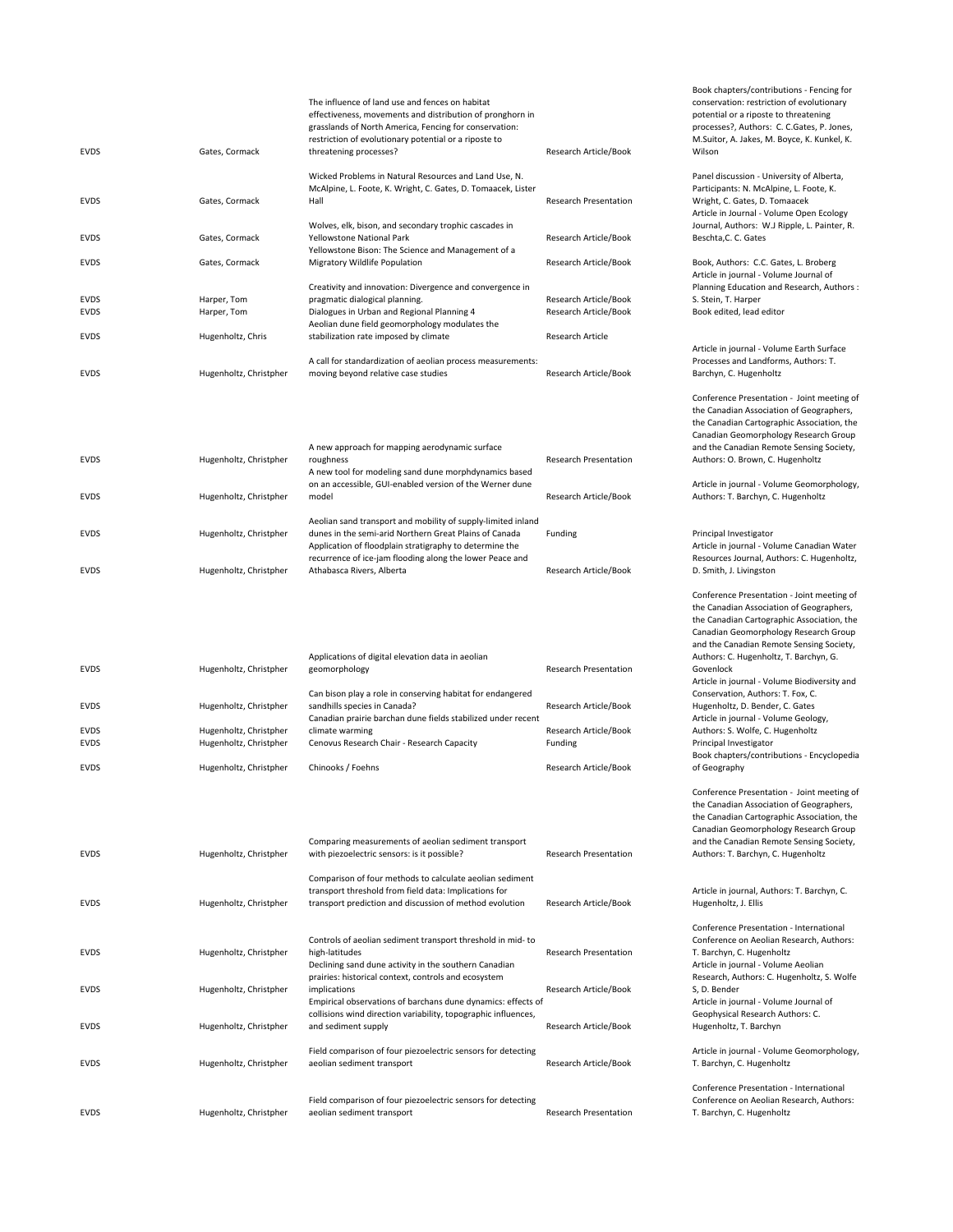| <b>EVDS</b> | Gates, Cormack         | The influence of land use and fences on habitat<br>effectiveness, movements and distribution of pronghorn in<br>grasslands of North America, Fencing for conservation:<br>restriction of evolutionary potential or a riposte to<br>threatening processes? | Research Article/Book        |
|-------------|------------------------|-----------------------------------------------------------------------------------------------------------------------------------------------------------------------------------------------------------------------------------------------------------|------------------------------|
|             |                        | Wicked Problems in Natural Resources and Land Use, N.                                                                                                                                                                                                     |                              |
|             |                        | McAlpine, L. Foote, K. Wright, C. Gates, D. Tomaacek, Lister                                                                                                                                                                                              |                              |
| <b>FVDS</b> | Gates, Cormack         | Hall                                                                                                                                                                                                                                                      | <b>Research Presentation</b> |
|             |                        | Wolves, elk, bison, and secondary trophic cascades in                                                                                                                                                                                                     |                              |
| <b>FVDS</b> | Gates, Cormack         | <b>Yellowstone National Park</b>                                                                                                                                                                                                                          | Research Article/Book        |
|             |                        | Yellowstone Bison: The Science and Management of a                                                                                                                                                                                                        |                              |
| <b>FVDS</b> | Gates, Cormack         | Migratory Wildlife Population                                                                                                                                                                                                                             | Research Article/Book        |
|             |                        | Creativity and innovation: Divergence and convergence in                                                                                                                                                                                                  |                              |
| <b>EVDS</b> | Harper, Tom            | pragmatic dialogical planning.                                                                                                                                                                                                                            | Research Article/Book        |
| <b>EVDS</b> | Harper, Tom            | Dialogues in Urban and Regional Planning 4                                                                                                                                                                                                                | Research Article/Book        |
|             |                        | Aeolian dune field geomorphology modulates the                                                                                                                                                                                                            |                              |
| <b>EVDS</b> | Hugenholtz, Chris      | stabilization rate imposed by climate                                                                                                                                                                                                                     | <b>Research Article</b>      |
|             |                        | A call for standardization of aeolian process measurements:                                                                                                                                                                                               |                              |
| <b>FVDS</b> | Hugenholtz, Christpher | moving beyond relative case studies                                                                                                                                                                                                                       | Research Article/Book        |
|             |                        |                                                                                                                                                                                                                                                           |                              |

| <b>FVDS</b> | Hugenholtz, Christpher | A new approach for mapping aerodynamic surface<br>roughness<br>A new tool for modeling sand dune morphdynamics based<br>on an accessible, GUI-enabled version of the Werner dune                                                              | <b>Research Presentation</b> |
|-------------|------------------------|-----------------------------------------------------------------------------------------------------------------------------------------------------------------------------------------------------------------------------------------------|------------------------------|
| <b>FVDS</b> | Hugenholtz, Christpher | model                                                                                                                                                                                                                                         | Research Article/Book        |
| <b>FVDS</b> | Hugenholtz, Christpher | Aeolian sand transport and mobility of supply-limited inland<br>dunes in the semi-arid Northern Great Plains of Canada<br>Application of floodplain stratigraphy to determine the<br>recurrence of ice-jam flooding along the lower Peace and | Funding                      |
| <b>FVDS</b> | Hugenholtz, Christpher | Athabasca Rivers, Alberta                                                                                                                                                                                                                     | Research Article/Book        |

| <b>FVDS</b> | Hugenholtz, Christpher | Applications of digital elevation data in aeolian<br>geomorphology | <b>Research Presentation</b> |
|-------------|------------------------|--------------------------------------------------------------------|------------------------------|
|             |                        | Can bison play a role in conserving habitat for endangered         |                              |
| <b>FVDS</b> | Hugenholtz, Christpher | sandhills species in Canada?                                       | Research Article/Book        |
|             |                        | Canadian prairie barchan dune fields stabilized under recent       |                              |
| <b>FVDS</b> | Hugenholtz, Christpher | climate warming                                                    | Research Article/Book        |
| <b>FVDS</b> | Hugenholtz, Christpher | Cenovus Research Chair - Research Capacity                         | Funding                      |
|             |                        |                                                                    |                              |
| <b>FVDS</b> | Hugenholtz, Christpher | Chinooks / Foehns                                                  | Research Article/Book        |

| <b>FVDS</b> | Hugenholtz, Christpher | Comparing measurements of aeolian sediment transport<br>with piezoelectric sensors: is it possible?                                                                          | <b>Research Presentation</b> |
|-------------|------------------------|------------------------------------------------------------------------------------------------------------------------------------------------------------------------------|------------------------------|
| <b>FVDS</b> | Hugenholtz, Christpher | Comparison of four methods to calculate aeolian sediment<br>transport threshold from field data: Implications for<br>transport prediction and discussion of method evolution | Research Article/Book        |
| <b>FVDS</b> | Hugenholtz, Christpher | Controls of aeolian sediment transport threshold in mid-to<br>high-latitudes<br>Declining sand dune activity in the southern Canadian                                        | <b>Research Presentation</b> |
| <b>FVDS</b> | Hugenholtz, Christpher | prairies: historical context, controls and ecosystem<br>implications<br>Empirical observations of barchans dune dynamics: effects of                                         | Research Article/Book        |
| <b>FVDS</b> | Hugenholtz, Christpher | collisions wind direction variability, topographic influences,<br>and sediment supply                                                                                        | Research Article/Book        |
| <b>EVDS</b> | Hugenholtz, Christpher | Field comparison of four piezoelectric sensors for detecting<br>aeolian sediment transport                                                                                   | Research Article/Book        |
| <b>FVDS</b> | Hugenholtz, Christpher | Field comparison of four piezoelectric sensors for detecting<br>aeolian sediment transport                                                                                   | <b>Research Presentation</b> |

Book chapters/contributions ‐ Fencing for conservation: restriction of evolutionary potential or a riposte to threatening processes?, Authors: C. C.Gates, P. Jones, M.Suitor, A. Jakes, M. Boyce, K. Kunkel, K. Wilson

Panel discussion ‐ University of Alberta, Participants: N. McAlpine, L. Foote, K. Wright, C. Gates, D. Tomaacek Article in Journal ‐ Volume Open Ecology Journal, Authors: W.J Ripple, L. Painter, R. Beschta,C. C. Gates

Book, Authors: C.C. Gates, L. Broberg Article in journal ‐ Volume Journal of Planning Education and Research, Authors : S. Stein, T. Harper Book edited, lead editor

Article in journal ‐ Volume Earth Surface Processes and Landforms, Authors: T. Barchyn, C. Hugenholtz

Conference Presentation ‐ Joint meeting of the Canadian Association of Geographers, the Canadian Cartographic Association, the Canadian Geomorphology Research Group and the Canadian Remote Sensing Society, Authors: O. Brown, C. Hugenholtz

Article in journal ‐ Volume Geomorphology, Authors: T. Barchyn, C. Hugenholtz

Principal Investigator Article in journal ‐ Volume Canadian Water Resources Journal, Authors: C. Hugenholtz, D. Smith, J. Livingston

Conference Presentation ‐ Joint meeting of the Canadian Association of Geographers, the Canadian Cartographic Association, the Canadian Geomorphology Research Group and the Canadian Remote Sensing Society, Authors: C. Hugenholtz, T. Barchyn, G. Govenlock Article in journal ‐ Volume Biodiversity and Conservation, Authors: T. Fox, C. Hugenholtz, D. Bender, C. Gates Article in journal ‐ Volume Geology, Authors: S. Wolfe, C. Hugenholtz Principal Investigator Book chapters/contributions ‐ Encyclopedia of Geography

Conference Presentation ‐ Joint meeting of the Canadian Association of Geographers, the Canadian Cartographic Association, the Canadian Geomorphology Research Group and the Canadian Remote Sensing Society, Authors: T. Barchyn, C. Hugenholtz

Article in journal, Authors: T. Barchyn, C. Hugenholtz, J. Ellis

Conference Presentation ‐ International Conference on Aeolian Research, Authors: T. Barchyn, C. Hugenholtz Article in journal ‐ Volume Aeolian Research, Authors: C. Hugenholtz, S. Wolfe S, D. Bender Article in journal ‐ Volume Journal of Geophysical Research Authors: C. Hugenholtz, T. Barchyn

Article in journal ‐ Volume Geomorphology, T. Barchyn, C. Hugenholtz

Conference Presentation ‐ International Conference on Aeolian Research, Authors: T. Barchyn, C. Hugenholtz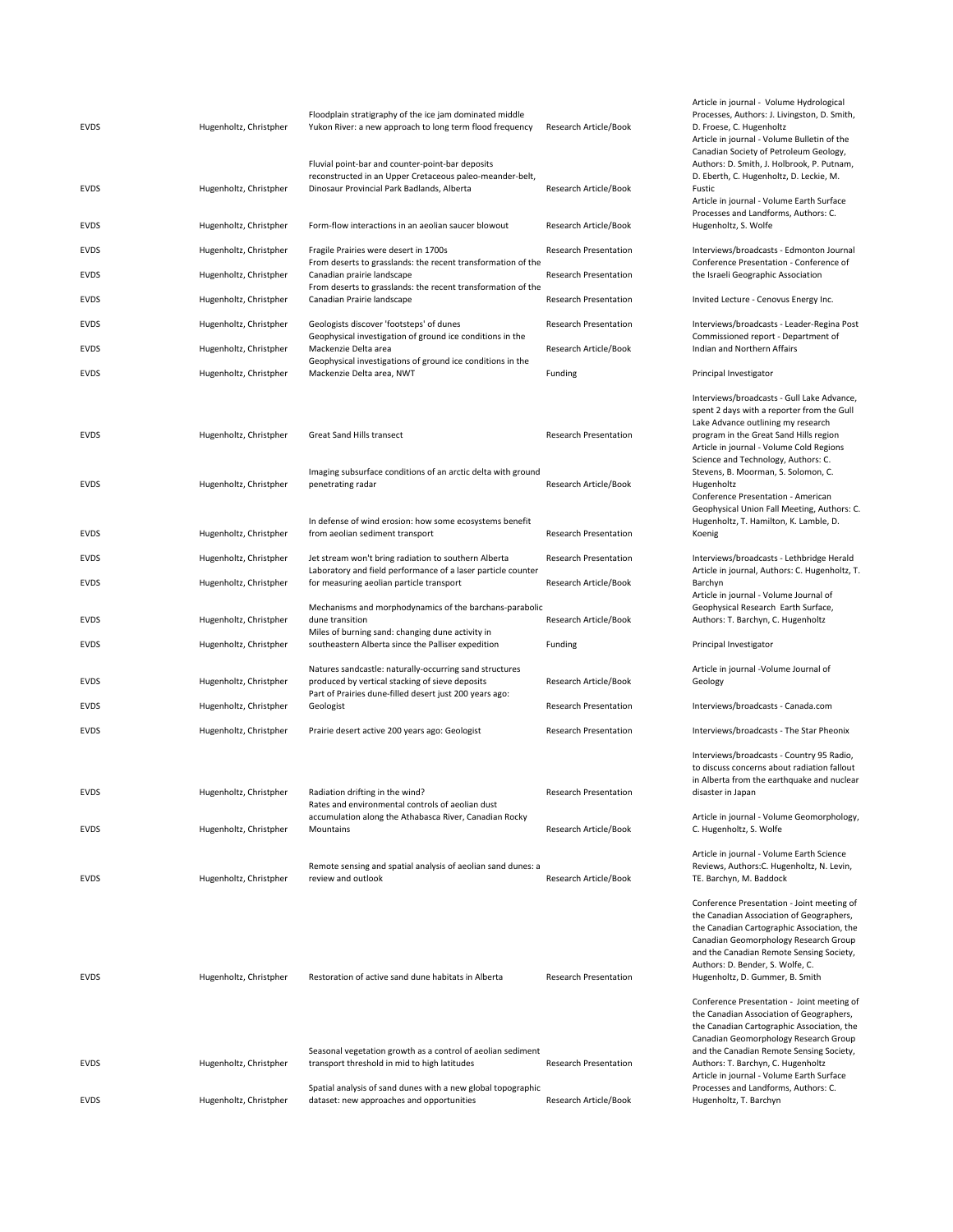| <b>EVDS</b> | Hugenholtz, Christpher | Floodplain stratigraphy of the ice jam dominated middle<br>Yukon River: a new approach to long term flood frequency                                                   | Research Article/Book        |
|-------------|------------------------|-----------------------------------------------------------------------------------------------------------------------------------------------------------------------|------------------------------|
| EVDS        | Hugenholtz, Christpher | Fluvial point-bar and counter-point-bar deposits<br>reconstructed in an Upper Cretaceous paleo-meander-belt,<br>Dinosaur Provincial Park Badlands, Alberta            | Research Article/Book        |
| EVDS        | Hugenholtz, Christpher | Form-flow interactions in an aeolian saucer blowout                                                                                                                   | Research Article/Book        |
| EVDS        | Hugenholtz, Christpher | Fragile Prairies were desert in 1700s<br>From deserts to grasslands: the recent transformation of the                                                                 | <b>Research Presentation</b> |
| EVDS        | Hugenholtz, Christpher | Canadian prairie landscape<br>From deserts to grasslands: the recent transformation of the                                                                            | Research Presentation        |
| EVDS        | Hugenholtz, Christpher | Canadian Prairie landscape                                                                                                                                            | <b>Research Presentation</b> |
| EVDS        | Hugenholtz, Christpher | Geologists discover 'footsteps' of dunes<br>Geophysical investigation of ground ice conditions in the                                                                 | <b>Research Presentation</b> |
| EVDS        | Hugenholtz, Christpher | Mackenzie Delta area<br>Geophysical investigations of ground ice conditions in the                                                                                    | Research Article/Book        |
| EVDS        | Hugenholtz, Christpher | Mackenzie Delta area, NWT                                                                                                                                             | Funding                      |
| EVDS        | Hugenholtz, Christpher | Great Sand Hills transect                                                                                                                                             | <b>Research Presentation</b> |
| <b>EVDS</b> | Hugenholtz, Christpher | Imaging subsurface conditions of an arctic delta with ground<br>penetrating radar                                                                                     | Research Article/Book        |
| <b>EVDS</b> | Hugenholtz, Christpher | In defense of wind erosion: how some ecosystems benefit<br>from aeolian sediment transport                                                                            | <b>Research Presentation</b> |
| EVDS        | Hugenholtz, Christpher | Jet stream won't bring radiation to southern Alberta                                                                                                                  | <b>Research Presentation</b> |
| EVDS        | Hugenholtz, Christpher | Laboratory and field performance of a laser particle counter<br>for measuring aeolian particle transport                                                              | Research Article/Book        |
|             |                        | Mechanisms and morphodynamics of the barchans-parabolic                                                                                                               |                              |
| EVDS        | Hugenholtz, Christpher | dune transition<br>Miles of burning sand: changing dune activity in                                                                                                   | Research Article/Book        |
| <b>EVDS</b> | Hugenholtz, Christpher | southeastern Alberta since the Palliser expedition                                                                                                                    | Funding                      |
| EVDS        | Hugenholtz, Christpher | Natures sandcastle: naturally-occurring sand structures<br>produced by vertical stacking of sieve deposits<br>Part of Prairies dune-filled desert just 200 years ago: | Research Article/Book        |
| EVDS        | Hugenholtz, Christpher | Geologist                                                                                                                                                             | <b>Research Presentation</b> |
| EVDS        | Hugenholtz, Christpher | Prairie desert active 200 years ago: Geologist                                                                                                                        | Research Presentation        |
|             | Hugenholtz, Christpher | Radiation drifting in the wind?                                                                                                                                       | <b>Research Presentation</b> |
| <b>EVDS</b> |                        | Rates and environmental controls of aeolian dust<br>accumulation along the Athabasca River, Canadian Rocky                                                            |                              |
| <b>EVDS</b> | Hugenholtz, Christpher | Mountains                                                                                                                                                             | Research Article/Book        |
| <b>EVDS</b> | Hugenholtz, Christpher | Remote sensing and spatial analysis of aeolian sand dunes: a<br>review and outlook                                                                                    | Research Article/Book        |
| <b>EVDS</b> | Hugenholtz, Christpher | Restoration of active sand dune habitats in Alberta                                                                                                                   | Research Presentation        |
| <b>EVDS</b> | Hugenholtz, Christpher | Seasonal vegetation growth as a control of aeolian sediment<br>transport threshold in mid to high latitudes                                                           | Research Presentation        |
| <b>EVDS</b> | Hugenholtz, Christpher | Spatial analysis of sand dunes with a new global topographic<br>dataset: new approaches and opportunities                                                             | Research Article/Book        |

Article in journal ‐ Volume Hydrological Processes, Authors: J. Livingston, D. Smith, D. Froese, C. Hugenholtz Article in journal ‐ Volume Bulletin of the Canadian Society of Petroleum Geology, Authors: D. Smith, J. Holbrook, P. Putnam, D. Eberth, C. Hugenholtz, D. Leckie, M. Fustic Article in journal ‐ Volume Earth Surface Processes and Landforms, Authors: C. Hugenholtz, S. Wolfe Interviews/broadcasts - Edmonton Journal Conference Presentation ‐ Conference of the Israeli Geographic Association Invited Lecture - Cenovus Energy Inc. Interviews/broadcasts - Leader-Regina Post Commissioned report ‐ Department of Indian and Northern Affairs Principal Investigator Interviews/broadcasts ‐ Gull Lake Advance, spent 2 days with a reporter from the Gull Lake Advance outlining my research program in the Great Sand Hills region Article in journal ‐ Volume Cold Regions Science and Technology, Authors: C. Stevens, B. Moorman, S. Solomon, C. Hugenholtz Conference Presentation ‐ American Geophysical Union Fall Meeting, Authors: C. Hugenholtz, T. Hamilton, K. Lamble, D. Koenig Interviews/broadcasts - Lethbridge Herald Article in journal, Authors: C. Hugenholtz, T. Barchyn Article in journal ‐ Volume Journal of Geophysical Research Earth Surface, Authors: T. Barchyn, C. Hugenholtz Principal Investigator Article in journal ‐Volume Journal of Geology Interviews/broadcasts - Canada.com Interviews/broadcasts - The Star Pheonix Interviews/broadcasts ‐ Country 95 Radio, to discuss concerns about radiation fallout in Alberta from the earthquake and nuclear disaster in Japan Article in journal ‐ Volume Geomorphology, C. Hugenholtz, S. Wolfe Article in journal ‐ Volume Earth Science Reviews, Authors:C. Hugenholtz, N. Levin, TE. Barchyn, M. Baddock Conference Presentation ‐ Joint meeting of the Canadian Association of Geographers, the Canadian Cartographic Association, the Canadian Geomorphology Research Group and the Canadian Remote Sensing Society, Authors: D. Bender, S. Wolfe, C. Hugenholtz, D. Gummer, B. Smith Conference Presentation ‐ Joint meeting of the Canadian Association of Geographers, the Canadian Cartographic Association, the Canadian Geomorphology Research Group and the Canadian Remote Sensing Society,

Authors: T. Barchyn, C. Hugenholtz

Hugenholtz, T. Barchyn

Article in journal ‐ Volume Earth Surface Processes and Landforms, Authors: C.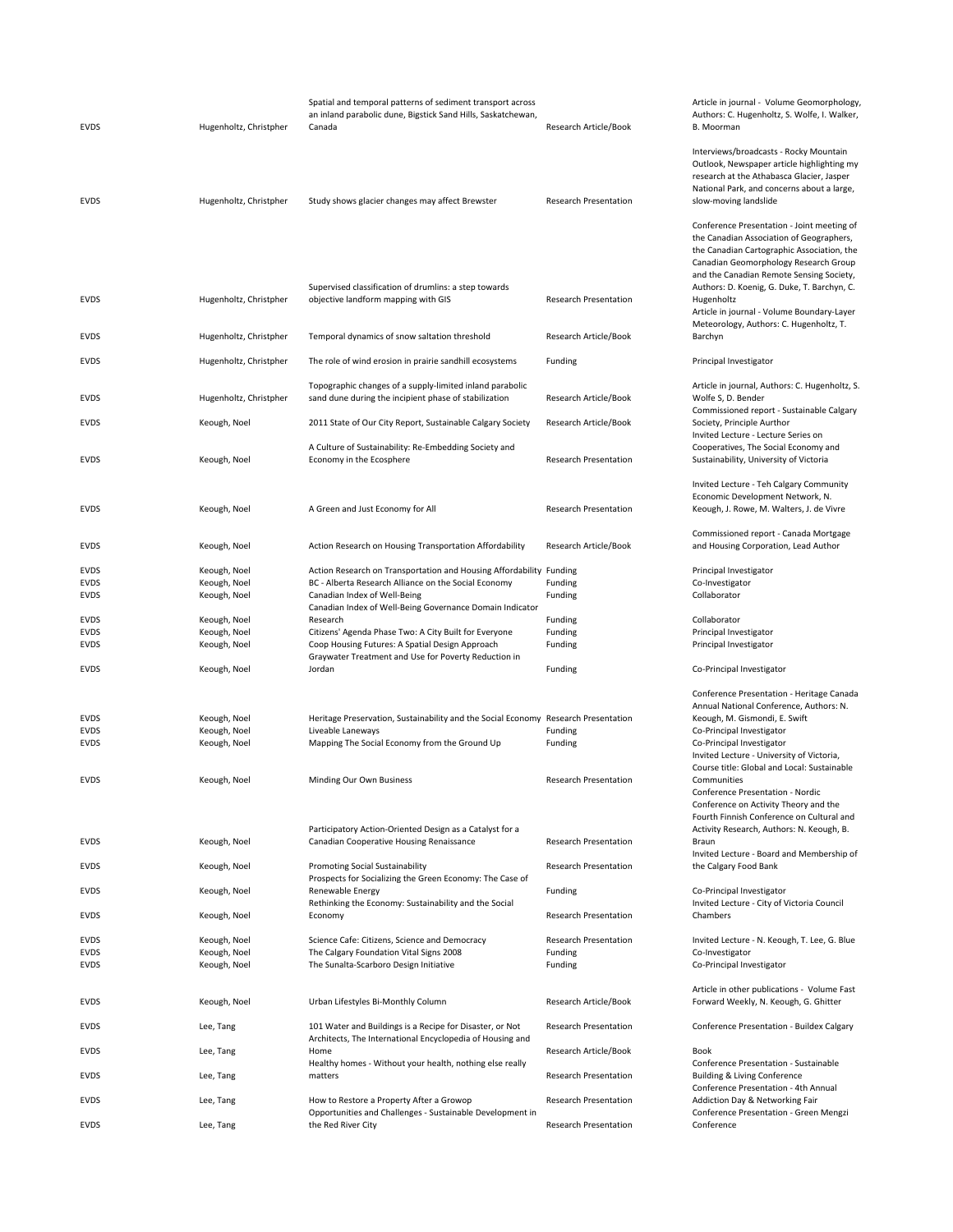| <b>EVDS</b> | Hugenholtz, Christpher | Spatial and temporal patterns of sediment transport across<br>an inland parabolic dune, Bigstick Sand Hills, Saskatchewan,<br>Canada | Research Article/Book        | Article in journal - Volume Geomorphology<br>Authors: C. Hugenholtz, S. Wolfe, I. Walker,<br>B. Moorman                                                                                                                                                                  |
|-------------|------------------------|--------------------------------------------------------------------------------------------------------------------------------------|------------------------------|--------------------------------------------------------------------------------------------------------------------------------------------------------------------------------------------------------------------------------------------------------------------------|
| <b>EVDS</b> | Hugenholtz, Christpher | Study shows glacier changes may affect Brewster                                                                                      | <b>Research Presentation</b> | Interviews/broadcasts - Rocky Mountain<br>Outlook, Newspaper article highlighting my<br>research at the Athabasca Glacier, Jasper<br>National Park, and concerns about a large,<br>slow-moving landslide                                                                 |
|             |                        | Supervised classification of drumlins: a step towards                                                                                |                              | Conference Presentation - Joint meeting of<br>the Canadian Association of Geographers,<br>the Canadian Cartographic Association, the<br>Canadian Geomorphology Research Group<br>and the Canadian Remote Sensing Society,<br>Authors: D. Koenig, G. Duke, T. Barchyn, C. |
| <b>EVDS</b> | Hugenholtz, Christpher | objective landform mapping with GIS                                                                                                  | <b>Research Presentation</b> | Hugenholtz<br>Article in journal - Volume Boundary-Layer<br>Meteorology, Authors: C. Hugenholtz, T.                                                                                                                                                                      |
| <b>EVDS</b> | Hugenholtz, Christpher | Temporal dynamics of snow saltation threshold                                                                                        | Research Article/Book        | Barchyn                                                                                                                                                                                                                                                                  |
| <b>EVDS</b> | Hugenholtz, Christpher | The role of wind erosion in prairie sandhill ecosystems                                                                              | Funding                      | Principal Investigator                                                                                                                                                                                                                                                   |
| EVDS        | Hugenholtz, Christpher | Topographic changes of a supply-limited inland parabolic<br>sand dune during the incipient phase of stabilization                    | Research Article/Book        | Article in journal, Authors: C. Hugenholtz, S.<br>Wolfe S, D. Bender<br>Commissioned report - Sustainable Calgary                                                                                                                                                        |
| <b>EVDS</b> | Keough, Noel           | 2011 State of Our City Report, Sustainable Calgary Society                                                                           | Research Article/Book        | Society, Principle Aurthor                                                                                                                                                                                                                                               |
| <b>EVDS</b> | Keough, Noel           | A Culture of Sustainability: Re-Embedding Society and<br>Economy in the Ecosphere                                                    | <b>Research Presentation</b> | Invited Lecture - Lecture Series on<br>Cooperatives, The Social Economy and<br>Sustainability, University of Victoria                                                                                                                                                    |
| <b>EVDS</b> | Keough, Noel           | A Green and Just Economy for All                                                                                                     | <b>Research Presentation</b> | Invited Lecture - Teh Calgary Community<br>Economic Development Network, N.<br>Keough, J. Rowe, M. Walters, J. de Vivre                                                                                                                                                  |
| <b>EVDS</b> | Keough, Noel           | Action Research on Housing Transportation Affordability                                                                              | Research Article/Book        | Commissioned report - Canada Mortgage<br>and Housing Corporation, Lead Author                                                                                                                                                                                            |
| EVDS        | Keough, Noel           | Action Research on Transportation and Housing Affordability Funding                                                                  |                              | Principal Investigator                                                                                                                                                                                                                                                   |
| <b>EVDS</b> | Keough, Noel           | BC - Alberta Research Alliance on the Social Economy                                                                                 | Funding                      | Co-Investigator                                                                                                                                                                                                                                                          |
| <b>EVDS</b> | Keough, Noel           | Canadian Index of Well-Being<br>Canadian Index of Well-Being Governance Domain Indicator                                             | Funding                      | Collaborator                                                                                                                                                                                                                                                             |
| <b>EVDS</b> | Keough, Noel           | Research                                                                                                                             | Funding                      | Collaborator                                                                                                                                                                                                                                                             |
| <b>EVDS</b> | Keough, Noel           | Citizens' Agenda Phase Two: A City Built for Everyone                                                                                | Funding                      | Principal Investigator                                                                                                                                                                                                                                                   |
| <b>EVDS</b> | Keough, Noel           | Coop Housing Futures: A Spatial Design Approach<br>Graywater Treatment and Use for Poverty Reduction in                              | Funding                      | Principal Investigator                                                                                                                                                                                                                                                   |
| <b>EVDS</b> | Keough, Noel           | Jordan                                                                                                                               | Funding                      | Co-Principal Investigator                                                                                                                                                                                                                                                |
|             |                        |                                                                                                                                      |                              | Conference Presentation - Heritage Canada                                                                                                                                                                                                                                |
| EVDS        | Keough, Noel           | Heritage Preservation, Sustainability and the Social Economy Research Presentation                                                   |                              | Annual National Conference, Authors: N.<br>Keough, M. Gismondi, E. Swift                                                                                                                                                                                                 |
| <b>EVDS</b> | Keough, Noel           | Liveable Laneways                                                                                                                    | Funding                      | Co-Principal Investigator                                                                                                                                                                                                                                                |
| EVDS        | Keough, Noel           | Mapping The Social Economy from the Ground Up                                                                                        | Funding                      | Co-Principal Investigator                                                                                                                                                                                                                                                |
|             |                        |                                                                                                                                      |                              | Invited Lecture - University of Victoria,<br>Course title: Global and Local: Sustainable                                                                                                                                                                                 |
| <b>EVDS</b> | Keough, Noel           | Minding Our Own Business                                                                                                             | <b>Research Presentation</b> | Communities<br>Conference Presentation - Nordic<br>Conference on Activity Theory and the                                                                                                                                                                                 |
|             |                        |                                                                                                                                      |                              | Fourth Finnish Conference on Cultural and                                                                                                                                                                                                                                |
| EVDS        | Keough, Noel           | Participatory Action-Oriented Design as a Catalyst for a<br>Canadian Cooperative Housing Renaissance                                 | <b>Research Presentation</b> | Activity Research, Authors: N. Keough, B.<br>Braun                                                                                                                                                                                                                       |
|             |                        | <b>Promoting Social Sustainability</b>                                                                                               | <b>Research Presentation</b> | Invited Lecture - Board and Membership of                                                                                                                                                                                                                                |
| <b>EVDS</b> | Keough, Noel           | Prospects for Socializing the Green Economy: The Case of                                                                             |                              | the Calgary Food Bank                                                                                                                                                                                                                                                    |
| EVDS        | Keough, Noel           | Renewable Energy<br>Rethinking the Economy: Sustainability and the Social                                                            | Funding                      | Co-Principal Investigator<br>Invited Lecture - City of Victoria Council                                                                                                                                                                                                  |
| <b>EVDS</b> | Keough, Noel           | Economy                                                                                                                              | <b>Research Presentation</b> | Chambers                                                                                                                                                                                                                                                                 |
| <b>EVDS</b> | Keough, Noel           | Science Cafe: Citizens, Science and Democracy                                                                                        | <b>Research Presentation</b> | Invited Lecture - N. Keough, T. Lee, G. Blue                                                                                                                                                                                                                             |
| <b>EVDS</b> | Keough, Noel           | The Calgary Foundation Vital Signs 2008                                                                                              | Funding                      | Co-Investigator                                                                                                                                                                                                                                                          |
| EVDS        | Keough, Noel           | The Sunalta-Scarboro Design Initiative                                                                                               | Funding                      | Co-Principal Investigator                                                                                                                                                                                                                                                |
| <b>EVDS</b> | Keough, Noel           | Urban Lifestyles Bi-Monthly Column                                                                                                   | Research Article/Book        | Article in other publications - Volume Fast<br>Forward Weekly, N. Keough, G. Ghitter                                                                                                                                                                                     |
| <b>EVDS</b> | Lee, Tang              | 101 Water and Buildings is a Recipe for Disaster, or Not<br>Architects, The International Encyclopedia of Housing and                | <b>Research Presentation</b> | Conference Presentation - Buildex Calgary                                                                                                                                                                                                                                |
| EVDS        | Lee, Tang              | Home<br>Healthy homes - Without your health, nothing else really                                                                     | Research Article/Book        | Book<br>Conference Presentation - Sustainable                                                                                                                                                                                                                            |
| <b>EVDS</b> | Lee, Tang              | matters                                                                                                                              | <b>Research Presentation</b> | <b>Building &amp; Living Conference</b>                                                                                                                                                                                                                                  |
| <b>EVDS</b> | Lee, Tang              | How to Restore a Property After a Growop                                                                                             | Research Presentation        | Conference Presentation - 4th Annual<br>Addiction Day & Networking Fair                                                                                                                                                                                                  |
| <b>EVDS</b> | Lee, Tang              | Opportunities and Challenges - Sustainable Development in<br>the Red River City                                                      | <b>Research Presentation</b> | Conference Presentation - Green Mengzi<br>Conference                                                                                                                                                                                                                     |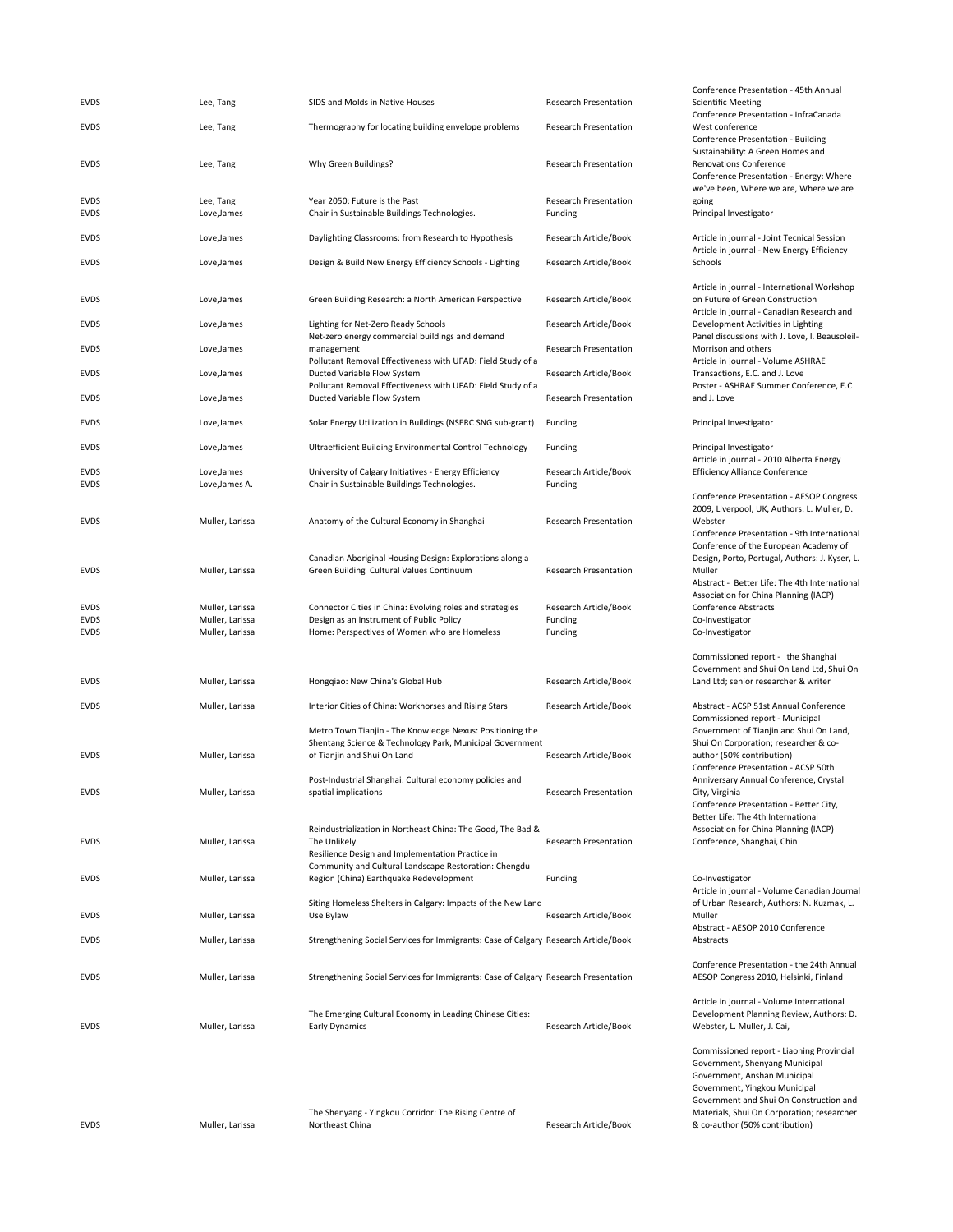| <b>EVDS</b>                               | Lee, Tang                                             | SIDS and Molds in Native Houses                                                                                                                           | <b>Research Presentation</b>                | Conference Presentation - 45th Annual<br><b>Scientific Meeting</b>                                                                                                                         |
|-------------------------------------------|-------------------------------------------------------|-----------------------------------------------------------------------------------------------------------------------------------------------------------|---------------------------------------------|--------------------------------------------------------------------------------------------------------------------------------------------------------------------------------------------|
| <b>EVDS</b>                               | Lee, Tang                                             | Thermography for locating building envelope problems                                                                                                      | Research Presentation                       | Conference Presentation - InfraCanada<br>West conference                                                                                                                                   |
| <b>EVDS</b>                               | Lee, Tang                                             | Why Green Buildings?                                                                                                                                      | <b>Research Presentation</b>                | Conference Presentation - Building<br>Sustainability: A Green Homes and<br>Renovations Conference<br>Conference Presentation - Energy: Where                                               |
| <b>EVDS</b><br><b>EVDS</b>                | Lee, Tang<br>Love, James                              | Year 2050: Future is the Past<br>Chair in Sustainable Buildings Technologies.                                                                             | <b>Research Presentation</b><br>Funding     | we've been, Where we are, Where we are<br>going<br>Principal Investigator                                                                                                                  |
| <b>EVDS</b>                               | Love, James                                           | Daylighting Classrooms: from Research to Hypothesis                                                                                                       | Research Article/Book                       | Article in journal - Joint Tecnical Session                                                                                                                                                |
| <b>EVDS</b>                               | Love, James                                           | Design & Build New Energy Efficiency Schools - Lighting                                                                                                   | Research Article/Book                       | Article in journal - New Energy Efficiency<br>Schools                                                                                                                                      |
| <b>EVDS</b>                               | Love, James                                           | Green Building Research: a North American Perspective                                                                                                     | Research Article/Book                       | Article in journal - International Workshop<br>on Future of Green Construction                                                                                                             |
| <b>EVDS</b>                               | Love, James                                           | Lighting for Net-Zero Ready Schools                                                                                                                       | Research Article/Book                       | Article in journal - Canadian Research and<br>Development Activities in Lighting                                                                                                           |
| <b>EVDS</b>                               | Love, James                                           | Net-zero energy commercial buildings and demand<br>management                                                                                             | <b>Research Presentation</b>                | Panel discussions with J. Love, I. Beausoleil-<br>Morrison and others                                                                                                                      |
| <b>EVDS</b>                               | Love, James                                           | Pollutant Removal Effectiveness with UFAD: Field Study of a<br>Ducted Variable Flow System<br>Pollutant Removal Effectiveness with UFAD: Field Study of a | Research Article/Book                       | Article in journal - Volume ASHRAE<br>Transactions, E.C. and J. Love<br>Poster - ASHRAE Summer Conference, E.C.                                                                            |
| <b>EVDS</b>                               | Love, James                                           | Ducted Variable Flow System                                                                                                                               | <b>Research Presentation</b>                | and J. Love                                                                                                                                                                                |
| <b>EVDS</b>                               | Love, James                                           | Solar Energy Utilization in Buildings (NSERC SNG sub-grant)                                                                                               | Funding                                     | Principal Investigator                                                                                                                                                                     |
| <b>EVDS</b>                               | Love, James                                           | Ultraefficient Building Environmental Control Technology                                                                                                  | Funding                                     | Principal Investigator<br>Article in journal - 2010 Alberta Energy                                                                                                                         |
| <b>EVDS</b><br><b>EVDS</b>                | Love, James<br>Love, James A.                         | University of Calgary Initiatives - Energy Efficiency<br>Chair in Sustainable Buildings Technologies.                                                     | Research Article/Book<br>Funding            | <b>Efficiency Alliance Conference</b>                                                                                                                                                      |
| <b>EVDS</b>                               | Muller, Larissa                                       | Anatomy of the Cultural Economy in Shanghai                                                                                                               | <b>Research Presentation</b>                | Conference Presentation - AESOP Congress<br>2009, Liverpool, UK, Authors: L. Muller, D.<br>Webster<br>Conference Presentation - 9th International<br>Conference of the European Academy of |
| <b>EVDS</b>                               | Muller, Larissa                                       | Canadian Aboriginal Housing Design: Explorations along a<br>Green Building Cultural Values Continuum                                                      | Research Presentation                       | Design, Porto, Portugal, Authors: J. Kyser, L.<br>Muller<br>Abstract - Better Life: The 4th International<br>Association for China Planning (IACP)                                         |
| <b>EVDS</b><br><b>EVDS</b><br><b>EVDS</b> | Muller, Larissa<br>Muller, Larissa<br>Muller, Larissa | Connector Cities in China: Evolving roles and strategies<br>Design as an Instrument of Public Policy<br>Home: Perspectives of Women who are Homeless      | Research Article/Book<br>Funding<br>Funding | Conference Abstracts<br>Co-Investigator<br>Co-Investigator                                                                                                                                 |
|                                           |                                                       |                                                                                                                                                           |                                             | Commissioned report - the Shanghai<br>Government and Shui On Land Ltd, Shui On                                                                                                             |
| <b>EVDS</b>                               | Muller, Larissa                                       | Hongqiao: New China's Global Hub                                                                                                                          | Research Article/Book                       | Land Ltd; senior researcher & writer                                                                                                                                                       |
| <b>EVDS</b>                               | Muller, Larissa                                       | Interior Cities of China: Workhorses and Rising Stars<br>Metro Town Tianjin - The Knowledge Nexus: Positioning the                                        | Research Article/Book                       | Abstract - ACSP 51st Annual Conference<br>Commissioned report - Municipal<br>Government of Tianjin and Shui On Land,                                                                       |
| <b>EVDS</b>                               | Muller, Larissa                                       | Shentang Science & Technology Park, Municipal Government<br>of Tianjin and Shui On Land                                                                   | Research Article/Book                       | Shui On Corporation; researcher & co-<br>author (50% contribution)<br>Conference Presentation - ACSP 50th                                                                                  |
| <b>EVDS</b>                               | Muller, Larissa                                       | Post-Industrial Shanghai: Cultural economy policies and<br>spatial implications                                                                           | Research Presentation                       | Anniversary Annual Conference, Crystal<br>City, Virginia<br>Conference Presentation - Better City,                                                                                         |
| <b>EVDS</b>                               | Muller, Larissa                                       | Reindustrialization in Northeast China: The Good, The Bad &<br>The Unlikely<br>Resilience Design and Implementation Practice in                           | Research Presentation                       | Better Life: The 4th International<br>Association for China Planning (IACP)<br>Conference, Shanghai, Chin                                                                                  |
| <b>EVDS</b>                               | Muller, Larissa                                       | Community and Cultural Landscape Restoration: Chengdu<br>Region (China) Earthquake Redevelopment                                                          | Funding                                     | Co-Investigator<br>Article in journal - Volume Canadian Journal                                                                                                                            |
| <b>EVDS</b>                               | Muller, Larissa                                       | Siting Homeless Shelters in Calgary: Impacts of the New Land<br>Use Bylaw                                                                                 | Research Article/Book                       | of Urban Research, Authors: N. Kuzmak, L.<br>Muller<br>Abstract - AESOP 2010 Conference                                                                                                    |
| <b>EVDS</b>                               | Muller, Larissa                                       | Strengthening Social Services for Immigrants: Case of Calgary Research Article/Book                                                                       |                                             | Abstracts                                                                                                                                                                                  |
| <b>EVDS</b>                               | Muller, Larissa                                       | Strengthening Social Services for Immigrants: Case of Calgary Research Presentation                                                                       |                                             | Conference Presentation - the 24th Annual<br>AESOP Congress 2010, Helsinki, Finland                                                                                                        |
| <b>EVDS</b>                               | Muller, Larissa                                       | The Emerging Cultural Economy in Leading Chinese Cities:<br><b>Early Dynamics</b>                                                                         | Research Article/Book                       | Article in journal - Volume International<br>Development Planning Review, Authors: D.<br>Webster, L. Muller, J. Cai,                                                                       |
|                                           |                                                       |                                                                                                                                                           |                                             | Commissioned report - Liaoning Provincial<br>Government, Shenyang Municipal<br>Government, Anshan Municipal<br>Government, Yingkou Municipal                                               |

EVDS Muller, Larissa

The Shenyang ‐ Yingkou Corridor: The Rising Centre of Northeast China Research Article/Book

Government, Yingkou Municipal Government and Shui On Construction and Materials, Shui On Corporation; researcher & co‐author (50% contribution)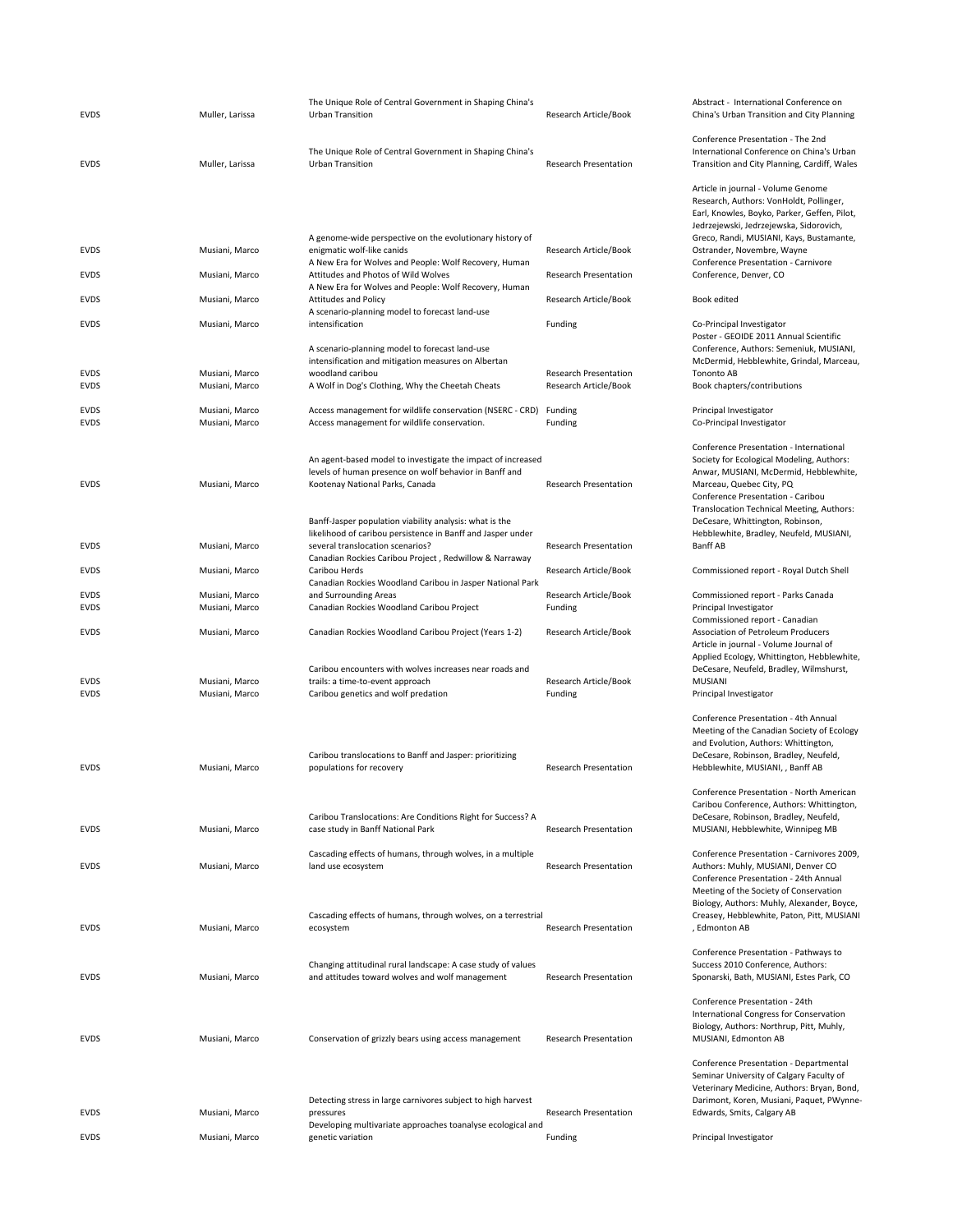| <b>EVDS</b>                | Muller, Larissa                  | The Unique Role of Central Government in Shaping China's<br><b>Urban Transition</b>                                                                                           | Research Article/Book                                 | Abstract - International<br>China's Urban Transition                                                                                                                                           |
|----------------------------|----------------------------------|-------------------------------------------------------------------------------------------------------------------------------------------------------------------------------|-------------------------------------------------------|------------------------------------------------------------------------------------------------------------------------------------------------------------------------------------------------|
| <b>EVDS</b>                | Muller, Larissa                  | The Unique Role of Central Government in Shaping China's<br><b>Urban Transition</b>                                                                                           | Research Presentation                                 | <b>Conference Presentation</b><br>International Conference<br><b>Transition and City Planr</b>                                                                                                 |
|                            |                                  |                                                                                                                                                                               |                                                       | Article in journal - Volun<br>Research, Authors: VonH<br>Earl, Knowles, Boyko, Pa<br>Jedrzejewski, Jedrzejews                                                                                  |
| <b>EVDS</b>                | Musiani, Marco                   | A genome-wide perspective on the evolutionary history of<br>enigmatic wolf-like canids<br>A New Era for Wolves and People: Wolf Recovery, Human                               | Research Article/Book                                 | Greco, Randi, MUSIANI,<br>Ostrander, Novembre, V<br>Conference Presentation                                                                                                                    |
| <b>EVDS</b>                | Musiani, Marco                   | Attitudes and Photos of Wild Wolves<br>A New Era for Wolves and People: Wolf Recovery, Human                                                                                  | <b>Research Presentation</b>                          | Conference, Denver, CO                                                                                                                                                                         |
| <b>EVDS</b>                | Musiani, Marco                   | <b>Attitudes and Policy</b><br>A scenario-planning model to forecast land-use                                                                                                 | Research Article/Book                                 | Book edited                                                                                                                                                                                    |
| <b>EVDS</b>                | Musiani, Marco                   | intensification                                                                                                                                                               | Funding                                               | Co-Principal Investigator<br>Poster - GEOIDE 2011 Ar                                                                                                                                           |
| <b>EVDS</b><br><b>EVDS</b> | Musiani, Marco<br>Musiani, Marco | A scenario-planning model to forecast land-use<br>intensification and mitigation measures on Albertan<br>woodland caribou<br>A Wolf in Dog's Clothing, Why the Cheetah Cheats | <b>Research Presentation</b><br>Research Article/Book | Conference, Authors: Se<br>McDermid, Hebblewhite<br>Tononto AB<br>Book chapters/contribut                                                                                                      |
| <b>EVDS</b>                | Musiani, Marco                   | Access management for wildlife conservation (NSERC - CRD)                                                                                                                     | Funding                                               | Principal Investigator                                                                                                                                                                         |
| <b>EVDS</b>                | Musiani, Marco                   | Access management for wildlife conservation.                                                                                                                                  | Funding                                               | Co-Principal Investigator                                                                                                                                                                      |
| <b>EVDS</b>                | Musiani, Marco                   | An agent-based model to investigate the impact of increased<br>levels of human presence on wolf behavior in Banff and<br>Kootenay National Parks, Canada                      | <b>Research Presentation</b>                          | Conference Presentation<br>Society for Ecological Mo<br>Anwar, MUSIANI, McDer<br>Marceau, Quebec City, P<br>Conference Presentation<br>Translocation Technical                                 |
| <b>EVDS</b>                | Musiani, Marco                   | Banff-Jasper population viability analysis: what is the<br>likelihood of caribou persistence in Banff and Jasper under<br>several translocation scenarios?                    | <b>Research Presentation</b>                          | DeCesare, Whittington, I<br>Hebblewhite, Bradley, N<br><b>Banff AB</b>                                                                                                                         |
| <b>EVDS</b>                | Musiani, Marco                   | Canadian Rockies Caribou Project, Redwillow & Narraway<br>Caribou Herds                                                                                                       | Research Article/Book                                 | Commissioned report - F                                                                                                                                                                        |
|                            |                                  | Canadian Rockies Woodland Caribou in Jasper National Park                                                                                                                     |                                                       |                                                                                                                                                                                                |
| <b>EVDS</b><br><b>EVDS</b> | Musiani, Marco<br>Musiani, Marco | and Surrounding Areas<br>Canadian Rockies Woodland Caribou Project                                                                                                            | Research Article/Book<br>Funding                      | Commissioned report - F<br>Principal Investigator<br>Commissioned report - 0                                                                                                                   |
| <b>EVDS</b>                | Musiani, Marco                   | Canadian Rockies Woodland Caribou Project (Years 1-2)                                                                                                                         | Research Article/Book                                 | Association of Petroleun<br>Article in journal - Volun                                                                                                                                         |
| <b>EVDS</b><br><b>EVDS</b> | Musiani, Marco<br>Musiani, Marco | Caribou encounters with wolves increases near roads and<br>trails: a time-to-event approach<br>Caribou genetics and wolf predation                                            | Research Article/Book<br>Funding                      | Applied Ecology, Whittin<br>DeCesare, Neufeld, Brad<br><b>MUSIANI</b><br>Principal Investigator                                                                                                |
| <b>EVDS</b>                | Musiani, Marco                   | Caribou translocations to Banff and Jasper: prioritizing<br>populations for recovery                                                                                          | <b>Research Presentation</b>                          | Conference Presentation<br>Meeting of the Canadian<br>and Evolution, Authors:<br>DeCesare, Robinson, Bra<br>Hebblewhite, MUSIANI,<br><b>Conference Presentation</b><br>Caribou Conference, Aut |
| <b>EVDS</b>                | Musiani, Marco                   | Caribou Translocations: Are Conditions Right for Success? A<br>case study in Banff National Park                                                                              | <b>Research Presentation</b>                          | DeCesare, Robinson, Bra<br>MUSIANI, Hebblewhite,                                                                                                                                               |
| <b>EVDS</b>                | Musiani, Marco                   | Cascading effects of humans, through wolves, in a multiple<br>land use ecosystem                                                                                              | Research Presentation                                 | Conference Presentation<br>Authors: Muhly, MUSIAN<br>Conference Presentation<br>Meeting of the Society o                                                                                       |
| EVDS                       | Musiani, Marco                   | Cascading effects of humans, through wolves, on a terrestrial<br>ecosystem                                                                                                    | <b>Research Presentation</b>                          | Biology, Authors: Muhly,<br>Creasey, Hebblewhite, P<br>, Edmonton AB                                                                                                                           |
| <b>EVDS</b>                | Musiani, Marco                   | Changing attitudinal rural landscape: A case study of values<br>and attitudes toward wolves and wolf management                                                               | <b>Research Presentation</b>                          | Conference Presentation<br>Success 2010 Conference<br>Sponarski, Bath, MUSIAN                                                                                                                  |
| <b>EVDS</b>                | Musiani, Marco                   | Conservation of grizzly bears using access management                                                                                                                         | <b>Research Presentation</b>                          | Conference Presentation<br>International Congress fo<br>Biology, Authors: Northr<br>MUSIANI, Edmonton AB                                                                                       |
| <b>EVDS</b>                | Musiani, Marco                   | Detecting stress in large carnivores subject to high harvest<br>pressures                                                                                                     | <b>Research Presentation</b>                          | <b>Conference Presentation</b><br>Seminar University of Ca<br>Veterinary Medicine, Au<br>Darimont, Koren, Musiar<br>Edwards, Smits, Calgary                                                    |
| <b>EVDS</b>                | Musiani, Marco                   | Developing multivariate approaches toanalyse ecological and<br>genetic variation                                                                                              | Funding                                               | Principal Investigator                                                                                                                                                                         |
|                            |                                  |                                                                                                                                                                               |                                                       |                                                                                                                                                                                                |

Abstract ‐ International Conference on China's Urban Transition and City Planning Conference Presentation ‐ The 2nd International Conference on China's Urban Transition and City Planning, Cardiff, Wales Article in journal ‐ Volume Genome Research, Authors: VonHoldt, Pollinger, Earl, Knowles, Boyko, Parker, Geffen, Pilot, Jedrzejewski, Jedrzejewska, Sidorovich, Greco, Randi, MUSIANI, Kays, Bustamante, Ostrander, Novembre, Wayne Conference Presentation ‐ Carnivore Conference, Denver, CO Book edited Co-Principal Investigator Poster ‐ GEOIDE 2011 Annual Scientific Conference, Authors: Semeniuk, MUSIANI, McDermid, Hebblewhite, Grindal, Marceau, Tononto AB Book chapters/contributions Principal Investigator Co-Principal Investigator Conference Presentation ‐ International Society for Ecological Modeling, Authors: Anwar, MUSIANI, McDermid, Hebblewhite, Marceau, Quebec City, PQ Conference Presentation ‐ Caribou Translocation Technical Meeting, Authors: DeCesare, Whittington, Robinson, Hebblewhite, Bradley, Neufeld, MUSIANI, Banff AB Commissioned report - Royal Dutch Shell Commissioned report ‐ Parks Canada Principal Investigator Commissioned report ‐ Canadian Association of Petroleum Producers Article in journal ‐ Volume Journal of Applied Ecology, Whittington, Hebblewhite, DeCesare, Neufeld, Bradley, Wilmshurst, MUSIANI Principal Investigator Conference Presentation ‐ 4th Annual Meeting of the Canadian Society of Ecology and Evolution, Authors: Whittington, DeCesare, Robinson, Bradley, Neufeld, Hebblewhite, MUSIANI, , Banff AB Conference Presentation ‐ North American Caribou Conference, Authors: Whittington, DeCesare, Robinson, Bradley, Neufeld, MUSIANI, Hebblewhite, Winnipeg MB Conference Presentation ‐ Carnivores 2009, Authors: Muhly, MUSIANI, Denver CO Conference Presentation ‐ 24th Annual Meeting of the Society of Conservation Biology, Authors: Muhly, Alexander, Boyce, Creasey, Hebblewhite, Paton, Pitt, MUSIANI , Edmonton AB Conference Presentation ‐ Pathways to Success 2010 Conference, Authors: Sponarski, Bath, MUSIANI, Estes Park, CO Conference Presentation ‐ 24th International Congress for Conservation Biology, Authors: Northrup, Pitt, Muhly,

Conference Presentation ‐ Departmental Seminar University of Calgary Faculty of Veterinary Medicine, Authors: Bryan, Bond, Darimont, Koren, Musiani, Paquet, PWynne‐ Edwards, Smits, Calgary AB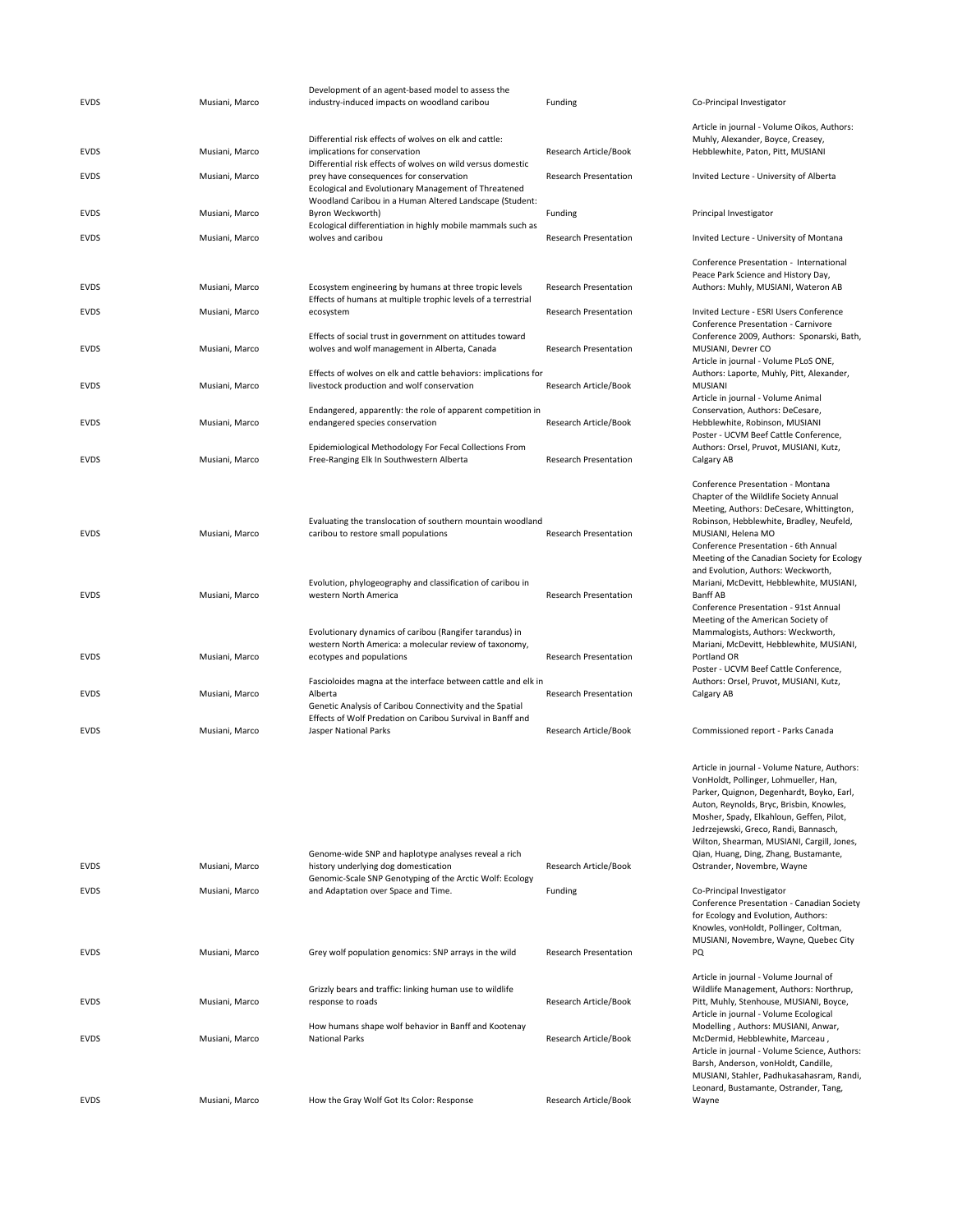| <b>EVDS</b> | Musiani, Marco | Development of an agent-based model to assess the<br>industry-induced impacts on woodland caribou                                                          | Funding                      |
|-------------|----------------|------------------------------------------------------------------------------------------------------------------------------------------------------------|------------------------------|
| <b>EVDS</b> | Musiani, Marco | Differential risk effects of wolves on elk and cattle:<br>implications for conservation<br>Differential risk effects of wolves on wild versus domestic     | Research Article/Book        |
| EVDS        | Musiani, Marco | prey have consequences for conservation<br>Ecological and Evolutionary Management of Threatened<br>Woodland Caribou in a Human Altered Landscape (Student: | <b>Research Presentation</b> |
| EVDS        | Musiani, Marco | Byron Weckworth)<br>Ecological differentiation in highly mobile mammals such as                                                                            | Funding                      |
| EVDS        | Musiani, Marco | wolves and caribou                                                                                                                                         | <b>Research Presentation</b> |
| EVDS        | Musiani, Marco | Ecosystem engineering by humans at three tropic levels<br>Effects of humans at multiple trophic levels of a terrestrial                                    | <b>Research Presentation</b> |
| EVDS        | Musiani, Marco | ecosystem                                                                                                                                                  | <b>Research Presentation</b> |
| EVDS        | Musiani, Marco | Effects of social trust in government on attitudes toward<br>wolves and wolf management in Alberta, Canada                                                 | <b>Research Presentation</b> |
| EVDS        | Musiani, Marco | Effects of wolves on elk and cattle behaviors: implications for<br>livestock production and wolf conservation                                              | Research Article/Book        |
| EVDS        | Musiani, Marco | Endangered, apparently: the role of apparent competition in<br>endangered species conservation                                                             | Research Article/Book        |
| <b>EVDS</b> | Musiani, Marco | Epidemiological Methodology For Fecal Collections From<br>Free-Ranging Elk In Southwestern Alberta                                                         | <b>Research Presentation</b> |
| EVDS        | Musiani, Marco | Evaluating the translocation of southern mountain woodland<br>caribou to restore small populations                                                         | <b>Research Presentation</b> |
| <b>EVDS</b> | Musiani, Marco | Evolution, phylogeography and classification of caribou in<br>western North America                                                                        | <b>Research Presentation</b> |
| EVDS        | Musiani, Marco | Evolutionary dynamics of caribou (Rangifer tarandus) in<br>western North America: a molecular review of taxonomy,<br>ecotypes and populations              | <b>Research Presentation</b> |
| EVDS        | Musiani, Marco | Fascioloides magna at the interface between cattle and elk in<br>Alberta<br>Genetic Analysis of Caribou Connectivity and the Spatial                       | <b>Research Presentation</b> |
| <b>EVDS</b> | Musiani, Marco | Effects of Wolf Predation on Caribou Survival in Banff and<br>Jasper National Parks                                                                        | Research Article/Book        |
|             |                |                                                                                                                                                            |                              |
| <b>EVDS</b> | Musiani, Marco | Genome-wide SNP and haplotype analyses reveal a rich<br>history underlying dog domestication                                                               | Research Article/Book        |
| <b>EVDS</b> | Musiani, Marco | Genomic-Scale SNP Genotyping of the Arctic Wolf: Ecology<br>and Adaptation over Space and Time.                                                            | Funding                      |
|             |                |                                                                                                                                                            |                              |
| EVDS        | Musiani, Marco | Grey wolf population genomics: SNP arrays in the wild                                                                                                      | <b>Research Presentation</b> |
| EVDS        | Musiani, Marco | Grizzly bears and traffic: linking human use to wildlife<br>response to roads                                                                              | Research Article/Book        |
| <b>EVDS</b> | Musiani, Marco | How humans shape wolf behavior in Banff and Kootenay<br><b>National Parks</b>                                                                              | Research Article/Book        |
|             |                |                                                                                                                                                            |                              |
| <b>EVDS</b> | Musiani, Marco | How the Gray Wolf Got Its Color: Response                                                                                                                  | Research Article/Book        |

Hebblewhite, Paton, Pitt, MUSIANI Invited Lecture - University of Alberta Principal Investigator Invited Lecture - University of Montana Conference Presentation ‐ International Peace Park Science and History Day, Authors: Muhly, MUSIANI, Wateron AB Invited Lecture - ESRI Users Conference Conference Presentation ‐ Carnivore Conference 2009, Authors: Sponarski, Bath, MUSIANI, Devrer CO Article in journal ‐ Volume PLoS ONE, Authors: Laporte, Muhly, Pitt, Alexander, MUSIANI Article in journal ‐ Volume Animal Conservation, Authors: DeCesare, Hebblewhite, Robinson, MUSIANI Poster ‐ UCVM Beef Cattle Conference, Authors: Orsel, Pruvot, MUSIANI, Kutz, Calgary AB Conference Presentation ‐ Montana Chapter of the Wildlife Society Annual Meeting, Authors: DeCesare, Whittington, Robinson, Hebblewhite, Bradley, Neufeld, MUSIANI, Helena MO Conference Presentation ‐ 6th Annual Meeting of the Canadian Society for Ecology and Evolution, Authors: Weckworth, Mariani, McDevitt, Hebblewhite, MUSIANI, Banff AB Conference Presentation ‐ 91st Annual Meeting of the American Society of Mammalogists, Authors: Weckworth, Mariani, McDevitt, Hebblewhite, MUSIANI, Portland OR Poster ‐ UCVM Beef Cattle Conference, Authors: Orsel, Pruvot, MUSIANI, Kutz, Calgary AB Commissioned report ‐ Parks Canada Article in journal ‐ Volume Nature, Authors: VonHoldt, Pollinger, Lohmueller, Han, Parker, Quignon, Degenhardt, Boyko, Earl, Auton, Reynolds, Bryc, Brisbin, Knowles, Mosher, Spady, Elkahloun, Geffen, Pilot, Jedrzejewski, Greco, Randi, Bannasch, Wilton, Shearman, MUSIANI, Cargill, Jones, Qian, Huang, Ding, Zhang, Bustamante, Ostrander, Novembre, Wayne Co-Principal Investigator Conference Presentation ‐ Canadian Society for Ecology and Evolution, Authors: Knowles, vonHoldt, Pollinger, Coltman, MUSIANI, Novembre, Wayne, Quebec City PQ Article in journal ‐ Volume Journal of Wildlife Management, Authors: Northrup, Pitt, Muhly, Stenhouse, MUSIANI, Boyce, Article in journal ‐ Volume Ecological Modelling , Authors: MUSIANI, Anwar, McDermid, Hebblewhite, Marceau , Article in journal ‐ Volume Science, Authors: Barsh, Anderson, vonHoldt, Candille,

MUSIANI, Stahler, Padhukasahasram, Randi, Leonard, Bustamante, Ostrander, Tang,

Wayne

Co-Principal Investigator

Article in journal ‐ Volume Oikos, Authors: Muhly, Alexander, Boyce, Creasey,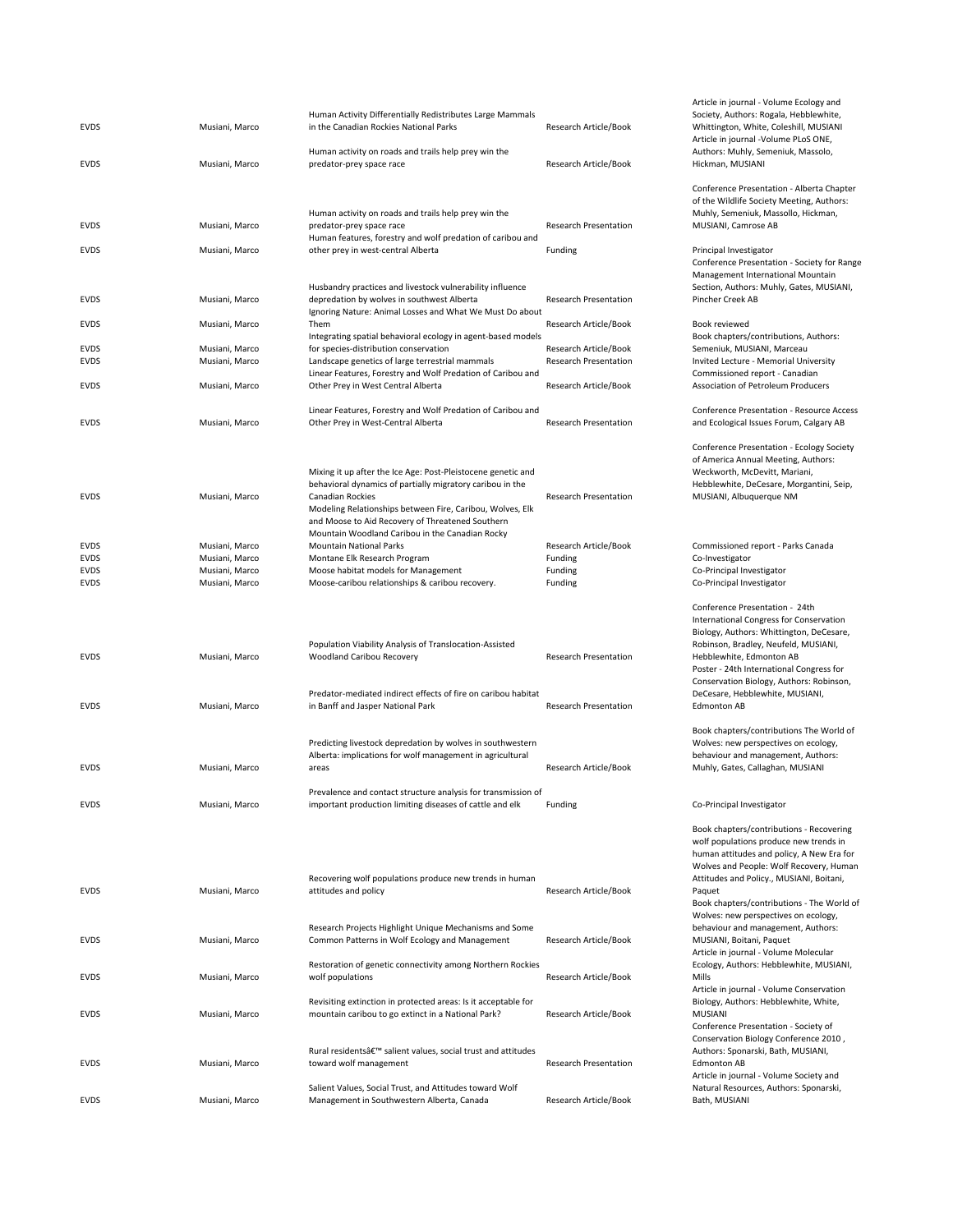| <b>EVDS</b> | Musiani, Marco | Human Activity Differentially Redistributes Large Mammals<br>in the Canadian Rockies National Parks                       | Research Article/Book        | Society, Author<br>Whittington, W<br>Article in journa |
|-------------|----------------|---------------------------------------------------------------------------------------------------------------------------|------------------------------|--------------------------------------------------------|
| EVDS        | Musiani, Marco | Human activity on roads and trails help prey win the<br>predator-prey space race                                          | Research Article/Book        | Authors: Muhly<br>Hickman, MUSI                        |
|             |                |                                                                                                                           |                              | Conference Pre                                         |
|             |                | Human activity on roads and trails help prey win the                                                                      |                              | of the Wildlife !<br>Muhly, Semeni                     |
| <b>EVDS</b> | Musiani, Marco | predator-prey space race                                                                                                  | <b>Research Presentation</b> | MUSIANI, Cami                                          |
| <b>EVDS</b> | Musiani, Marco | Human features, forestry and wolf predation of caribou and<br>other prey in west-central Alberta                          | Funding                      | Principal Invest<br>Conference Pre                     |
|             |                |                                                                                                                           |                              | Management In                                          |
| <b>EVDS</b> | Musiani, Marco | Husbandry practices and livestock vulnerability influence<br>depredation by wolves in southwest Alberta                   | <b>Research Presentation</b> | Section, Author<br>Pincher Creek A                     |
| <b>EVDS</b> | Musiani, Marco | Ignoring Nature: Animal Losses and What We Must Do about<br>Them                                                          | Research Article/Book        | Book reviewed                                          |
|             |                | Integrating spatial behavioral ecology in agent-based models                                                              |                              | Book chapters/                                         |
| EVDS        | Musiani, Marco | for species-distribution conservation                                                                                     | Research Article/Book        | Semeniuk, MUS                                          |
| <b>EVDS</b> | Musiani, Marco | Landscape genetics of large terrestrial mammals                                                                           | Research Presentation        | <b>Invited Lecture</b>                                 |
| <b>EVDS</b> | Musiani, Marco | Linear Features, Forestry and Wolf Predation of Caribou and<br>Other Prey in West Central Alberta                         | Research Article/Book        | Commissioned<br>Association of F                       |
|             |                |                                                                                                                           |                              |                                                        |
| <b>EVDS</b> | Musiani, Marco | Linear Features, Forestry and Wolf Predation of Caribou and<br>Other Prey in West-Central Alberta                         | Research Presentation        | Conference Pre<br>and Ecological I                     |
|             |                |                                                                                                                           |                              | Conference Pre                                         |
|             |                |                                                                                                                           |                              | of America Ann                                         |
|             |                | Mixing it up after the Ice Age: Post-Pleistocene genetic and                                                              |                              | Weckworth, M                                           |
|             |                | behavioral dynamics of partially migratory caribou in the                                                                 |                              | Hebblewhite, D                                         |
| <b>EVDS</b> | Musiani, Marco | Canadian Rockies                                                                                                          | Research Presentation        | MUSIANI, Albu                                          |
|             |                | Modeling Relationships between Fire, Caribou, Wolves, Elk<br>and Moose to Aid Recovery of Threatened Southern             |                              |                                                        |
|             |                | Mountain Woodland Caribou in the Canadian Rocky                                                                           |                              |                                                        |
| EVDS        | Musiani, Marco | <b>Mountain National Parks</b>                                                                                            | Research Article/Book        | Commissioned                                           |
| EVDS        | Musiani, Marco | Montane Elk Research Program                                                                                              | Funding                      | Co-Investigator                                        |
| EVDS        | Musiani, Marco | Moose habitat models for Management                                                                                       | Funding                      | Co-Principal Inv                                       |
| <b>EVDS</b> | Musiani, Marco | Moose-caribou relationships & caribou recovery.                                                                           | Funding                      | Co-Principal Inv                                       |
|             |                |                                                                                                                           |                              | Conference Pre                                         |
|             |                |                                                                                                                           |                              | International C                                        |
|             |                |                                                                                                                           |                              | Biology, Author                                        |
|             |                | Population Viability Analysis of Translocation-Assisted                                                                   |                              | Robinson, Brad                                         |
| <b>EVDS</b> | Musiani, Marco | Woodland Caribou Recovery                                                                                                 | <b>Research Presentation</b> | Hebblewhite, E                                         |
|             |                |                                                                                                                           |                              | Poster - 24th In<br>Conservation B                     |
|             |                | Predator-mediated indirect effects of fire on caribou habitat                                                             |                              | DeCesare, Hebl                                         |
| <b>EVDS</b> | Musiani, Marco | in Banff and Jasper National Park                                                                                         | <b>Research Presentation</b> | <b>Edmonton AB</b>                                     |
|             |                |                                                                                                                           |                              | Book chapters/                                         |
|             |                | Predicting livestock depredation by wolves in southwestern                                                                |                              | Wolves: new pe                                         |
|             |                | Alberta: implications for wolf management in agricultural                                                                 |                              | behaviour and                                          |
| <b>EVDS</b> | Musiani, Marco | areas                                                                                                                     | Research Article/Book        | Muhly, Gates, O                                        |
|             |                |                                                                                                                           |                              |                                                        |
| <b>EVDS</b> | Musiani, Marco | Prevalence and contact structure analysis for transmission of<br>important production limiting diseases of cattle and elk | Funding                      | Co-Principal Inv                                       |
|             |                |                                                                                                                           |                              |                                                        |
|             |                |                                                                                                                           |                              | Book chapters/                                         |
|             |                |                                                                                                                           |                              | wolf population                                        |
|             |                |                                                                                                                           |                              | human attitude<br>Wolves and Peo                       |
|             |                | Recovering wolf populations produce new trends in human                                                                   |                              | Attitudes and P                                        |
| <b>EVDS</b> | Musiani, Marco | attitudes and policy                                                                                                      | Research Article/Book        | Paquet                                                 |
|             |                |                                                                                                                           |                              | Book chapters/                                         |
|             |                |                                                                                                                           |                              | Wolves: new pe                                         |
|             |                | Research Projects Highlight Unique Mechanisms and Some                                                                    |                              | behaviour and                                          |
| <b>EVDS</b> | Musiani, Marco | Common Patterns in Wolf Ecology and Management                                                                            | Research Article/Book        | MUSIANI, Boita                                         |
|             |                |                                                                                                                           |                              | Article in journa                                      |
| <b>EVDS</b> | Musiani, Marco | Restoration of genetic connectivity among Northern Rockies<br>wolf populations                                            | Research Article/Book        | Ecology, Autho<br>Mills                                |
|             |                |                                                                                                                           |                              | Article in journa                                      |
|             |                | Revisiting extinction in protected areas: Is it acceptable for                                                            |                              | Biology, Author                                        |
| <b>EVDS</b> | Musiani, Marco | mountain caribou to go extinct in a National Park?                                                                        | Research Article/Book        | <b>MUSIANI</b>                                         |
|             |                |                                                                                                                           |                              | Conference Pre                                         |
|             |                |                                                                                                                           |                              | <b>Conservation B</b>                                  |
| <b>EVDS</b> | Musiani, Marco | Rural residentsâ€ <sup>™</sup> salient values, social trust and attitudes<br>toward wolf management                       | <b>Research Presentation</b> | Authors: Spona<br><b>Edmonton AB</b>                   |
|             |                |                                                                                                                           |                              | Article in journa                                      |
|             |                | Salient Values, Social Trust, and Attitudes toward Wolf                                                                   |                              | Natural Resour                                         |
| <b>EVDS</b> | Musiani, Marco | Management in Southwestern Alberta, Canada                                                                                | Research Article/Book        | Bath, MUSIANI                                          |

Article in journal ‐ Volume Ecology and Society, Authors: Rogala, Hebblewhite, Whittington, White, Coleshill, MUSIANI Article in journal ‐Volume PLoS ONE, Authors: Muhly, Semeniuk, Massolo, Hickman, MUSIANI Conference Presentation ‐ Alberta Chapter of the Wildlife Society Meeting, Authors: Muhly, Semeniuk, Massollo, Hickman, MUSIANI, Camrose AB

Principal Investigator Conference Presentation ‐ Society for Range Management International Mountain Section, Authors: Muhly, Gates, MUSIANI, Pincher Creek AB

Book reviewed Book chapters/contributions, Authors: Semeniuk, MUSIANI, Marceau Invited Lecture - Memorial University Commissioned report ‐ Canadian Association of Petroleum Producers

Conference Presentation ‐ Resource Access and Ecological Issues Forum, Calgary AB

Conference Presentation ‐ Ecology Society of America Annual Meeting, Authors: Weckworth, McDevitt, Mariani, Hebblewhite, DeCesare, Morgantini, Seip, MUSIANI, Albuquerque NM

Commissioned report - Parks Canada<br>Co-Investigator Co-Principal Investigator Co-Principal Investigator

Conference Presentation ‐ 24th International Congress for Conservation Biology, Authors: Whittington, DeCesare, Robinson, Bradley, Neufeld, MUSIANI, Hebblewhite, Edmonton AB Poster ‐ 24th International Congress for Conservation Biology, Authors: Robinson, DeCesare, Hebblewhite, MUSIANI, Edmonton AB

Book chapters/contributions The World of Wolves: new perspectives on ecology, behaviour and management, Authors: Muhly, Gates, Callaghan, MUSIANI

Co-Principal Investigator

| Book chapters/contributions - Recovering   |
|--------------------------------------------|
| wolf populations produce new trends in     |
| human attitudes and policy, A New Era for  |
| Wolves and People: Wolf Recovery, Human    |
| Attitudes and Policy., MUSIANI, Boitani,   |
| Paquet                                     |
| Book chapters/contributions - The World of |
| Wolves: new perspectives on ecology,       |
| behaviour and management, Authors:         |
| MUSIANI, Boitani, Paquet                   |
| Article in journal - Volume Molecular      |
| Ecology, Authors: Hebblewhite, MUSIANI,    |
| Mills                                      |
| Article in journal - Volume Conservation   |
| Biology, Authors: Hebblewhite, White,      |
| MUSIANI                                    |
| Conference Presentation - Society of       |
| Conservation Biology Conference 2010,      |
| Authors: Sponarski, Bath, MUSIANI,         |
| <b>Fdmonton AB</b>                         |
| Article in journal - Volume Society and    |
| Natural Resources, Authors: Sponarski,     |
| Bath, MUSIANI                              |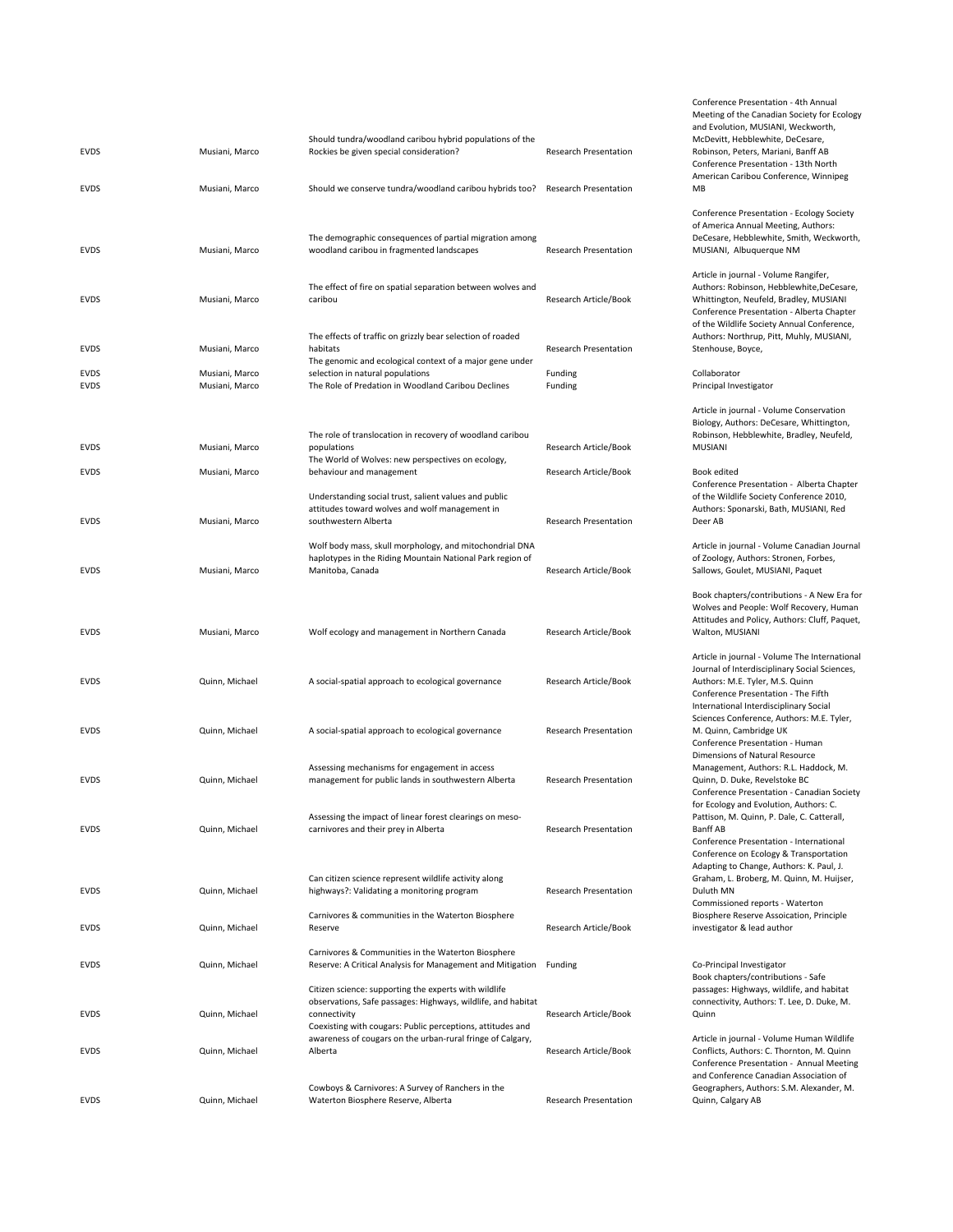| <b>EVDS</b> | Musiani, Marco | Should tundra/woodland caribou hybrid populations of the<br>Rockies be given special consideration? | <b>Research Presentation</b> | and Evolutio<br>McDevitt, He<br>Robinson, Pe |
|-------------|----------------|-----------------------------------------------------------------------------------------------------|------------------------------|----------------------------------------------|
|             |                |                                                                                                     |                              | Conference I<br>American Ca                  |
| <b>EVDS</b> | Musiani, Marco | Should we conserve tundra/woodland caribou hybrids too?                                             | <b>Research Presentation</b> | MB                                           |
|             |                |                                                                                                     |                              | Conference I<br>of America A                 |
|             |                | The demographic consequences of partial migration among                                             |                              | DeCesare, H                                  |
| <b>EVDS</b> | Musiani, Marco | woodland caribou in fragmented landscapes                                                           | <b>Research Presentation</b> | MUSIANI, A                                   |
|             |                | The effect of fire on spatial separation between wolves and                                         |                              | Article in jou<br>Authors: Rob               |
| <b>EVDS</b> | Musiani, Marco | caribou                                                                                             | Research Article/Book        | Whittington,                                 |
|             |                |                                                                                                     |                              | Conference I<br>of the Wildli                |
|             |                | The effects of traffic on grizzly bear selection of roaded                                          |                              | Authors: Nor                                 |
| EVDS        | Musiani, Marco | habitats<br>The genomic and ecological context of a major gene under                                | <b>Research Presentation</b> | Stenhouse, E                                 |
| <b>EVDS</b> | Musiani, Marco | selection in natural populations                                                                    | Funding                      | Collaborator                                 |
| <b>EVDS</b> | Musiani, Marco | The Role of Predation in Woodland Caribou Declines                                                  | Funding                      | Principal Inv                                |
|             |                |                                                                                                     |                              | Article in jou<br>Biology, Autl              |
|             |                | The role of translocation in recovery of woodland caribou                                           |                              | Robinson, H                                  |
| <b>EVDS</b> | Musiani, Marco | populations                                                                                         | Research Article/Book        | <b>MUSIANI</b>                               |
| <b>EVDS</b> | Musiani, Marco | The World of Wolves: new perspectives on ecology,<br>behaviour and management                       | Research Article/Book        | Book edited                                  |
|             |                | Understanding social trust, salient values and public                                               |                              | Conference I                                 |
|             |                | attitudes toward wolves and wolf management in                                                      |                              | of the Wildli<br>Authors: Spo                |
| <b>EVDS</b> | Musiani, Marco | southwestern Alberta                                                                                | <b>Research Presentation</b> | Deer AB                                      |
|             |                | Wolf body mass, skull morphology, and mitochondrial DNA                                             |                              | Article in jou                               |
| <b>EVDS</b> | Musiani, Marco | haplotypes in the Riding Mountain National Park region of<br>Manitoba, Canada                       | Research Article/Book        | of Zoology, A<br>Sallows, Gou                |
|             |                |                                                                                                     |                              |                                              |
|             |                |                                                                                                     |                              | Book chapte<br>Wolves and                    |
|             |                |                                                                                                     |                              | Attitudes an                                 |
| <b>EVDS</b> | Musiani, Marco | Wolf ecology and management in Northern Canada                                                      | Research Article/Book        | Walton, MU:                                  |
|             |                |                                                                                                     |                              | Article in jou                               |
| <b>EVDS</b> | Quinn, Michael | A social-spatial approach to ecological governance                                                  | Research Article/Book        | Journal of In<br>Authors: M.                 |
|             |                |                                                                                                     |                              | Conference I                                 |
|             |                |                                                                                                     |                              | Internationa<br><b>Sciences Cor</b>          |
| <b>EVDS</b> | Quinn, Michael | A social-spatial approach to ecological governance                                                  | <b>Research Presentation</b> | M. Quinn, Ca                                 |
|             |                |                                                                                                     |                              | Conference I<br><b>Dimensions</b>            |
|             |                | Assessing mechanisms for engagement in access                                                       |                              | Managemen                                    |
| <b>EVDS</b> | Quinn, Michael | management for public lands in southwestern Alberta                                                 | <b>Research Presentation</b> | Quinn, D. Du<br>Conference I                 |
|             |                |                                                                                                     |                              | for Ecology a                                |
| <b>EVDS</b> | Quinn, Michael | Assessing the impact of linear forest clearings on meso-<br>carnivores and their prey in Alberta    | <b>Research Presentation</b> | Pattison, M.<br>Banff AB                     |
|             |                |                                                                                                     |                              | Conference I                                 |
|             |                |                                                                                                     |                              | Conference<br>Adapting to                    |
|             |                | Can citizen science represent wildlife activity along                                               |                              | Graham, L. B                                 |
| <b>EVDS</b> | Quinn, Michael | highways?: Validating a monitoring program                                                          | <b>Research Presentation</b> | Duluth MN<br>Commission                      |
|             |                | Carnivores & communities in the Waterton Biosphere                                                  |                              | Biosphere Re                                 |
| EVDS        | Quinn, Michael | Reserve                                                                                             | Research Article/Book        | investigator                                 |
|             |                | Carnivores & Communities in the Waterton Biosphere                                                  |                              |                                              |
| EVDS        | Quinn, Michael | Reserve: A Critical Analysis for Management and Mitigation                                          | Funding                      | Co-Principal<br>Book chapte                  |
|             |                | Citizen science: supporting the experts with wildlife                                               |                              | passages: Hi                                 |
| <b>EVDS</b> | Quinn, Michael | observations, Safe passages: Highways, wildlife, and habitat<br>connectivity                        | Research Article/Book        | connectivity<br>Quinn                        |
|             |                | Coexisting with cougars: Public perceptions, attitudes and                                          |                              |                                              |
| <b>EVDS</b> | Quinn, Michael | awareness of cougars on the urban-rural fringe of Calgary,<br>Alberta                               | Research Article/Book        | Article in jou<br>Conflicts, Au              |
|             |                |                                                                                                     |                              | Conference I<br>and Confere                  |
|             |                | Cowboys & Carnivores: A Survey of Ranchers in the                                                   |                              | Geographers                                  |
| <b>EVDS</b> | Quinn, Michael | Waterton Biosphere Reserve, Alberta                                                                 | <b>Research Presentation</b> | Quinn, Calga                                 |

Conference Presentation ‐ 4th Annual Meeting of the Canadian Society for Ecology and Evolution, MUSIANI, Weckworth, McDevitt, Hebblewhite, DeCesare, Robinson, Peters, Mariani, Banff AB Conference Presentation ‐ 13th North American Caribou Conference, Winnipeg MB

Conference Presentation ‐ Ecology Society of America Annual Meeting, Authors: DeCesare, Hebblewhite, Smith, Weckworth, MUSIANI, Albuquerque NM Article in journal ‐ Volume Rangifer, Authors: Robinson, Hebblewhite,DeCesare, Whittington, Neufeld, Bradley, MUSIANI Conference Presentation ‐ Alberta Chapter of the Wildlife Society Annual Conference, Authors: Northrup, Pitt, Muhly, MUSIANI, Stenhouse, Boyce, Principal Investigator Article in journal ‐ Volume Conservation Biology, Authors: DeCesare, Whittington, Robinson, Hebblewhite, Bradley, Neufeld, MUSIANI Book edited Conference Presentation ‐ Alberta Chapter of the Wildlife Society Conference 2010, Authors: Sponarski, Bath, MUSIANI, Red Deer AB Article in journal ‐ Volume Canadian Journal of Zoology, Authors: Stronen, Forbes, Sallows, Goulet, MUSIANI, Paquet Book chapters/contributions ‐ A New Era for Wolves and People: Wolf Recovery, Human Attitudes and Policy, Authors: Cluff, Paquet, Walton, MUSIANI Article in journal ‐ Volume The International Journal of Interdisciplinary Social Sciences, Authors: M.E. Tyler, M.S. Quinn Conference Presentation ‐ The Fifth International Interdisciplinary Social Sciences Conference, Authors: M.E. Tyler, M. Quinn, Cambridge UK Conference Presentation ‐ Human Dimensions of Natural Resource Management, Authors: R.L. Haddock, M. Quinn, D. Duke, Revelstoke BC Conference Presentation ‐ Canadian Society for Ecology and Evolution, Authors: C. Pattison, M. Quinn, P. Dale, C. Catterall, Banff AB Conference Presentation ‐ International Conference on Ecology & Transportation Adapting to Change, Authors: K. Paul, J. Graham, L. Broberg, M. Quinn, M. Huijser, Duluth MN Commissioned reports ‐ Waterton Biosphere Reserve Assoication, Principle investigator & lead author Co-Principal Investigator Book chapters/contributions ‐ Safe passages: Highways, wildlife, and habitat connectivity, Authors: T. Lee, D. Duke, M. Quinn Article in journal ‐ Volume Human Wildlife

Conflicts, Authors: C. Thornton, M. Quinn Conference Presentation ‐ Annual Meeting and Conference Canadian Association of Geographers, Authors: S.M. Alexander, M. Quinn, Calgary AB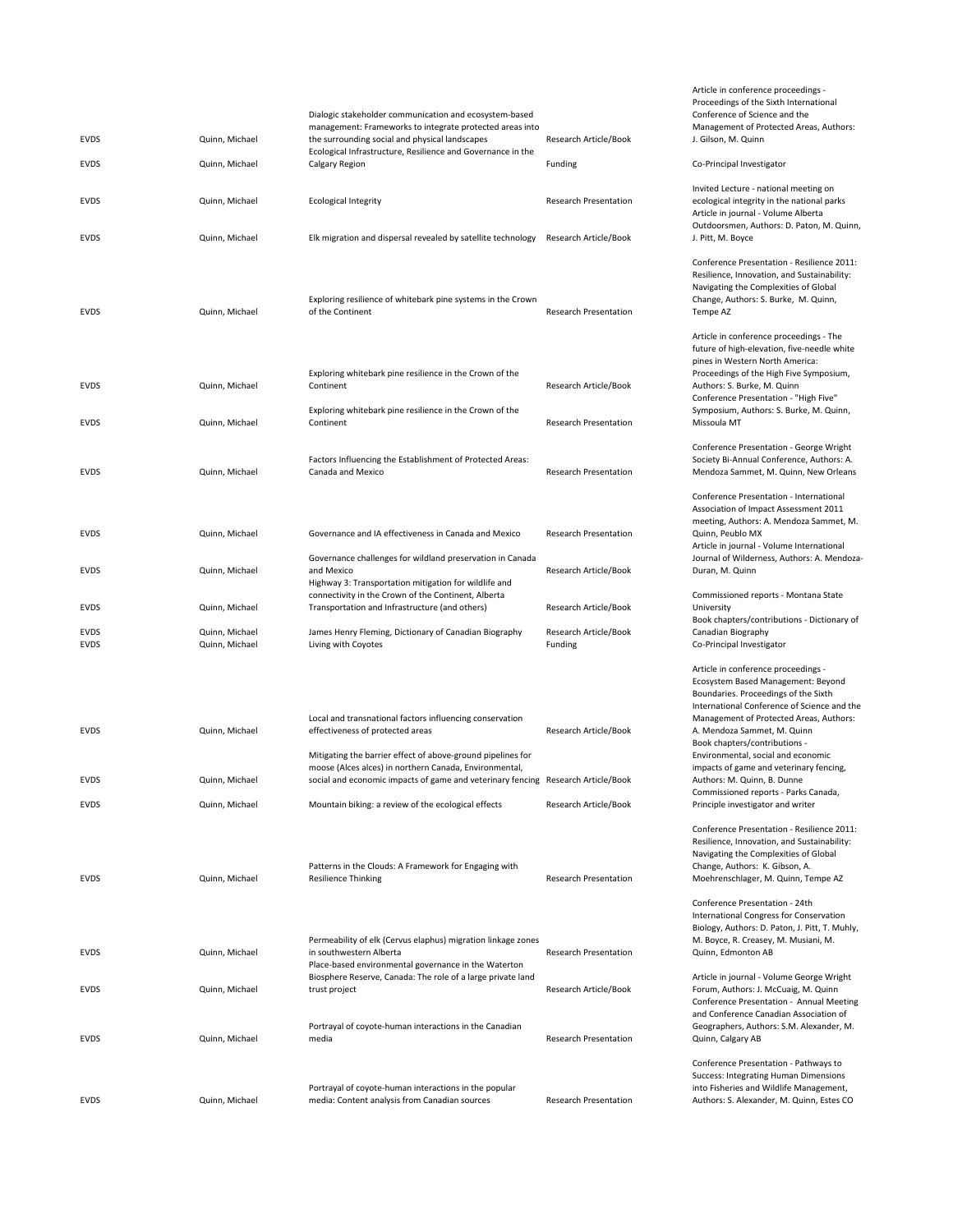| <b>EVDS</b><br><b>EVDS</b> | Quinn, Michael<br>Quinn, Michael | Dialogic stakeholder communication and ecosystem-based<br>management: Frameworks to integrate protected areas into<br>the surrounding social and physical landscapes<br>Ecological Infrastructure, Resilience and Governance in the<br>Calgary Region | Research Article/Book<br>Funding |
|----------------------------|----------------------------------|-------------------------------------------------------------------------------------------------------------------------------------------------------------------------------------------------------------------------------------------------------|----------------------------------|
| <b>EVDS</b>                | Quinn, Michael                   | Ecological Integrity                                                                                                                                                                                                                                  | <b>Research Presentation</b>     |
| <b>EVDS</b>                | Quinn, Michael                   | Elk migration and dispersal revealed by satellite technology                                                                                                                                                                                          | Research Article/Book            |
| <b>EVDS</b>                | Quinn, Michael                   | Exploring resilience of whitebark pine systems in the Crown<br>of the Continent                                                                                                                                                                       | <b>Research Presentation</b>     |
| <b>EVDS</b>                | Quinn, Michael                   | Exploring whitebark pine resilience in the Crown of the<br>Continent                                                                                                                                                                                  | Research Article/Book            |
| <b>EVDS</b>                | Quinn, Michael                   | Exploring whitebark pine resilience in the Crown of the<br>Continent                                                                                                                                                                                  | Research Presentation            |
| <b>EVDS</b>                | Quinn, Michael                   | Factors Influencing the Establishment of Protected Areas:<br>Canada and Mexico                                                                                                                                                                        | <b>Research Presentation</b>     |
| <b>EVDS</b>                | Quinn, Michael                   | Governance and IA effectiveness in Canada and Mexico                                                                                                                                                                                                  | <b>Research Presentation</b>     |
| <b>EVDS</b>                | Quinn, Michael                   | Governance challenges for wildland preservation in Canada<br>and Mexico<br>Highway 3: Transportation mitigation for wildlife and                                                                                                                      | Research Article/Book            |
| <b>EVDS</b>                | Quinn, Michael                   | connectivity in the Crown of the Continent, Alberta<br>Transportation and Infrastructure (and others)                                                                                                                                                 | Research Article/Book            |
| <b>EVDS</b><br><b>EVDS</b> | Quinn, Michael<br>Quinn, Michael | James Henry Fleming, Dictionary of Canadian Biography<br>Living with Coyotes                                                                                                                                                                          | Research Article/Book<br>Funding |
|                            |                                  |                                                                                                                                                                                                                                                       |                                  |
| <b>EVDS</b>                | Quinn, Michael                   | Local and transnational factors influencing conservation<br>effectiveness of protected areas                                                                                                                                                          | Research Article/Book            |
| <b>EVDS</b>                | Quinn, Michael                   | Mitigating the barrier effect of above-ground pipelines for<br>moose (Alces alces) in northern Canada, Environmental,<br>social and economic impacts of game and veterinary fencing Research Article/Book                                             |                                  |
| <b>EVDS</b>                | Quinn, Michael                   | Mountain biking: a review of the ecological effects                                                                                                                                                                                                   | Research Article/Book            |
| <b>EVDS</b>                | Quinn, Michael                   | Patterns in the Clouds: A Framework for Engaging with<br><b>Resilience Thinking</b>                                                                                                                                                                   | <b>Research Presentation</b>     |
| <b>EVDS</b>                | Quinn, Michael                   | Permeability of elk (Cervus elaphus) migration linkage zones<br>in southwestern Alberta<br>Place-based environmental governance in the Waterton                                                                                                       | <b>Research Presentation</b>     |
| <b>EVDS</b>                | Quinn, Michael                   | Biosphere Reserve, Canada: The role of a large private land<br>trust project                                                                                                                                                                          | Research Article/Book            |
| EVDS                       | Quinn, Michael                   | Portrayal of coyote-human interactions in the Canadian<br>media                                                                                                                                                                                       | <b>Research Presentation</b>     |
| <b>EVDS</b>                | Quinn, Michael                   | Portrayal of coyote-human interactions in the popular<br>media: Content analysis from Canadian sources                                                                                                                                                | <b>Research Presentation</b>     |

J. Gilson, M. Quinn Co-Principal Investigator Invited Lecture ‐ national meeting on ecological integrity in the national parks Article in journal ‐ Volume Alberta Outdoorsmen, Authors: D. Paton, M. Quinn, J. Pitt, M. Boyce Conference Presentation ‐ Resilience 2011: Resilience, Innovation, and Sustainability: Navigating the Complexities of Global Change, Authors: S. Burke, M. Quinn, Tempe AZ Article in conference proceedings ‐ The future of high‐elevation, five‐needle white pines in Western North America: Proceedings of the High Five Symposium, Authors: S. Burke, M. Quinn Conference Presentation ‐ "High Five" Symposium, Authors: S. Burke, M. Quinn, Missoula MT Conference Presentation ‐ George Wright Society Bi‐Annual Conference, Authors: A. Mendoza Sammet, M. Quinn, New Orleans Conference Presentation ‐ International Association of Impact Assessment 2011 meeting, Authors: A. Mendoza Sammet, M. Quinn, Peublo MX Article in journal ‐ Volume International Journal of Wilderness, Authors: A. Mendoza‐ Duran, M. Quinn Commissioned reports ‐ Montana State University Book chapters/contributions ‐ Dictionary of Canadian Biography Co-Principal Investigator Article in conference proceedings ‐ Ecosystem Based Management: Beyond Boundaries. Proceedings of the Sixth International Conference of Science and the Management of Protected Areas, Authors: A. Mendoza Sammet, M. Quinn Book chapters/contributions ‐ Environmental, social and economic impacts of game and veterinary fencing, Authors: M. Quinn, B. Dunne Commissioned reports ‐ Parks Canada, Principle investigator and writer Conference Presentation ‐ Resilience 2011: Resilience, Innovation, and Sustainability: Navigating the Complexities of Global Change, Authors: K. Gibson, A. Moehrenschlager, M. Quinn, Tempe AZ

Article in conference proceedings ‐ Proceedings of the Sixth International Conference of Science and the Management of Protected Areas, Authors:

Conference Presentation ‐ 24th International Congress for Conservation Biology, Authors: D. Paton, J. Pitt, T. Muhly, M. Boyce, R. Creasey, M. Musiani, M. Quinn, Edmonton AB

Article in journal ‐ Volume George Wright Forum, Authors: J. McCuaig, M. Quinn Conference Presentation ‐ Annual Meeting and Conference Canadian Association of Geographers, Authors: S.M. Alexander, M. Quinn, Calgary AB

Conference Presentation ‐ Pathways to Success: Integrating Human Dimensions into Fisheries and Wildlife Management, Authors: S. Alexander, M. Quinn, Estes CO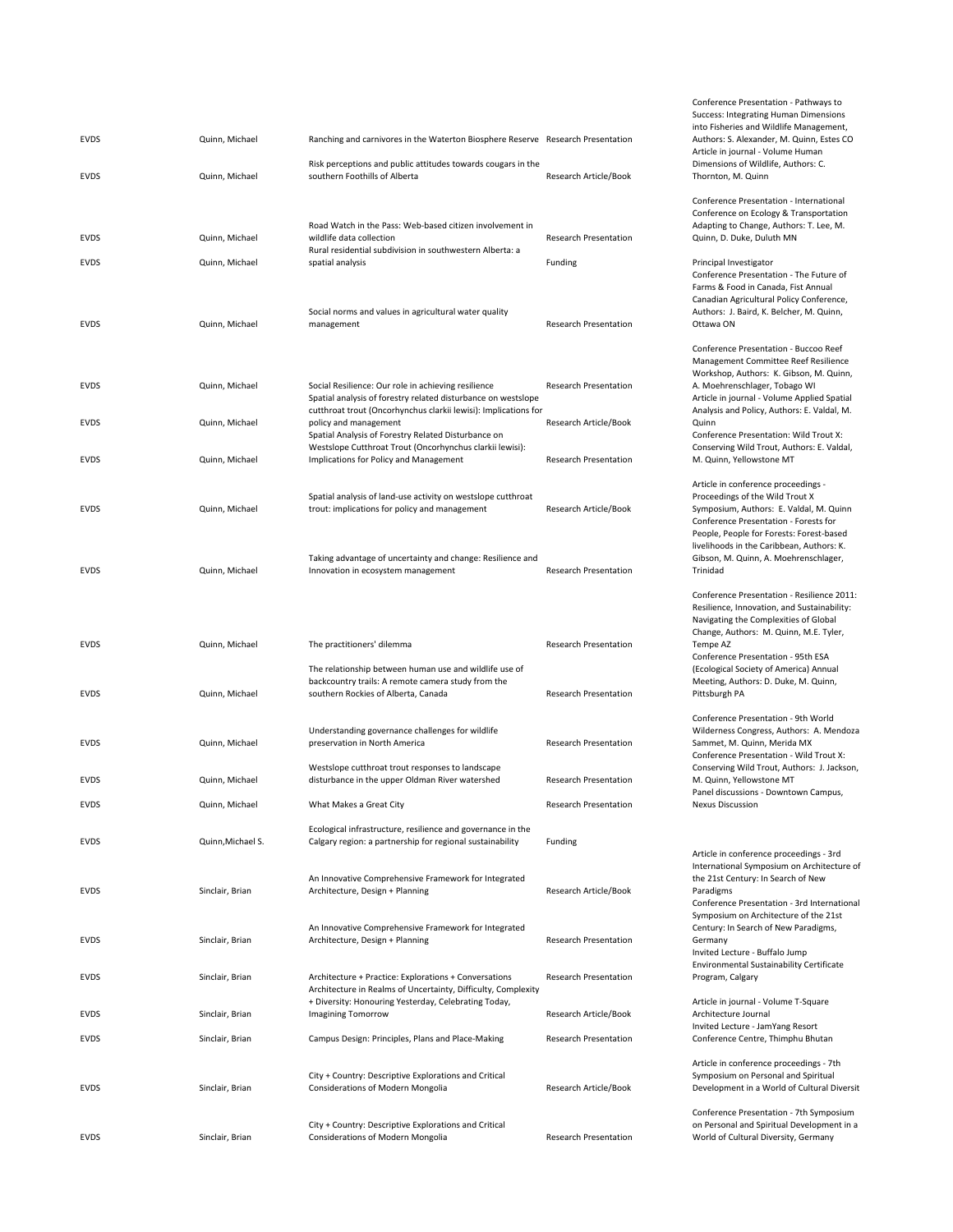| <b>EVDS</b>                | Quinn, Michael                   | Ranching and carnivores in the Waterton Biosphere Reserve Research Presentation                                                                                      |                                         |
|----------------------------|----------------------------------|----------------------------------------------------------------------------------------------------------------------------------------------------------------------|-----------------------------------------|
| <b>EVDS</b>                | Quinn, Michael                   | Risk perceptions and public attitudes towards cougars in the<br>southern Foothills of Alberta                                                                        | Research Article/Book                   |
| <b>EVDS</b><br><b>EVDS</b> | Quinn, Michael<br>Quinn, Michael | Road Watch in the Pass: Web-based citizen involvement in<br>wildlife data collection<br>Rural residential subdivision in southwestern Alberta: a<br>spatial analysis | <b>Research Presentation</b><br>Funding |
| <b>EVDS</b>                | Quinn, Michael                   | Social norms and values in agricultural water quality<br>management                                                                                                  | <b>Research Presentation</b>            |
| <b>EVDS</b>                | Quinn, Michael                   | Social Resilience: Our role in achieving resilience<br>Spatial analysis of forestry related disturbance on westslope                                                 | <b>Research Presentation</b>            |
| <b>EVDS</b>                | Quinn, Michael                   | cutthroat trout (Oncorhynchus clarkii lewisi): Implications for<br>policy and management<br>Spatial Analysis of Forestry Related Disturbance on                      | Research Article/Book                   |
| <b>EVDS</b>                | Quinn, Michael                   | Westslope Cutthroat Trout (Oncorhynchus clarkii lewisi):<br>Implications for Policy and Management                                                                   | <b>Research Presentation</b>            |
| <b>EVDS</b>                | Quinn, Michael                   | Spatial analysis of land-use activity on westslope cutthroat<br>trout: implications for policy and management                                                        | Research Article/Book                   |
| <b>EVDS</b>                | Quinn, Michael                   | Taking advantage of uncertainty and change: Resilience and<br>Innovation in ecosystem management                                                                     | <b>Research Presentation</b>            |
| <b>EVDS</b>                | Quinn, Michael                   | The practitioners' dilemma                                                                                                                                           | <b>Research Presentation</b>            |
| <b>EVDS</b>                | Quinn, Michael                   | The relationship between human use and wildlife use of<br>backcountry trails: A remote camera study from the<br>southern Rockies of Alberta, Canada                  | <b>Research Presentation</b>            |
| <b>EVDS</b>                | Quinn, Michael                   | Understanding governance challenges for wildlife<br>preservation in North America                                                                                    | <b>Research Presentation</b>            |
| <b>EVDS</b>                |                                  |                                                                                                                                                                      |                                         |
|                            | Quinn, Michael                   | Westslope cutthroat trout responses to landscape<br>disturbance in the upper Oldman River watershed                                                                  | <b>Research Presentation</b>            |
| <b>EVDS</b>                | Quinn, Michael                   | What Makes a Great City                                                                                                                                              | <b>Research Presentation</b>            |
| <b>EVDS</b>                | Quinn, Michael S.                | Ecological infrastructure, resilience and governance in the<br>Calgary region: a partnership for regional sustainability                                             | Funding                                 |
| <b>EVDS</b>                | Sinclair, Brian                  | An Innovative Comprehensive Framework for Integrated<br>Architecture, Design + Planning                                                                              | Research Article/Book                   |
| <b>EVDS</b>                | Sinclair, Brian                  | An Innovative Comprehensive Framework for Integrated<br>Architecture, Design + Planning                                                                              | <b>Research Presentation</b>            |
| <b>EVDS</b>                | Sinclair, Brian                  | Architecture + Practice: Explorations + Conversations<br>Architecture in Realms of Uncertainty, Difficulty, Complexity                                               | <b>Research Presentation</b>            |
| <b>EVDS</b>                | Sinclair, Brian                  | + Diversity: Honouring Yesterday, Celebrating Today,<br><b>Imagining Tomorrow</b>                                                                                    | Research Article/Book                   |
| <b>EVDS</b>                | Sinclair, Brian                  | Campus Design: Principles, Plans and Place-Making                                                                                                                    | <b>Research Presentation</b>            |
| <b>EVDS</b>                | Sinclair, Brian                  | City + Country: Descriptive Explorations and Critical<br>Considerations of Modern Mongolia                                                                           | Research Article/Book                   |

Conference Presentation ‐ Pathways to Success: Integrating Human Dimensions into Fisheries and Wildlife Management, Authors: S. Alexander, M. Quinn, Estes CO Article in journal ‐ Volume Human Dimensions of Wildlife, Authors: C. Thornton, M. Quinn

Conference Presentation ‐ International Conference on Ecology & Transportation Adapting to Change, Authors: T. Lee, M. Quinn, D. Duke, Duluth MN

Principal Investigator Conference Presentation ‐ The Future of Farms & Food in Canada, Fist Annual Canadian Agricultural Policy Conference, Authors: J. Baird, K. Belcher, M. Quinn, Ottawa ON

Conference Presentation ‐ Buccoo Reef Management Committee Reef Resilience Workshop, Authors: K. Gibson, M. Quinn, A. Moehrenschlager, Tobago WI Article in journal ‐ Volume Applied Spatial Analysis and Policy, Authors: E. Valdal, M. Quinn Conference Presentation: Wild Trout X: Conserving Wild Trout, Authors: E. Valdal, M. Quinn, Yellowstone MT Article in conference proceedings ‐ Proceedings of the Wild Trout X Symposium, Authors: E. Valdal, M. Quinn Conference Presentation ‐ Forests for People, People for Forests: Forest‐based livelihoods in the Caribbean, Authors: K. Gibson, M. Quinn, A. Moehrenschlager, Trinidad Conference Presentation ‐ Resilience 2011: Resilience, Innovation, and Sustainability: Navigating the Complexities of Global Change, Authors: M. Quinn, M.E. Tyler, Tempe AZ Conference Presentation ‐ 95th ESA (Ecological Society of America) Annual Meeting, Authors: D. Duke, M. Quinn, Pittsburgh PA

Conference Presentation ‐ 9th World Wilderness Congress, Authors: A. Mendoza Sammet, M. Quinn, Merida MX Conference Presentation ‐ Wild Trout X: Conserving Wild Trout, Authors: J. Jackson, M. Quinn, Yellowstone MT Panel discussions ‐ Downtown Campus, Nexus Discussion

## Article in conference proceedings ‐ 3rd International Symposium on Architecture of the 21st Century: In Search of New Paradigms Conference Presentation ‐ 3rd International Symposium on Architecture of the 21st Century: In Search of New Paradigms, Germany Invited Lecture ‐ Buffalo Jump Environmental Sustainability Certificate Program, Calgary Article in journal ‐ Volume T‐Square

Architecture Journal Invited Lecture ‐ JamYang Resort Conference Centre, Thimphu Bhutan

Article in conference proceedings ‐ 7th Symposium on Personal and Spiritual Development in a World of Cultural Diversit

Conference Presentation ‐ 7th Symposium on Personal and Spiritual Development in a World of Cultural Diversity, Germany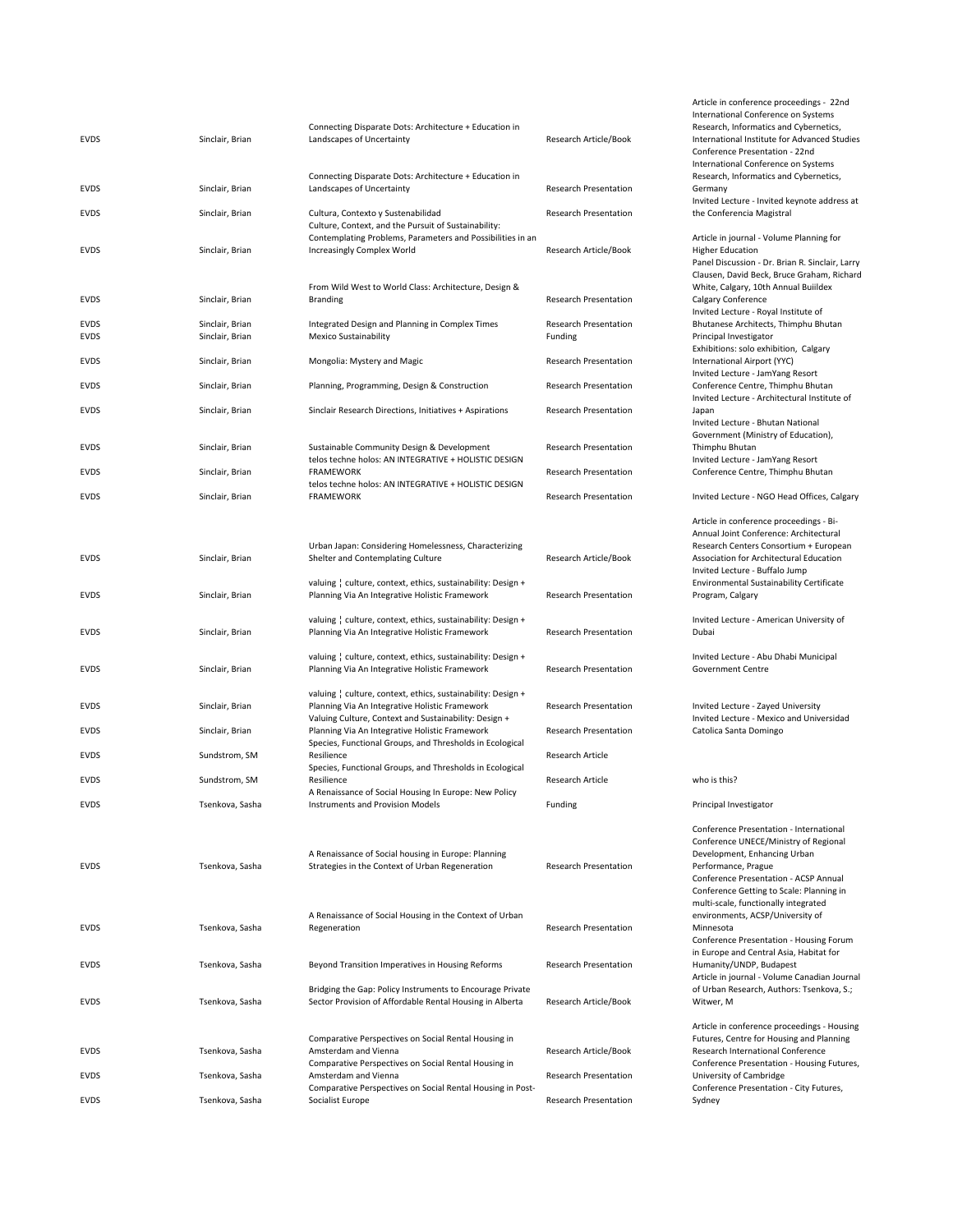|             |                 |                                                                                |                              | <b>INCENTACION</b>   |
|-------------|-----------------|--------------------------------------------------------------------------------|------------------------------|----------------------|
|             |                 | Connecting Disparate Dots: Architecture + Education in                         |                              | Research, Ir         |
| <b>EVDS</b> | Sinclair, Brian | Landscapes of Uncertainty                                                      | Research Article/Book        | Internationa         |
|             |                 |                                                                                |                              | Conference           |
|             |                 |                                                                                |                              |                      |
|             |                 |                                                                                |                              | Internationa         |
|             |                 | Connecting Disparate Dots: Architecture + Education in                         |                              | Research, Ir         |
| <b>EVDS</b> | Sinclair, Brian | Landscapes of Uncertainty                                                      | <b>Research Presentation</b> | Germany              |
|             |                 |                                                                                |                              | <b>Invited Lect</b>  |
| <b>EVDS</b> |                 |                                                                                | <b>Research Presentation</b> | the Confere          |
|             | Sinclair, Brian | Cultura, Contexto y Sustenabilidad                                             |                              |                      |
|             |                 | Culture, Context, and the Pursuit of Sustainability:                           |                              |                      |
|             |                 | Contemplating Problems, Parameters and Possibilities in an                     |                              | Article in jo        |
| <b>EVDS</b> | Sinclair, Brian | Increasingly Complex World                                                     | Research Article/Book        | Higher Educ          |
|             |                 |                                                                                |                              | Panel Discus         |
|             |                 |                                                                                |                              |                      |
|             |                 |                                                                                |                              | Clausen, Da          |
|             |                 | From Wild West to World Class: Architecture, Design &                          |                              | White, Calg          |
| <b>EVDS</b> | Sinclair, Brian | <b>Branding</b>                                                                | <b>Research Presentation</b> | Calgary Con          |
|             |                 |                                                                                |                              | <b>Invited Lect</b>  |
|             |                 |                                                                                |                              |                      |
| <b>EVDS</b> | Sinclair, Brian | Integrated Design and Planning in Complex Times                                | Research Presentation        | Bhutanese /          |
| <b>EVDS</b> | Sinclair, Brian | <b>Mexico Sustainability</b>                                                   | Funding                      | Principal Inv        |
|             |                 |                                                                                |                              | Exhibitions:         |
| <b>EVDS</b> | Sinclair, Brian | Mongolia: Mystery and Magic                                                    | <b>Research Presentation</b> | Internationa         |
|             |                 |                                                                                |                              | <b>Invited Lect</b>  |
|             |                 |                                                                                |                              |                      |
| <b>EVDS</b> | Sinclair, Brian | Planning, Programming, Design & Construction                                   | <b>Research Presentation</b> | Conference           |
|             |                 |                                                                                |                              | <b>Invited Lect</b>  |
| <b>EVDS</b> | Sinclair, Brian | Sinclair Research Directions, Initiatives + Aspirations                        | <b>Research Presentation</b> | Japan                |
|             |                 |                                                                                |                              | <b>Invited Lect</b>  |
|             |                 |                                                                                |                              |                      |
|             |                 |                                                                                |                              | Governmen            |
| <b>EVDS</b> | Sinclair, Brian | Sustainable Community Design & Development                                     | <b>Research Presentation</b> | Thimphu Bh           |
|             |                 | telos techne holos: AN INTEGRATIVE + HOLISTIC DESIGN                           |                              | <b>Invited Lect</b>  |
| <b>EVDS</b> | Sinclair, Brian | <b>FRAMEWORK</b>                                                               | <b>Research Presentation</b> | Conference           |
|             |                 |                                                                                |                              |                      |
|             |                 | telos techne holos: AN INTEGRATIVE + HOLISTIC DESIGN                           |                              |                      |
| <b>EVDS</b> | Sinclair, Brian | <b>FRAMEWORK</b>                                                               | <b>Research Presentation</b> | <b>Invited Lect</b>  |
|             |                 |                                                                                |                              |                      |
|             |                 |                                                                                |                              | Article in co        |
|             |                 |                                                                                |                              |                      |
|             |                 |                                                                                |                              | Annual Join          |
|             |                 | Urban Japan: Considering Homelessness, Characterizing                          |                              | Research Ce          |
| <b>EVDS</b> | Sinclair, Brian | Shelter and Contemplating Culture                                              | Research Article/Book        | Association          |
|             |                 |                                                                                |                              | <b>Invited Lect</b>  |
|             |                 |                                                                                |                              |                      |
|             |                 | valuing   culture, context, ethics, sustainability: Design +                   |                              | Environmer           |
| <b>EVDS</b> | Sinclair, Brian | Planning Via An Integrative Holistic Framework                                 | <b>Research Presentation</b> | Program, Ca          |
|             |                 |                                                                                |                              |                      |
|             |                 |                                                                                |                              |                      |
|             |                 |                                                                                |                              |                      |
|             |                 | valuing   culture, context, ethics, sustainability: Design +                   |                              | <b>Invited Lect</b>  |
| <b>EVDS</b> | Sinclair, Brian | Planning Via An Integrative Holistic Framework                                 | <b>Research Presentation</b> | Dubai                |
|             |                 |                                                                                |                              |                      |
|             |                 | valuing   culture, context, ethics, sustainability: Design +                   |                              | <b>Invited Lect</b>  |
|             |                 |                                                                                | <b>Research Presentation</b> |                      |
| <b>EVDS</b> | Sinclair, Brian | Planning Via An Integrative Holistic Framework                                 |                              | Governmen            |
|             |                 |                                                                                |                              |                      |
|             |                 | valuing   culture, context, ethics, sustainability: Design +                   |                              |                      |
| <b>EVDS</b> | Sinclair, Brian | Planning Via An Integrative Holistic Framework                                 | Research Presentation        | <b>Invited Lect</b>  |
|             |                 |                                                                                |                              | <b>Invited Lect</b>  |
|             |                 | Valuing Culture, Context and Sustainability: Design +                          |                              |                      |
| <b>EVDS</b> | Sinclair, Brian | Planning Via An Integrative Holistic Framework                                 | <b>Research Presentation</b> | Catolica Sar         |
|             |                 | Species, Functional Groups, and Thresholds in Ecological                       |                              |                      |
| <b>EVDS</b> | Sundstrom, SM   | Resilience                                                                     | Research Article             |                      |
|             |                 |                                                                                |                              |                      |
|             |                 | Species, Functional Groups, and Thresholds in Ecological                       |                              |                      |
| <b>EVDS</b> | Sundstrom, SM   | Resilience                                                                     | Research Article             | who is this?         |
|             |                 | A Renaissance of Social Housing In Europe: New Policy                          |                              |                      |
| <b>EVDS</b> | Tsenkova, Sasha | <b>Instruments and Provision Models</b>                                        | Funding                      | Principal Inv        |
|             |                 |                                                                                |                              |                      |
|             |                 |                                                                                |                              |                      |
|             |                 |                                                                                |                              | Conference           |
|             |                 |                                                                                |                              | Conference           |
|             |                 | A Renaissance of Social housing in Europe: Planning                            |                              | Developme            |
| <b>EVDS</b> | Tsenkova, Sasha | Strategies in the Context of Urban Regeneration                                | <b>Research Presentation</b> | Performanc           |
|             |                 |                                                                                |                              |                      |
|             |                 |                                                                                |                              | Conference           |
|             |                 |                                                                                |                              | Conference           |
|             |                 |                                                                                |                              | multi-scale,         |
|             |                 | A Renaissance of Social Housing in the Context of Urban                        |                              | environmer           |
|             |                 |                                                                                | <b>Research Presentation</b> |                      |
| EVDS        | Tsenkova, Sasha | Regeneration                                                                   |                              | Minnesota            |
|             |                 |                                                                                |                              | Conference           |
|             |                 |                                                                                |                              | in Europe a          |
| EVDS        | Tsenkova, Sasha | Beyond Transition Imperatives in Housing Reforms                               | <b>Research Presentation</b> | Humanity/L           |
|             |                 |                                                                                |                              |                      |
|             |                 |                                                                                |                              | Article in jor       |
|             |                 | Bridging the Gap: Policy Instruments to Encourage Private                      |                              | of Urban Re          |
| <b>EVDS</b> | Tsenkova, Sasha | Sector Provision of Affordable Rental Housing in Alberta                       | Research Article/Book        | Witwer, M            |
|             |                 |                                                                                |                              |                      |
|             |                 |                                                                                |                              | Article in co        |
|             |                 |                                                                                |                              |                      |
|             |                 | Comparative Perspectives on Social Rental Housing in                           |                              | Futures, Cer         |
| EVDS        | Tsenkova, Sasha | Amsterdam and Vienna                                                           | Research Article/Book        | Research In          |
|             |                 | Comparative Perspectives on Social Rental Housing in                           |                              | Conference           |
| <b>EVDS</b> | Tsenkova, Sasha | Amsterdam and Vienna                                                           | <b>Research Presentation</b> | University o         |
|             |                 |                                                                                |                              |                      |
| EVDS        | Tsenkova, Sasha | Comparative Perspectives on Social Rental Housing in Post-<br>Socialist Europe | <b>Research Presentation</b> | Conference<br>Sydney |

Article in conference proceedings ‐ 22nd International Conference on Systems Research, Informatics and Cybernetics, International Institute for Advanced Studies Conference Presentation ‐ 22nd International Conference on Systems Research, Informatics and Cybernetics, Germany Invited Lecture ‐ Invited keynote address at the Conferencia Magistral Article in journal ‐ Volume Planning for Higher Education Panel Discussion ‐ Dr. Brian R. Sinclair, Larry Clausen, David Beck, Bruce Graham, Richard White, Calgary, 10th Annual Buiildex Calgary Conference nvited Lecture - Royal Institute of Bhutanese Architects, Thimphu Bhutan Principal Investigator Exhibitions: solo exhibition, Calgary International Airport (YYC) Invited Lecture ‐ JamYang Resort Conference Centre, Thimphu Bhutan Invited Lecture ‐ Architectural Institute of Japan Invited Lecture ‐ Bhutan National Government (Ministry of Education), Thimphu Bhutan Invited Lecture ‐ JamYang Resort Conference Centre, Thimphu Bhutan Invited Lecture - NGO Head Offices, Calgary Article in conference proceedings ‐ Bi‐ Annual Joint Conference: Architectural Research Centers Consortium + European Association for Architectural Education Invited Lecture ‐ Buffalo Jump Environmental Sustainability Certificate Program, Calgary Invited Lecture ‐ American University of Dubai Invited Lecture ‐ Abu Dhabi Municipal Government Centre Invited Lecture ‐ Zayed University Invited Lecture ‐ Mexico and Universidad Catolica Santa Domingo Principal Investigator Conference Presentation ‐ International Conference UNECE/Ministry of Regional Development, Enhancing Urban Performance, Prague Conference Presentation ‐ ACSP Annual Conference Getting to Scale: Planning in multi‐scale, functionally integrated environments, ACSP/University of Minnesota Conference Presentation ‐ Housing Forum in Europe and Central Asia, Habitat for Humanity/UNDP, Budapest Article in journal ‐ Volume Canadian Journal of Urban Research, Authors: Tsenkova, S.; Witwer, M Article in conference proceedings ‐ Housing Futures, Centre for Housing and Planning Research International Conference Conference Presentation ‐ Housing Futures, University of Cambridge Conference Presentation ‐ City Futures,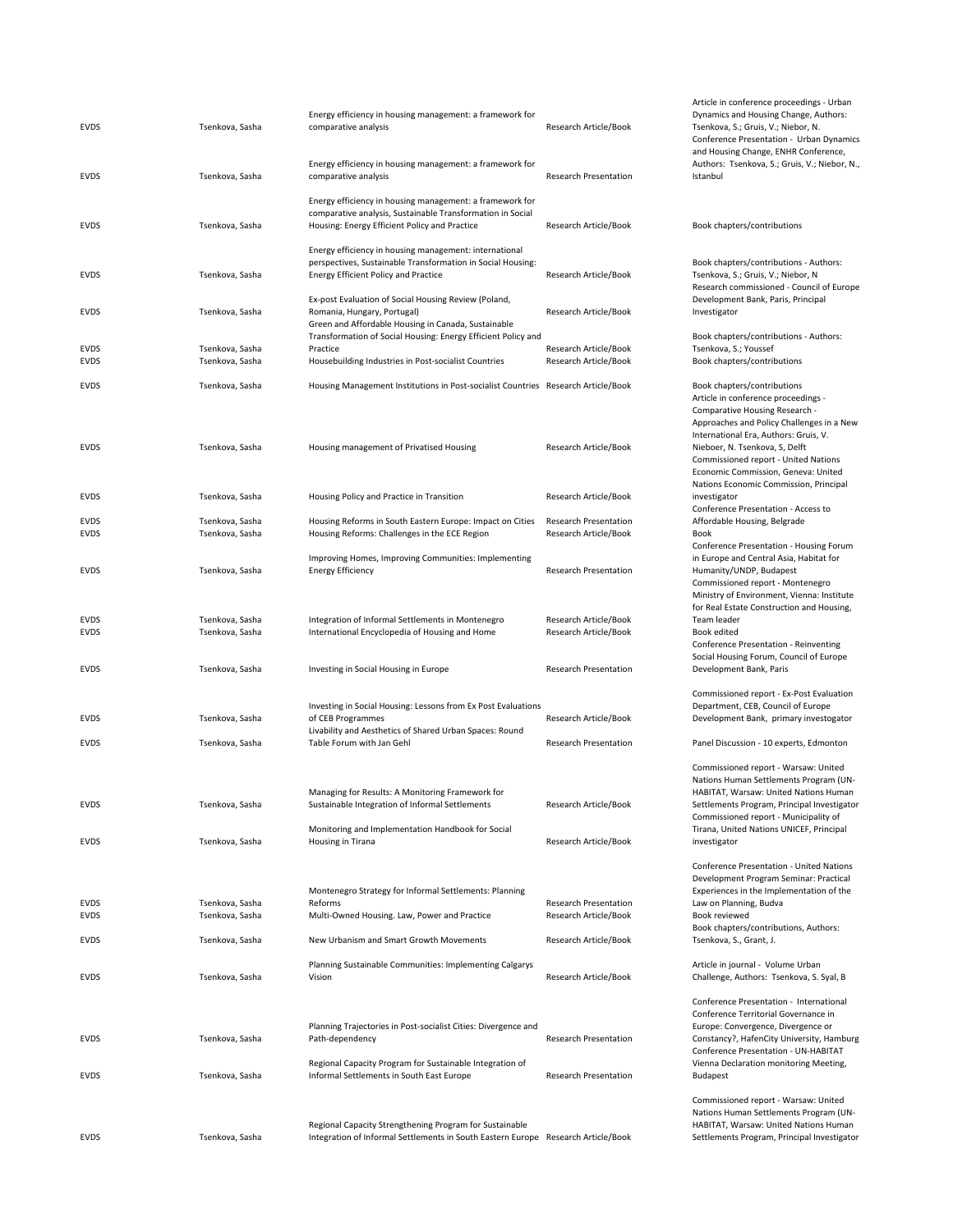| EVDS                       | Tsenkova, Sasha                    | Energy efficiency in housing management: a framework for<br>comparative analysis                                                                                                           | Research Article/Book                                        | Dynamics and<br>Tsenkova, S.; G<br>Conference Pre<br>and Housing Cl                                                       |
|----------------------------|------------------------------------|--------------------------------------------------------------------------------------------------------------------------------------------------------------------------------------------|--------------------------------------------------------------|---------------------------------------------------------------------------------------------------------------------------|
| EVDS                       | Tsenkova, Sasha                    | Energy efficiency in housing management: a framework for<br>comparative analysis                                                                                                           | Research Presentation                                        | Authors: Tsenl<br>Istanbul                                                                                                |
| <b>EVDS</b>                | Tsenkova, Sasha                    | Energy efficiency in housing management: a framework for<br>comparative analysis, Sustainable Transformation in Social<br>Housing: Energy Efficient Policy and Practice                    | Research Article/Book                                        | Book chapters,                                                                                                            |
| <b>EVDS</b>                | Tsenkova, Sasha                    | Energy efficiency in housing management: international<br>perspectives, Sustainable Transformation in Social Housing:<br><b>Energy Efficient Policy and Practice</b>                       | Research Article/Book                                        | Book chapters,<br>Tsenkova, S.; G<br>Research comr                                                                        |
| <b>EVDS</b>                | Tsenkova, Sasha                    | Ex-post Evaluation of Social Housing Review (Poland,<br>Romania, Hungary, Portugal)<br>Green and Affordable Housing in Canada, Sustainable                                                 | Research Article/Book                                        | Development <b>E</b><br>Investigator                                                                                      |
| EVDS<br><b>EVDS</b>        | Tsenkova, Sasha<br>Tsenkova, Sasha | Transformation of Social Housing: Energy Efficient Policy and<br>Practice<br>Housebuilding Industries in Post-socialist Countries                                                          | Research Article/Book<br>Research Article/Book               | Book chapters,<br>Tsenkova, S.; Y<br>Book chapters,                                                                       |
| <b>EVDS</b>                | Tsenkova, Sasha                    | Housing Management Institutions in Post-socialist Countries Research Article/Book                                                                                                          |                                                              | Book chapters,<br>Article in confe<br>Comparative H<br>Approaches an                                                      |
| <b>EVDS</b>                | Tsenkova, Sasha                    | Housing management of Privatised Housing                                                                                                                                                   | Research Article/Book                                        | International E<br>Nieboer, N. Tse<br>Commissioned<br>Economic Com                                                        |
| EVDS                       | Tsenkova, Sasha                    | Housing Policy and Practice in Transition                                                                                                                                                  | Research Article/Book                                        | Nations Econor<br>investigator<br>Conference Pre                                                                          |
| EVDS<br><b>EVDS</b>        | Tsenkova, Sasha<br>Tsenkova, Sasha | Housing Reforms in South Eastern Europe: Impact on Cities<br>Housing Reforms: Challenges in the ECE Region                                                                                 | <b>Research Presentation</b><br>Research Article/Book        | Affordable Hou<br>Book<br>Conference Pre                                                                                  |
| <b>EVDS</b>                | Tsenkova, Sasha                    | Improving Homes, Improving Communities: Implementing<br><b>Energy Efficiency</b>                                                                                                           | Research Presentation                                        | in Europe and<br>Humanity/UND<br>Commissioned<br>Ministry of Env                                                          |
| EVDS<br><b>EVDS</b>        | Tsenkova, Sasha<br>Tsenkova, Sasha | Integration of Informal Settlements in Montenegro<br>International Encyclopedia of Housing and Home                                                                                        | Research Article/Book<br>Research Article/Book               | for Real Estate<br>Team leader<br>Book edited<br>Conference Pre                                                           |
| EVDS                       | Tsenkova, Sasha                    | Investing in Social Housing in Europe                                                                                                                                                      | <b>Research Presentation</b>                                 | Social Housing<br>Development <b>E</b>                                                                                    |
| EVDS                       | Tsenkova, Sasha                    | Investing in Social Housing: Lessons from Ex Post Evaluations<br>of CEB Programmes<br>Livability and Aesthetics of Shared Urban Spaces: Round                                              | Research Article/Book                                        | Commissioned<br>Department, C<br>Development <b>E</b>                                                                     |
| EVDS                       | Tsenkova, Sasha                    | Table Forum with Jan Gehl                                                                                                                                                                  | <b>Research Presentation</b>                                 | Panel Discussic                                                                                                           |
| <b>EVDS</b>                | Tsenkova, Sasha                    | Managing for Results: A Monitoring Framework for<br>Sustainable Integration of Informal Settlements<br>Monitoring and Implementation Handbook for Social                                   | Research Article/Book                                        | Commissioned<br><b>Nations Humar</b><br>HABITAT, Wars<br>Settlements Pr<br>Commissioned<br>Tirana, United                 |
| <b>EVDS</b>                | Tsenkova, Sasha                    | Housing in Tirana                                                                                                                                                                          | Research Article/Book                                        | investigator<br>Conference Pre                                                                                            |
| <b>EVDS</b><br>EVDS        | Tsenkova, Sasha<br>Tsenkova, Sasha | Montenegro Strategy for Informal Settlements: Planning<br>Reforms<br>Multi-Owned Housing. Law, Power and Practice                                                                          | <b>Research Presentation</b><br>Research Article/Book        | Development F<br>Experiences in<br>Law on Plannir<br>Book reviewed                                                        |
| EVDS                       | Tsenkova, Sasha                    | New Urbanism and Smart Growth Movements                                                                                                                                                    | Research Article/Book                                        | Book chapters<br>Tsenkova, S., G                                                                                          |
| EVDS                       | Tsenkova, Sasha                    | Planning Sustainable Communities: Implementing Calgarys<br>Vision                                                                                                                          | Research Article/Book                                        | Article in journ<br>Challenge, Aut                                                                                        |
| <b>EVDS</b><br><b>EVDS</b> | Tsenkova, Sasha<br>Tsenkova, Sasha | Planning Trajectories in Post-socialist Cities: Divergence and<br>Path-dependency<br>Regional Capacity Program for Sustainable Integration of<br>Informal Settlements in South East Europe | <b>Research Presentation</b><br><b>Research Presentation</b> | Conference Pre<br>Conference Te<br>Europe: Conve<br>Constancy?, Ha<br>Conference Pre<br>Vienna Declara<br><b>Budapest</b> |
| EVDS                       | Tsenkova, Sasha                    | Regional Capacity Strengthening Program for Sustainable<br>Integration of Informal Settlements in South Eastern Europe Research Article/Book                                               |                                                              | Commissioned<br><b>Nations Humar</b><br>HABITAT, Wars<br>Settlements Pr                                                   |

and Housing Change, ENHR Conference, Authors: Tsenkova, S.; Gruis, V.; Niebor, N., Istanbul Book chapters/contributions Book chapters/contributions ‐ Authors: Tsenkova, S.; Gruis, V.; Niebor, N Research commissioned ‐ Council of Europe Development Bank, Paris, Principal Investigator Book chapters/contributions ‐ Authors: Tsenkova, S.; Youssef Book chapters/contributions Book chapters/contributions Article in conference proceedings ‐ Comparative Housing Research ‐ Approaches and Policy Challenges in a New International Era, Authors: Gruis, V. Nieboer, N. Tsenkova, S, Delft Commissioned report ‐ United Nations Economic Commission, Geneva: United Nations Economic Commission, Principal investigator Conference Presentation ‐ Access to Affordable Housing, Belgrade Conference Presentation ‐ Housing Forum in Europe and Central Asia, Habitat for Humanity/UNDP, Budapest Commissioned report ‐ Montenegro Ministry of Environment, Vienna: Institute for Real Estate Construction and Housing, Team leader Conference Presentation ‐ Reinventing Social Housing Forum, Council of Europe Development Bank, Paris Commissioned report ‐ Ex‐Post Evaluation Department, CEB, Council of Europe Development Bank, primary investogator Panel Discussion - 10 experts, Edmonton Commissioned report ‐ Warsaw: United Nations Human Settlements Program (UN‐ HABITAT, Warsaw: United Nations Human Settlements Program, Principal Investigator Commissioned report ‐ Municipality of Tirana, United Nations UNICEF, Principal investigator Conference Presentation ‐ United Nations Development Program Seminar: Practical Experiences in the Implementation of the Law on Planning, Budva Book chapters/contributions, Authors: Tsenkova, S., Grant, J. Article in journal ‐ Volume Urban Challenge, Authors: Tsenkova, S. Syal, B Conference Presentation ‐ International Conference Territorial Governance in Europe: Convergence, Divergence or Constancy?, HafenCity University, Hamburg Conference Presentation ‐ UN‐HABITAT Vienna Declaration monitoring Meeting, Budapest Commissioned report ‐ Warsaw: United

Article in conference proceedings ‐ Urban Dynamics and Housing Change, Authors: Tsenkova, S.; Gruis, V.; Niebor, N.

Conference Presentation ‐ Urban Dynamics

Nations Human Settlements Program (UN‐ HABITAT, Warsaw: United Nations Human Settlements Program, Principal Investigator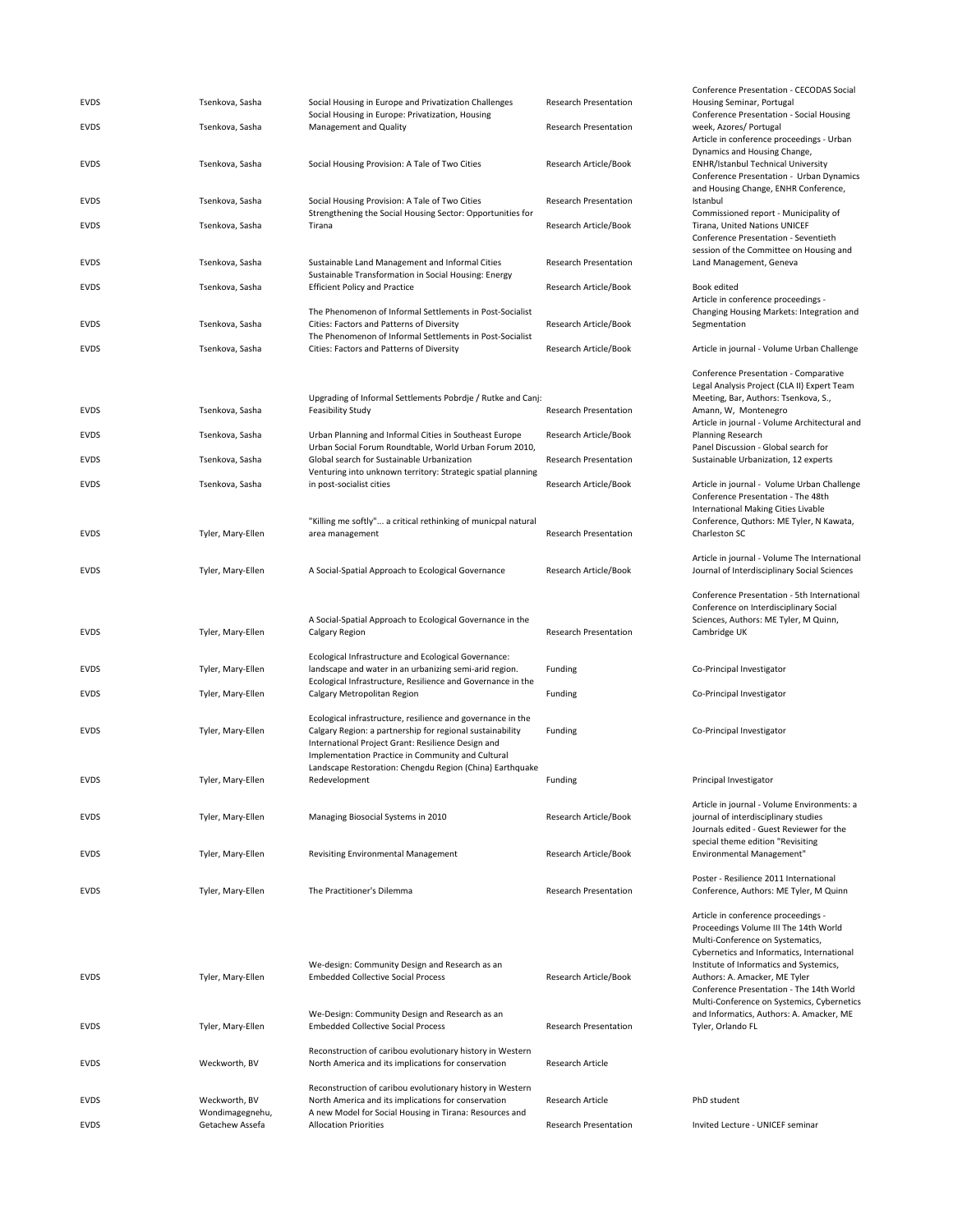| <b>EVDS</b> | Tsenkova, Sasha                    | Social Housing in Europe and Privatization Challenges<br>Social Housing in Europe: Privatization, Housing                                                                                                                           | <b>Research Presentation</b> | Conference Presentation - CECODAS Social<br>Housing Seminar, Portugal<br>Conference Presentation - Social Housing                                                                                                                                                                      |
|-------------|------------------------------------|-------------------------------------------------------------------------------------------------------------------------------------------------------------------------------------------------------------------------------------|------------------------------|----------------------------------------------------------------------------------------------------------------------------------------------------------------------------------------------------------------------------------------------------------------------------------------|
| <b>EVDS</b> | Tsenkova, Sasha                    | <b>Management and Quality</b>                                                                                                                                                                                                       | <b>Research Presentation</b> | week, Azores/ Portugal<br>Article in conference proceedings - Urban                                                                                                                                                                                                                    |
| EVDS        | Tsenkova, Sasha                    | Social Housing Provision: A Tale of Two Cities                                                                                                                                                                                      | Research Article/Book        | Dynamics and Housing Change,<br><b>ENHR/Istanbul Technical University</b><br>Conference Presentation - Urban Dynamics<br>and Housing Change, ENHR Conference,                                                                                                                          |
| <b>EVDS</b> | Tsenkova, Sasha                    | Social Housing Provision: A Tale of Two Cities<br>Strengthening the Social Housing Sector: Opportunities for                                                                                                                        | <b>Research Presentation</b> | Istanbul<br>Commissioned report - Municipality of                                                                                                                                                                                                                                      |
| <b>EVDS</b> | Tsenkova, Sasha                    | Tirana                                                                                                                                                                                                                              | Research Article/Book        | Tirana, United Nations UNICEF<br>Conference Presentation - Seventieth                                                                                                                                                                                                                  |
| <b>EVDS</b> | Tsenkova, Sasha                    | Sustainable Land Management and Informal Cities                                                                                                                                                                                     | <b>Research Presentation</b> | session of the Committee on Housing and<br>Land Management, Geneva                                                                                                                                                                                                                     |
| <b>EVDS</b> | Tsenkova, Sasha                    | Sustainable Transformation in Social Housing: Energy<br><b>Efficient Policy and Practice</b>                                                                                                                                        | Research Article/Book        | Book edited                                                                                                                                                                                                                                                                            |
| <b>EVDS</b> | Tsenkova, Sasha                    | The Phenomenon of Informal Settlements in Post-Socialist<br>Cities: Factors and Patterns of Diversity                                                                                                                               | Research Article/Book        | Article in conference proceedings -<br>Changing Housing Markets: Integration and<br>Segmentation                                                                                                                                                                                       |
| <b>EVDS</b> | Tsenkova, Sasha                    | The Phenomenon of Informal Settlements in Post-Socialist<br>Cities: Factors and Patterns of Diversity                                                                                                                               | Research Article/Book        | Article in journal - Volume Urban Challenge                                                                                                                                                                                                                                            |
| <b>EVDS</b> | Tsenkova, Sasha                    | Upgrading of Informal Settlements Pobrdje / Rutke and Canj:<br><b>Feasibility Study</b>                                                                                                                                             | <b>Research Presentation</b> | Conference Presentation - Comparative<br>Legal Analysis Project (CLA II) Expert Team<br>Meeting, Bar, Authors: Tsenkova, S.,<br>Amann, W, Montenegro<br>Article in journal - Volume Architectural and                                                                                  |
| <b>EVDS</b> | Tsenkova, Sasha                    | Urban Planning and Informal Cities in Southeast Europe<br>Urban Social Forum Roundtable, World Urban Forum 2010,                                                                                                                    | Research Article/Book        | Planning Research<br>Panel Discussion - Global search for                                                                                                                                                                                                                              |
| <b>EVDS</b> | Tsenkova, Sasha                    | Global search for Sustainable Urbanization                                                                                                                                                                                          | <b>Research Presentation</b> | Sustainable Urbanization, 12 experts                                                                                                                                                                                                                                                   |
| <b>EVDS</b> | Tsenkova, Sasha                    | Venturing into unknown territory: Strategic spatial planning<br>in post-socialist cities                                                                                                                                            | Research Article/Book        | Article in journal - Volume Urban Challenge<br>Conference Presentation - The 48th                                                                                                                                                                                                      |
| <b>EVDS</b> | Tyler, Mary-Ellen                  | "Killing me softly" a critical rethinking of municpal natural<br>area management                                                                                                                                                    | <b>Research Presentation</b> | <b>International Making Cities Livable</b><br>Conference, Quthors: ME Tyler, N Kawata,<br>Charleston SC                                                                                                                                                                                |
| <b>EVDS</b> | Tyler, Mary-Ellen                  | A Social-Spatial Approach to Ecological Governance                                                                                                                                                                                  | Research Article/Book        | Article in journal - Volume The International<br>Journal of Interdisciplinary Social Sciences                                                                                                                                                                                          |
| <b>EVDS</b> | Tyler, Mary-Ellen                  | A Social-Spatial Approach to Ecological Governance in the<br>Calgary Region                                                                                                                                                         | <b>Research Presentation</b> | Conference Presentation - 5th International<br>Conference on Interdisciplinary Social<br>Sciences, Authors: ME Tyler, M Quinn,<br>Cambridge UK                                                                                                                                         |
| <b>EVDS</b> | Tyler, Mary-Ellen                  | Ecological Infrastructure and Ecological Governance:<br>landscape and water in an urbanizing semi-arid region.<br>Ecological Infrastructure, Resilience and Governance in the                                                       | Funding                      | Co-Principal Investigator                                                                                                                                                                                                                                                              |
| <b>EVDS</b> | Tyler, Mary-Ellen                  | Calgary Metropolitan Region                                                                                                                                                                                                         | Funding                      | Co-Principal Investigator                                                                                                                                                                                                                                                              |
| <b>EVDS</b> | Tyler, Mary-Ellen                  | Ecological infrastructure, resilience and governance in the<br>Calgary Region: a partnership for regional sustainability<br>International Project Grant: Resilience Design and<br>Implementation Practice in Community and Cultural | Funding                      | Co-Principal Investigator                                                                                                                                                                                                                                                              |
| <b>EVDS</b> | Tyler, Mary-Ellen                  | Landscape Restoration: Chengdu Region (China) Earthquake<br>Redevelopment                                                                                                                                                           | Funding                      | Principal Investigator                                                                                                                                                                                                                                                                 |
| <b>EVDS</b> | Tyler, Mary-Ellen                  | Managing Biosocial Systems in 2010                                                                                                                                                                                                  | Research Article/Book        | Article in journal - Volume Environments: a<br>journal of interdisciplinary studies<br>Journals edited - Guest Reviewer for the                                                                                                                                                        |
| <b>EVDS</b> | Tyler, Mary-Ellen                  | Revisiting Environmental Management                                                                                                                                                                                                 | Research Article/Book        | special theme edition "Revisiting<br>Environmental Management"                                                                                                                                                                                                                         |
| <b>EVDS</b> | Tyler, Mary-Ellen                  | The Practitioner's Dilemma                                                                                                                                                                                                          | <b>Research Presentation</b> | Poster - Resilience 2011 International<br>Conference, Authors: ME Tyler, M Quinn                                                                                                                                                                                                       |
| <b>EVDS</b> | Tyler, Mary-Ellen                  | We-design: Community Design and Research as an<br><b>Embedded Collective Social Process</b>                                                                                                                                         | Research Article/Book        | Article in conference proceedings -<br>Proceedings Volume III The 14th World<br>Multi-Conference on Systematics,<br>Cybernetics and Informatics, International<br>Institute of Informatics and Systemics,<br>Authors: A. Amacker, ME Tyler<br>Conference Presentation - The 14th World |
| <b>EVDS</b> | Tyler, Mary-Ellen                  | We-Design: Community Design and Research as an<br><b>Embedded Collective Social Process</b>                                                                                                                                         | <b>Research Presentation</b> | Multi-Conference on Systemics, Cybernetics<br>and Informatics, Authors: A. Amacker, ME<br>Tyler, Orlando FL                                                                                                                                                                            |
| <b>EVDS</b> | Weckworth, BV                      | Reconstruction of caribou evolutionary history in Western<br>North America and its implications for conservation                                                                                                                    | Research Article             |                                                                                                                                                                                                                                                                                        |
| <b>EVDS</b> | Weckworth, BV                      | Reconstruction of caribou evolutionary history in Western<br>North America and its implications for conservation                                                                                                                    | Research Article             | PhD student                                                                                                                                                                                                                                                                            |
| <b>EVDS</b> | Wondimagegnehu,<br>Getachew Assefa | A new Model for Social Housing in Tirana: Resources and<br><b>Allocation Priorities</b>                                                                                                                                             | <b>Research Presentation</b> | Invited Lecture - UNICEF seminar                                                                                                                                                                                                                                                       |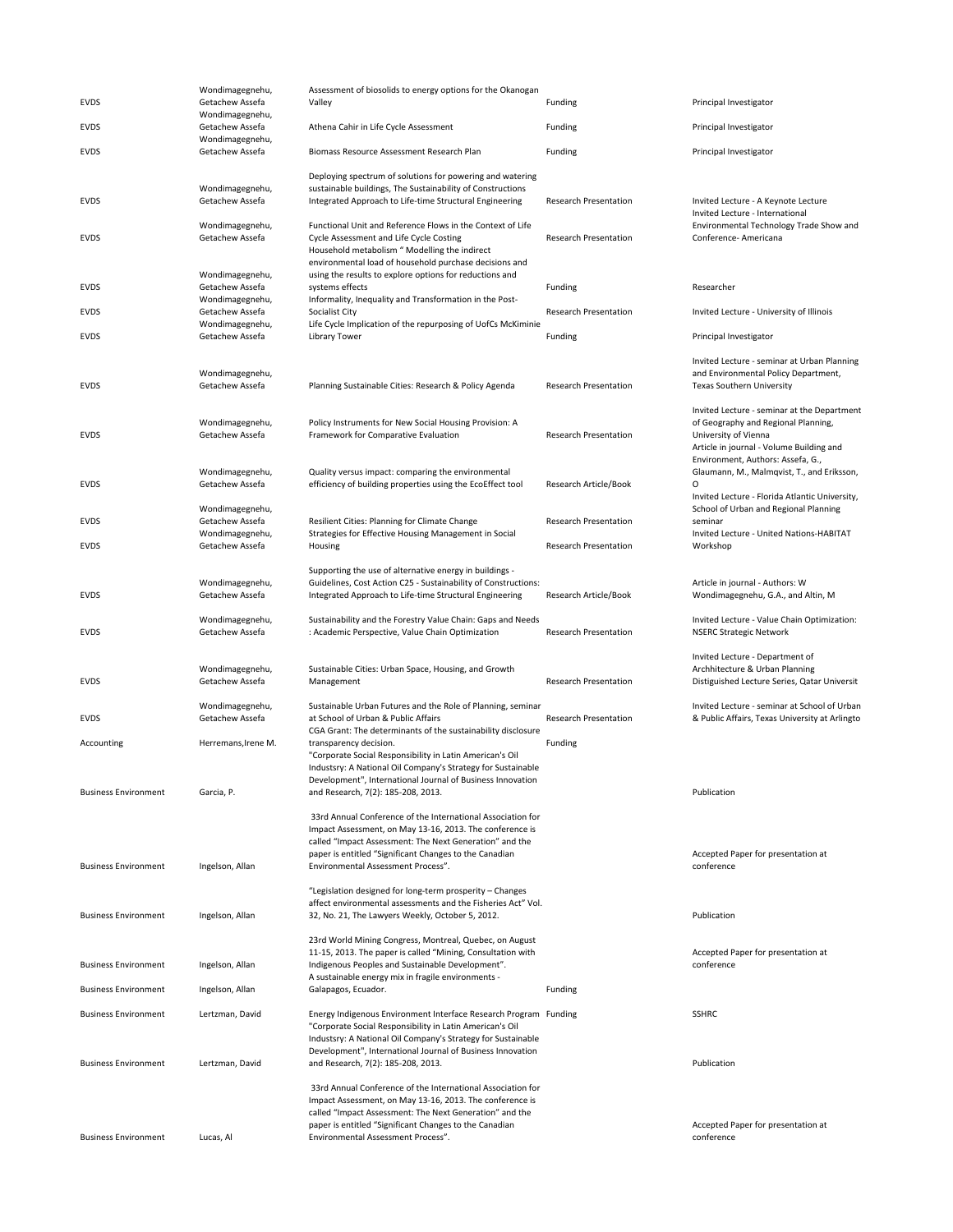| <b>EVDS</b>                 | Wondimagegnehu,<br>Getachew Assefa | Assessment of biosolids to energy options for the Okanogan<br>Valley                                                                                                                                                                                                               | Funding                      | Principal Investigator                                                                                                                                                                      |
|-----------------------------|------------------------------------|------------------------------------------------------------------------------------------------------------------------------------------------------------------------------------------------------------------------------------------------------------------------------------|------------------------------|---------------------------------------------------------------------------------------------------------------------------------------------------------------------------------------------|
|                             | Wondimagegnehu,                    |                                                                                                                                                                                                                                                                                    |                              |                                                                                                                                                                                             |
| <b>EVDS</b>                 | Getachew Assefa<br>Wondimagegnehu, | Athena Cahir in Life Cycle Assessment                                                                                                                                                                                                                                              | Funding                      | Principal Investigator                                                                                                                                                                      |
| <b>EVDS</b>                 | Getachew Assefa                    | Biomass Resource Assessment Research Plan                                                                                                                                                                                                                                          | Funding                      | Principal Investigator                                                                                                                                                                      |
|                             |                                    | Deploying spectrum of solutions for powering and watering                                                                                                                                                                                                                          |                              |                                                                                                                                                                                             |
| <b>EVDS</b>                 | Wondimagegnehu,<br>Getachew Assefa | sustainable buildings, The Sustainability of Constructions<br>Integrated Approach to Life-time Structural Engineering                                                                                                                                                              | <b>Research Presentation</b> | Invited Lecture - A Keynote Lecture<br>Invited Lecture - International                                                                                                                      |
| <b>EVDS</b>                 | Wondimagegnehu,<br>Getachew Assefa | Functional Unit and Reference Flows in the Context of Life<br>Cycle Assessment and Life Cycle Costing<br>Household metabolism " Modelling the indirect<br>environmental load of household purchase decisions and                                                                   | <b>Research Presentation</b> | Environmental Technology Trade Show and<br>Conference- Americana                                                                                                                            |
| <b>EVDS</b>                 | Wondimagegnehu,<br>Getachew Assefa | using the results to explore options for reductions and<br>systems effects                                                                                                                                                                                                         | Funding                      | Researcher                                                                                                                                                                                  |
| <b>EVDS</b>                 | Wondimagegnehu,<br>Getachew Assefa | Informality, Inequality and Transformation in the Post-<br>Socialist City                                                                                                                                                                                                          | <b>Research Presentation</b> | Invited Lecture - University of Illinois                                                                                                                                                    |
| <b>EVDS</b>                 | Wondimagegnehu,<br>Getachew Assefa | Life Cycle Implication of the repurposing of UofCs McKiminie<br><b>Library Tower</b>                                                                                                                                                                                               | Funding                      | Principal Investigator                                                                                                                                                                      |
| <b>EVDS</b>                 | Wondimagegnehu,<br>Getachew Assefa | Planning Sustainable Cities: Research & Policy Agenda                                                                                                                                                                                                                              | <b>Research Presentation</b> | Invited Lecture - seminar at Urban Planning<br>and Environmental Policy Department,<br><b>Texas Southern University</b>                                                                     |
| <b>EVDS</b>                 | Wondimagegnehu,<br>Getachew Assefa | Policy Instruments for New Social Housing Provision: A<br>Framework for Comparative Evaluation                                                                                                                                                                                     | <b>Research Presentation</b> | Invited Lecture - seminar at the Department<br>of Geography and Regional Planning,<br>University of Vienna<br>Article in journal - Volume Building and<br>Environment, Authors: Assefa, G., |
| <b>EVDS</b>                 | Wondimagegnehu,<br>Getachew Assefa | Quality versus impact: comparing the environmental<br>efficiency of building properties using the EcoEffect tool                                                                                                                                                                   | Research Article/Book        | Glaumann, M., Malmqvist, T., and Eriksson,<br>0<br>Invited Lecture - Florida Atlantic University,                                                                                           |
| <b>EVDS</b>                 | Wondimagegnehu,<br>Getachew Assefa | Resilient Cities: Planning for Climate Change                                                                                                                                                                                                                                      | <b>Research Presentation</b> | School of Urban and Regional Planning<br>seminar                                                                                                                                            |
| <b>EVDS</b>                 | Wondimagegnehu,<br>Getachew Assefa | Strategies for Effective Housing Management in Social<br>Housing                                                                                                                                                                                                                   | <b>Research Presentation</b> | Invited Lecture - United Nations-HABITAT<br>Workshop                                                                                                                                        |
| <b>EVDS</b>                 | Wondimagegnehu,<br>Getachew Assefa | Supporting the use of alternative energy in buildings -<br>Guidelines, Cost Action C25 - Sustainability of Constructions:<br>Integrated Approach to Life-time Structural Engineering                                                                                               | Research Article/Book        | Article in journal - Authors: W<br>Wondimagegnehu, G.A., and Altin, M                                                                                                                       |
| <b>EVDS</b>                 | Wondimagegnehu,<br>Getachew Assefa | Sustainability and the Forestry Value Chain: Gaps and Needs<br>: Academic Perspective, Value Chain Optimization                                                                                                                                                                    | <b>Research Presentation</b> | Invited Lecture - Value Chain Optimization:<br><b>NSERC Strategic Network</b>                                                                                                               |
| <b>EVDS</b>                 | Wondimagegnehu,<br>Getachew Assefa | Sustainable Cities: Urban Space, Housing, and Growth<br>Management                                                                                                                                                                                                                 | <b>Research Presentation</b> | Invited Lecture - Department of<br>Archhitecture & Urban Planning<br>Distiguished Lecture Series, Qatar Universit                                                                           |
| <b>EVDS</b>                 | Wondimagegnehu,<br>Getachew Assefa | Sustainable Urban Futures and the Role of Planning, seminar<br>at School of Urban & Public Affairs                                                                                                                                                                                 | <b>Research Presentation</b> | Invited Lecture - seminar at School of Urban<br>& Public Affairs, Texas University at Arlingto                                                                                              |
| Accounting                  | Herremans, Irene M.                | CGA Grant: The determinants of the sustainability disclosure<br>transparency decision.<br>"Corporate Social Responsibility in Latin American's Oil                                                                                                                                 | Funding                      |                                                                                                                                                                                             |
| <b>Business Environment</b> | Garcia, P.                         | Industsry: A National Oil Company's Strategy for Sustainable<br>Development", International Journal of Business Innovation<br>and Research, 7(2): 185-208, 2013.                                                                                                                   |                              | Publication                                                                                                                                                                                 |
| <b>Business Environment</b> | Ingelson, Allan                    | 33rd Annual Conference of the International Association for<br>Impact Assessment, on May 13-16, 2013. The conference is<br>called "Impact Assessment: The Next Generation" and the<br>paper is entitled "Significant Changes to the Canadian<br>Environmental Assessment Process". |                              | Accepted Paper for presentation at<br>conference                                                                                                                                            |
| <b>Business Environment</b> | Ingelson, Allan                    | "Legislation designed for long-term prosperity - Changes<br>affect environmental assessments and the Fisheries Act" Vol.<br>32, No. 21, The Lawyers Weekly, October 5, 2012.                                                                                                       |                              | Publication                                                                                                                                                                                 |
| <b>Business Environment</b> | Ingelson, Allan                    | 23rd World Mining Congress, Montreal, Quebec, on August<br>11-15, 2013. The paper is called "Mining, Consultation with<br>Indigenous Peoples and Sustainable Development".<br>A sustainable energy mix in fragile environments -                                                   |                              | Accepted Paper for presentation at<br>conference                                                                                                                                            |
| <b>Business Environment</b> | Ingelson, Allan                    | Galapagos, Ecuador.                                                                                                                                                                                                                                                                | Funding                      |                                                                                                                                                                                             |
| <b>Business Environment</b> | Lertzman, David                    | Energy Indigenous Environment Interface Research Program Funding<br>"Corporate Social Responsibility in Latin American's Oil<br>Industsry: A National Oil Company's Strategy for Sustainable                                                                                       |                              | <b>SSHRC</b>                                                                                                                                                                                |
| <b>Business Environment</b> | Lertzman, David                    | Development", International Journal of Business Innovation<br>and Research, 7(2): 185-208, 2013.                                                                                                                                                                                   |                              | Publication                                                                                                                                                                                 |
| <b>Business Environment</b> | Lucas, Al                          | 33rd Annual Conference of the International Association for<br>Impact Assessment, on May 13-16, 2013. The conference is<br>called "Impact Assessment: The Next Generation" and the<br>paper is entitled "Significant Changes to the Canadian<br>Environmental Assessment Process". |                              | Accepted Paper for presentation at<br>conference                                                                                                                                            |
|                             |                                    |                                                                                                                                                                                                                                                                                    |                              |                                                                                                                                                                                             |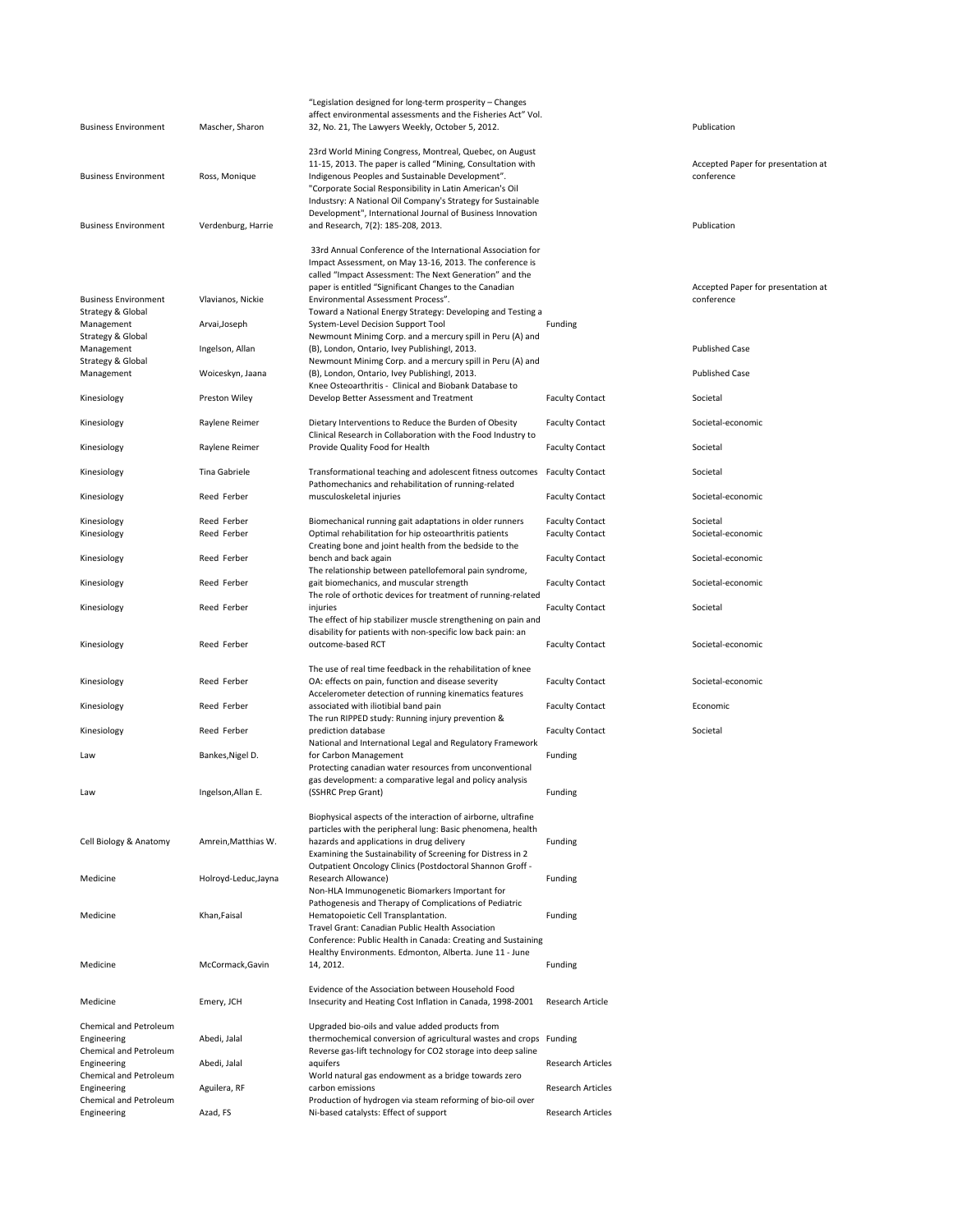|                              |                      | "Legislation designed for long-term prosperity - Changes                                                            |                          |                                    |
|------------------------------|----------------------|---------------------------------------------------------------------------------------------------------------------|--------------------------|------------------------------------|
|                              |                      | affect environmental assessments and the Fisheries Act" Vol.                                                        |                          |                                    |
| <b>Business Environment</b>  | Mascher, Sharon      | 32, No. 21, The Lawyers Weekly, October 5, 2012.                                                                    |                          | Publication                        |
|                              |                      | 23rd World Mining Congress, Montreal, Quebec, on August                                                             |                          |                                    |
|                              |                      | 11-15, 2013. The paper is called "Mining, Consultation with                                                         |                          | Accepted Paper for presentation at |
| <b>Business Environment</b>  | Ross, Monique        | Indigenous Peoples and Sustainable Development".                                                                    |                          | conference                         |
|                              |                      | "Corporate Social Responsibility in Latin American's Oil                                                            |                          |                                    |
|                              |                      | Industsry: A National Oil Company's Strategy for Sustainable                                                        |                          |                                    |
|                              |                      | Development", International Journal of Business Innovation                                                          |                          |                                    |
| <b>Business Environment</b>  | Verdenburg, Harrie   | and Research, 7(2): 185-208, 2013.                                                                                  |                          | Publication                        |
|                              |                      |                                                                                                                     |                          |                                    |
|                              |                      | 33rd Annual Conference of the International Association for                                                         |                          |                                    |
|                              |                      | Impact Assessment, on May 13-16, 2013. The conference is                                                            |                          |                                    |
|                              |                      | called "Impact Assessment: The Next Generation" and the                                                             |                          |                                    |
|                              |                      | paper is entitled "Significant Changes to the Canadian                                                              |                          | Accepted Paper for presentation at |
| <b>Business Environment</b>  | Vlavianos, Nickie    | Environmental Assessment Process".                                                                                  |                          | conference                         |
| Strategy & Global            |                      | Toward a National Energy Strategy: Developing and Testing a                                                         |                          |                                    |
| Management                   | Arvai, Joseph        | System-Level Decision Support Tool                                                                                  | Funding                  |                                    |
| <b>Strategy &amp; Global</b> |                      | Newmount Minimg Corp. and a mercury spill in Peru (A) and                                                           |                          |                                    |
| Management                   | Ingelson, Allan      | (B), London, Ontario, Ivey Publishingl, 2013.                                                                       |                          | <b>Published Case</b>              |
| <b>Strategy &amp; Global</b> |                      | Newmount Minimg Corp. and a mercury spill in Peru (A) and                                                           |                          |                                    |
| Management                   | Woiceskyn, Jaana     | (B), London, Ontario, Ivey Publishingl, 2013.                                                                       |                          | <b>Published Case</b>              |
|                              |                      | Knee Osteoarthritis - Clinical and Biobank Database to                                                              |                          |                                    |
| Kinesiology                  | Preston Wiley        | Develop Better Assessment and Treatment                                                                             | <b>Faculty Contact</b>   | Societal                           |
|                              |                      |                                                                                                                     |                          |                                    |
| Kinesiology                  | Raylene Reimer       | Dietary Interventions to Reduce the Burden of Obesity                                                               | <b>Faculty Contact</b>   | Societal-economic                  |
|                              |                      | Clinical Research in Collaboration with the Food Industry to                                                        |                          |                                    |
| Kinesiology                  | Raylene Reimer       | Provide Quality Food for Health                                                                                     | <b>Faculty Contact</b>   | Societal                           |
|                              |                      |                                                                                                                     |                          |                                    |
| Kinesiology                  | Tina Gabriele        | Transformational teaching and adolescent fitness outcomes                                                           | <b>Faculty Contact</b>   | Societal                           |
|                              |                      | Pathomechanics and rehabilitation of running-related                                                                |                          |                                    |
| Kinesiology                  | Reed Ferber          | musculoskeletal injuries                                                                                            | <b>Faculty Contact</b>   | Societal-economic                  |
|                              |                      |                                                                                                                     |                          |                                    |
| Kinesiology                  | Reed Ferber          | Biomechanical running gait adaptations in older runners                                                             | <b>Faculty Contact</b>   | Societal                           |
| Kinesiology                  | Reed Ferber          | Optimal rehabilitation for hip osteoarthritis patients                                                              | <b>Faculty Contact</b>   | Societal-economic                  |
|                              | Reed Ferber          | Creating bone and joint health from the bedside to the                                                              |                          | Societal-economic                  |
| Kinesiology                  |                      | bench and back again                                                                                                | <b>Faculty Contact</b>   |                                    |
|                              |                      | The relationship between patellofemoral pain syndrome,                                                              |                          |                                    |
| Kinesiology                  | Reed Ferber          | gait biomechanics, and muscular strength                                                                            | <b>Faculty Contact</b>   | Societal-economic                  |
|                              |                      | The role of orthotic devices for treatment of running-related                                                       |                          |                                    |
| Kinesiology                  | Reed Ferber          | injuries                                                                                                            | <b>Faculty Contact</b>   | Societal                           |
|                              |                      | The effect of hip stabilizer muscle strengthening on pain and                                                       |                          |                                    |
|                              | Reed Ferber          | disability for patients with non-specific low back pain: an<br>outcome-based RCT                                    | <b>Faculty Contact</b>   | Societal-economic                  |
| Kinesiology                  |                      |                                                                                                                     |                          |                                    |
|                              |                      | The use of real time feedback in the rehabilitation of knee                                                         |                          |                                    |
| Kinesiology                  | Reed Ferber          | OA: effects on pain, function and disease severity                                                                  | <b>Faculty Contact</b>   | Societal-economic                  |
|                              |                      | Accelerometer detection of running kinematics features                                                              |                          |                                    |
| Kinesiology                  | Reed Ferber          | associated with iliotibial band pain                                                                                | <b>Faculty Contact</b>   | Economic                           |
|                              |                      | The run RIPPED study: Running injury prevention &                                                                   |                          |                                    |
| Kinesiology                  | Reed Ferber          | prediction database                                                                                                 | <b>Faculty Contact</b>   | Societal                           |
|                              |                      |                                                                                                                     |                          |                                    |
| Law                          | Bankes, Nigel D.     | National and International Legal and Regulatory Framework<br>for Carbon Management                                  | Funding                  |                                    |
|                              |                      |                                                                                                                     |                          |                                    |
|                              |                      | Protecting canadian water resources from unconventional<br>gas development: a comparative legal and policy analysis |                          |                                    |
| Law                          |                      | (SSHRC Prep Grant)                                                                                                  |                          |                                    |
|                              | Ingelson, Allan E.   |                                                                                                                     | Funding                  |                                    |
|                              |                      | Biophysical aspects of the interaction of airborne, ultrafine                                                       |                          |                                    |
|                              |                      | particles with the peripheral lung: Basic phenomena, health                                                         |                          |                                    |
| Cell Biology & Anatomy       | Amrein, Matthias W.  | hazards and applications in drug delivery                                                                           | Funding                  |                                    |
|                              |                      | Examining the Sustainability of Screening for Distress in 2                                                         |                          |                                    |
|                              |                      | Outpatient Oncology Clinics (Postdoctoral Shannon Groff -                                                           |                          |                                    |
|                              |                      | Research Allowance)                                                                                                 |                          |                                    |
| Medicine                     | Holroyd-Leduc, Jayna | Non-HLA Immunogenetic Biomarkers Important for                                                                      | Funding                  |                                    |
|                              |                      | Pathogenesis and Therapy of Complications of Pediatric                                                              |                          |                                    |
| Medicine                     | Khan, Faisal         | Hematopoietic Cell Transplantation.                                                                                 | Funding                  |                                    |
|                              |                      | Travel Grant: Canadian Public Health Association                                                                    |                          |                                    |
|                              |                      | Conference: Public Health in Canada: Creating and Sustaining                                                        |                          |                                    |
|                              |                      |                                                                                                                     |                          |                                    |
|                              | McCormack, Gavin     | Healthy Environments. Edmonton, Alberta. June 11 - June                                                             |                          |                                    |
| Medicine                     |                      | 14, 2012.                                                                                                           | Funding                  |                                    |
|                              |                      | Evidence of the Association between Household Food                                                                  |                          |                                    |
| Medicine                     | Emery, JCH           | Insecurity and Heating Cost Inflation in Canada, 1998-2001                                                          | Research Article         |                                    |
|                              |                      |                                                                                                                     |                          |                                    |
| Chemical and Petroleum       |                      | Upgraded bio-oils and value added products from                                                                     |                          |                                    |
| Engineering                  | Abedi, Jalal         | thermochemical conversion of agricultural wastes and crops Funding                                                  |                          |                                    |
| Chemical and Petroleum       |                      | Reverse gas-lift technology for CO2 storage into deep saline                                                        |                          |                                    |
| Engineering                  | Abedi, Jalal         | aquifers                                                                                                            | <b>Research Articles</b> |                                    |
| Chemical and Petroleum       |                      | World natural gas endowment as a bridge towards zero                                                                |                          |                                    |
| Engineering                  | Aguilera, RF         | carbon emissions                                                                                                    | <b>Research Articles</b> |                                    |
| Chemical and Petroleum       |                      | Production of hydrogen via steam reforming of bio-oil over                                                          |                          |                                    |
| Engineering                  | Azad, FS             | Ni-based catalysts: Effect of support                                                                               | <b>Research Articles</b> |                                    |
|                              |                      |                                                                                                                     |                          |                                    |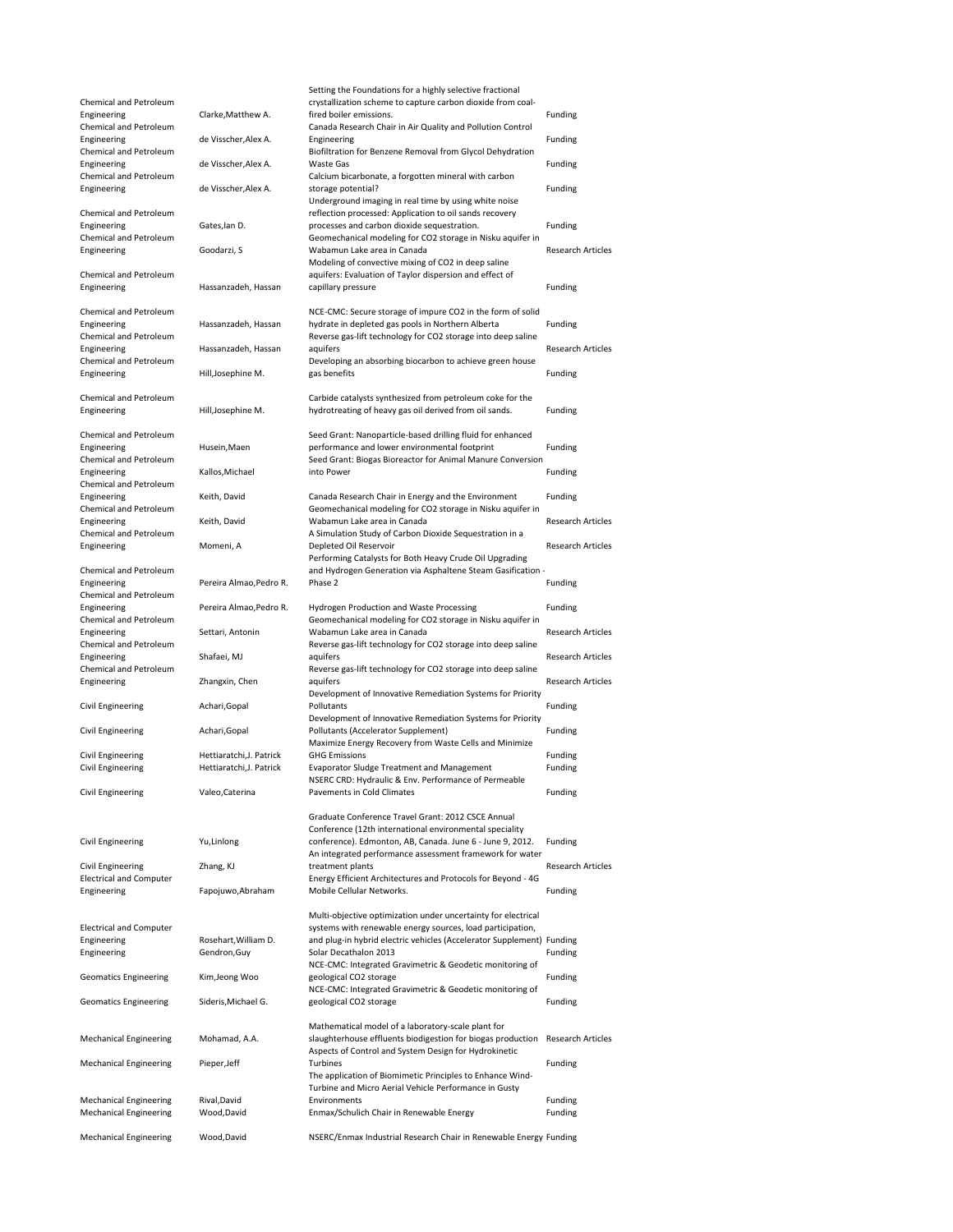|                                |                          | Setting the Foundations for a highly selective fractional             |                          |
|--------------------------------|--------------------------|-----------------------------------------------------------------------|--------------------------|
| Chemical and Petroleum         |                          | crystallization scheme to capture carbon dioxide from coal-           |                          |
| Engineering                    | Clarke, Matthew A.       | fired boiler emissions.                                               | Funding                  |
| Chemical and Petroleum         |                          | Canada Research Chair in Air Quality and Pollution Control            |                          |
| Engineering                    | de Visscher, Alex A.     | Engineering                                                           | Funding                  |
| Chemical and Petroleum         |                          | Biofiltration for Benzene Removal from Glycol Dehydration             |                          |
| Engineering                    | de Visscher, Alex A.     | Waste Gas                                                             | Funding                  |
| Chemical and Petroleum         |                          | Calcium bicarbonate, a forgotten mineral with carbon                  |                          |
| Engineering                    | de Visscher, Alex A.     | storage potential?                                                    | Funding                  |
|                                |                          | Underground imaging in real time by using white noise                 |                          |
| Chemical and Petroleum         |                          | reflection processed: Application to oil sands recovery               |                          |
| Engineering                    | Gates, Ian D.            | processes and carbon dioxide sequestration.                           | Funding                  |
| Chemical and Petroleum         |                          | Geomechanical modeling for CO2 storage in Nisku aquifer in            |                          |
| Engineering                    | Goodarzi, S              | Wabamun Lake area in Canada                                           | <b>Research Articles</b> |
|                                |                          | Modeling of convective mixing of CO2 in deep saline                   |                          |
| Chemical and Petroleum         |                          | aquifers: Evaluation of Taylor dispersion and effect of               |                          |
| Engineering                    | Hassanzadeh, Hassan      | capillary pressure                                                    | Funding                  |
|                                |                          |                                                                       |                          |
| Chemical and Petroleum         |                          | NCE-CMC: Secure storage of impure CO2 in the form of solid            |                          |
| Engineering                    | Hassanzadeh, Hassan      | hydrate in depleted gas pools in Northern Alberta                     | Funding                  |
| Chemical and Petroleum         |                          | Reverse gas-lift technology for CO2 storage into deep saline          |                          |
| Engineering                    | Hassanzadeh, Hassan      | aquifers                                                              | <b>Research Articles</b> |
| Chemical and Petroleum         |                          | Developing an absorbing biocarbon to achieve green house              |                          |
| Engineering                    | Hill, Josephine M.       | gas benefits                                                          | Funding                  |
|                                |                          |                                                                       |                          |
| Chemical and Petroleum         |                          | Carbide catalysts synthesized from petroleum coke for the             |                          |
| Engineering                    | Hill, Josephine M.       | hydrotreating of heavy gas oil derived from oil sands.                | Funding                  |
|                                |                          |                                                                       |                          |
|                                |                          |                                                                       |                          |
| Chemical and Petroleum         |                          | Seed Grant: Nanoparticle-based drilling fluid for enhanced            |                          |
| Engineering                    | Husein, Maen             | performance and lower environmental footprint                         | Funding                  |
| Chemical and Petroleum         |                          | Seed Grant: Biogas Bioreactor for Animal Manure Conversion            |                          |
| Engineering                    | Kallos, Michael          | into Power                                                            | Funding                  |
| Chemical and Petroleum         |                          |                                                                       |                          |
| Engineering                    | Keith, David             | Canada Research Chair in Energy and the Environment                   | Funding                  |
| Chemical and Petroleum         |                          | Geomechanical modeling for CO2 storage in Nisku aquifer in            |                          |
| Engineering                    | Keith, David             | Wabamun Lake area in Canada                                           | <b>Research Articles</b> |
| Chemical and Petroleum         |                          | A Simulation Study of Carbon Dioxide Sequestration in a               |                          |
| Engineering                    | Momeni, A                | Depleted Oil Reservoir                                                | <b>Research Articles</b> |
|                                |                          | Performing Catalysts for Both Heavy Crude Oil Upgrading               |                          |
| Chemical and Petroleum         |                          | and Hydrogen Generation via Asphaltene Steam Gasification -           |                          |
| Engineering                    | Pereira Almao, Pedro R.  | Phase 2                                                               | Funding                  |
| Chemical and Petroleum         |                          |                                                                       |                          |
| Engineering                    | Pereira Almao, Pedro R.  | Hydrogen Production and Waste Processing                              | Funding                  |
|                                |                          |                                                                       |                          |
| Chemical and Petroleum         |                          | Geomechanical modeling for CO2 storage in Nisku aquifer in            |                          |
| Engineering                    | Settari, Antonin         | Wabamun Lake area in Canada                                           | <b>Research Articles</b> |
| Chemical and Petroleum         |                          | Reverse gas-lift technology for CO2 storage into deep saline          |                          |
| Engineering                    | Shafaei, MJ              | aquifers                                                              | <b>Research Articles</b> |
| Chemical and Petroleum         |                          | Reverse gas-lift technology for CO2 storage into deep saline          |                          |
| Engineering                    | Zhangxin, Chen           | aquifers                                                              | Research Articles        |
|                                |                          | Development of Innovative Remediation Systems for Priority            |                          |
| Civil Engineering              | Achari, Gopal            | Pollutants                                                            | Funding                  |
|                                |                          |                                                                       |                          |
|                                | Achari, Gopal            | Development of Innovative Remediation Systems for Priority            |                          |
| Civil Engineering              |                          | Pollutants (Accelerator Supplement)                                   | Funding                  |
|                                |                          | Maximize Energy Recovery from Waste Cells and Minimize                |                          |
| Civil Engineering              | Hettiaratchi, J. Patrick | <b>GHG Emissions</b>                                                  | Funding                  |
| Civil Engineering              | Hettiaratchi, J. Patrick | Evaporator Sludge Treatment and Management                            | Funding                  |
|                                |                          | NSERC CRD: Hydraulic & Env. Performance of Permeable                  |                          |
| Civil Engineering              | Valeo, Caterina          | Pavements in Cold Climates                                            | Funding                  |
|                                |                          |                                                                       |                          |
|                                |                          | Graduate Conference Travel Grant: 2012 CSCE Annual                    |                          |
|                                |                          | Conference (12th international environmental speciality               |                          |
| Civil Engineering              | Yu, Linlong              | conference). Edmonton, AB, Canada. June 6 - June 9, 2012.             | Funding                  |
|                                |                          | An integrated performance assessment framework for water              |                          |
| Civil Engineering              | Zhang, KJ                | treatment plants                                                      | <b>Research Articles</b> |
| <b>Electrical and Computer</b> |                          | Energy Efficient Architectures and Protocols for Beyond - 4G          |                          |
| Engineering                    | Fapojuwo, Abraham        | Mobile Cellular Networks.                                             | Funding                  |
|                                |                          |                                                                       |                          |
|                                |                          | Multi-objective optimization under uncertainty for electrical         |                          |
| <b>Electrical and Computer</b> |                          | systems with renewable energy sources, load participation,            |                          |
| Engineering                    | Rosehart, William D.     | and plug-in hybrid electric vehicles (Accelerator Supplement) Funding |                          |
| Engineering                    | Gendron, Guy             | Solar Decathalon 2013                                                 | Funding                  |
|                                |                          | NCE-CMC: Integrated Gravimetric & Geodetic monitoring of              |                          |
| <b>Geomatics Engineering</b>   | Kim, Jeong Woo           | geological CO2 storage                                                | Funding                  |
|                                |                          | NCE-CMC: Integrated Gravimetric & Geodetic monitoring of              |                          |
| <b>Geomatics Engineering</b>   | Sideris, Michael G.      | geological CO2 storage                                                | Funding                  |
|                                |                          |                                                                       |                          |
|                                |                          | Mathematical model of a laboratory-scale plant for                    |                          |
| <b>Mechanical Engineering</b>  | Mohamad, A.A.            | slaughterhouse effluents biodigestion for biogas production           | <b>Research Articles</b> |
|                                |                          | Aspects of Control and System Design for Hydrokinetic                 |                          |
| <b>Mechanical Engineering</b>  | Pieper, Jeff             | Turbines                                                              | Funding                  |
|                                |                          | The application of Biomimetic Principles to Enhance Wind-             |                          |
|                                |                          | Turbine and Micro Aerial Vehicle Performance in Gusty                 |                          |
| <b>Mechanical Engineering</b>  | Rival, David             | Environments                                                          | Funding                  |
| <b>Mechanical Engineering</b>  | Wood, David              | Enmax/Schulich Chair in Renewable Energy                              | Funding                  |
| <b>Mechanical Engineering</b>  | Wood, David              | NSERC/Enmax Industrial Research Chair in Renewable Energy Funding     |                          |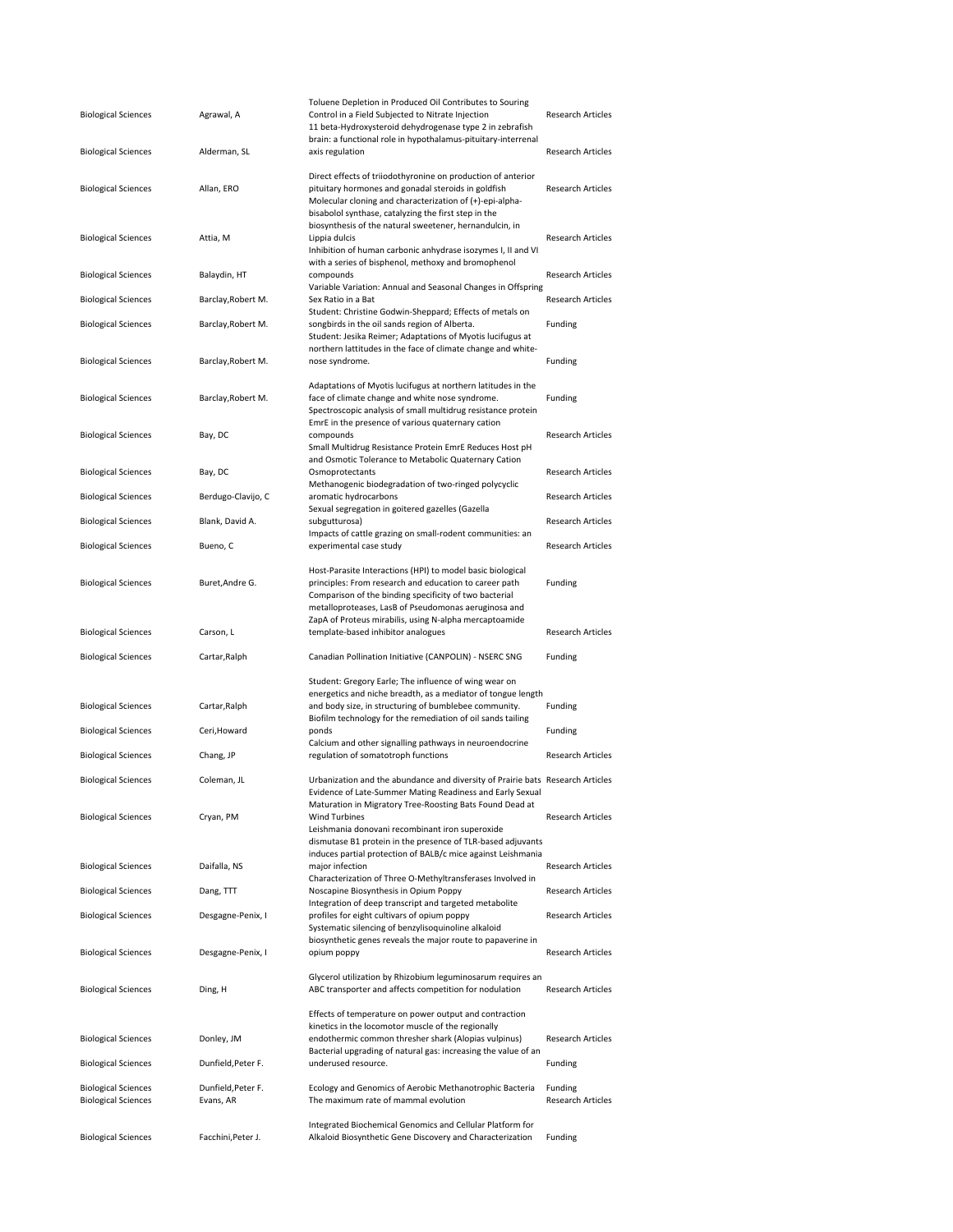| <b>Biological Sciences</b>                               | Agrawal, A                      | Toluene Depletion in Produced Oil Contributes to Souring<br>Control in a Field Subjected to Nitrate Injection<br>11 beta-Hydroxysteroid dehydrogenase type 2 in zebrafish                                                                     | <b>Research Articles</b>            |
|----------------------------------------------------------|---------------------------------|-----------------------------------------------------------------------------------------------------------------------------------------------------------------------------------------------------------------------------------------------|-------------------------------------|
| <b>Biological Sciences</b>                               | Alderman, SL                    | brain: a functional role in hypothalamus-pituitary-interrenal<br>axis regulation                                                                                                                                                              | <b>Research Articles</b>            |
| <b>Biological Sciences</b>                               | Allan, ERO                      | Direct effects of triiodothyronine on production of anterior<br>pituitary hormones and gonadal steroids in goldfish<br>Molecular cloning and characterization of (+)-epi-alpha-<br>bisabolol synthase, catalyzing the first step in the       | <b>Research Articles</b>            |
| <b>Biological Sciences</b>                               | Attia, M                        | biosynthesis of the natural sweetener, hernandulcin, in<br>Lippia dulcis<br>Inhibition of human carbonic anhydrase isozymes I, II and VI                                                                                                      | <b>Research Articles</b>            |
| <b>Biological Sciences</b>                               | Balaydin, HT                    | with a series of bisphenol, methoxy and bromophenol<br>compounds<br>Variable Variation: Annual and Seasonal Changes in Offspring                                                                                                              | <b>Research Articles</b>            |
| <b>Biological Sciences</b>                               | Barclay, Robert M.              | Sex Ratio in a Bat<br>Student: Christine Godwin-Sheppard; Effects of metals on                                                                                                                                                                | <b>Research Articles</b>            |
| <b>Biological Sciences</b>                               | Barclay, Robert M.              | songbirds in the oil sands region of Alberta.<br>Student: Jesika Reimer; Adaptations of Myotis lucifugus at                                                                                                                                   | Funding                             |
| <b>Biological Sciences</b>                               | Barclay, Robert M.              | northern lattitudes in the face of climate change and white-<br>nose syndrome.                                                                                                                                                                | Funding                             |
| <b>Biological Sciences</b>                               | Barclay, Robert M.              | Adaptations of Myotis lucifugus at northern latitudes in the<br>face of climate change and white nose syndrome.<br>Spectroscopic analysis of small multidrug resistance protein<br>EmrE in the presence of various quaternary cation          | Funding                             |
| <b>Biological Sciences</b>                               | Bay, DC                         | compounds<br>Small Multidrug Resistance Protein EmrE Reduces Host pH                                                                                                                                                                          | <b>Research Articles</b>            |
| <b>Biological Sciences</b>                               | Bay, DC                         | and Osmotic Tolerance to Metabolic Quaternary Cation<br>Osmoprotectants<br>Methanogenic biodegradation of two-ringed polycyclic                                                                                                               | <b>Research Articles</b>            |
| <b>Biological Sciences</b>                               | Berdugo-Clavijo, C              | aromatic hydrocarbons<br>Sexual segregation in goitered gazelles (Gazella                                                                                                                                                                     | <b>Research Articles</b>            |
| <b>Biological Sciences</b>                               | Blank, David A.                 | subgutturosa)<br>Impacts of cattle grazing on small-rodent communities: an                                                                                                                                                                    | <b>Research Articles</b>            |
| <b>Biological Sciences</b>                               | Bueno, C                        | experimental case study                                                                                                                                                                                                                       | <b>Research Articles</b>            |
| <b>Biological Sciences</b>                               | Buret,Andre G.                  | Host-Parasite Interactions (HPI) to model basic biological<br>principles: From research and education to career path<br>Comparison of the binding specificity of two bacterial<br>metalloproteases, LasB of Pseudomonas aeruginosa and        | Funding                             |
|                                                          |                                 |                                                                                                                                                                                                                                               |                                     |
| <b>Biological Sciences</b>                               | Carson, L                       | ZapA of Proteus mirabilis, using N-alpha mercaptoamide<br>template-based inhibitor analogues                                                                                                                                                  | <b>Research Articles</b>            |
| <b>Biological Sciences</b>                               | Cartar, Ralph                   | Canadian Pollination Initiative (CANPOLIN) - NSERC SNG                                                                                                                                                                                        | Funding                             |
| <b>Biological Sciences</b>                               | Cartar, Ralph                   | Student: Gregory Earle; The influence of wing wear on<br>energetics and niche breadth, as a mediator of tongue length<br>and body size, in structuring of bumblebee community.<br>Biofilm technology for the remediation of oil sands tailing | Funding                             |
| <b>Biological Sciences</b>                               | Ceri, Howard                    | ponds<br>Calcium and other signalling pathways in neuroendocrine                                                                                                                                                                              | Funding                             |
| <b>Biological Sciences</b>                               | Chang, JP                       | regulation of somatotroph functions                                                                                                                                                                                                           | Research Articles                   |
| <b>Biological Sciences</b>                               | Coleman, JL                     | Urbanization and the abundance and diversity of Prairie bats Research Articles<br>Evidence of Late-Summer Mating Readiness and Early Sexual                                                                                                   |                                     |
| <b>Biological Sciences</b>                               | Cryan, PM                       | Maturation in Migratory Tree-Roosting Bats Found Dead at<br><b>Wind Turbines</b><br>Leishmania donovani recombinant iron superoxide<br>dismutase B1 protein in the presence of TLR-based adjuvants                                            | <b>Research Articles</b>            |
| <b>Biological Sciences</b>                               | Daifalla, NS                    | induces partial protection of BALB/c mice against Leishmania<br>major infection                                                                                                                                                               | <b>Research Articles</b>            |
| <b>Biological Sciences</b>                               | Dang, TTT                       | Characterization of Three O-Methyltransferases Involved in<br>Noscapine Biosynthesis in Opium Poppy                                                                                                                                           | <b>Research Articles</b>            |
| <b>Biological Sciences</b>                               | Desgagne-Penix, I               | Integration of deep transcript and targeted metabolite<br>profiles for eight cultivars of opium poppy<br>Systematic silencing of benzylisoquinoline alkaloid                                                                                  | <b>Research Articles</b>            |
| <b>Biological Sciences</b>                               | Desgagne-Penix, I               | biosynthetic genes reveals the major route to papaverine in<br>opium poppy                                                                                                                                                                    | <b>Research Articles</b>            |
| <b>Biological Sciences</b>                               | Ding, H                         | Glycerol utilization by Rhizobium leguminosarum requires an<br>ABC transporter and affects competition for nodulation                                                                                                                         | <b>Research Articles</b>            |
| <b>Biological Sciences</b>                               | Donley, JM                      | Effects of temperature on power output and contraction<br>kinetics in the locomotor muscle of the regionally<br>endothermic common thresher shark (Alopias vulpinus)<br>Bacterial upgrading of natural gas: increasing the value of an        | <b>Research Articles</b>            |
| <b>Biological Sciences</b>                               | Dunfield, Peter F.              | underused resource.                                                                                                                                                                                                                           | Funding                             |
| <b>Biological Sciences</b><br><b>Biological Sciences</b> | Dunfield, Peter F.<br>Evans, AR | Ecology and Genomics of Aerobic Methanotrophic Bacteria<br>The maximum rate of mammal evolution                                                                                                                                               | Funding<br><b>Research Articles</b> |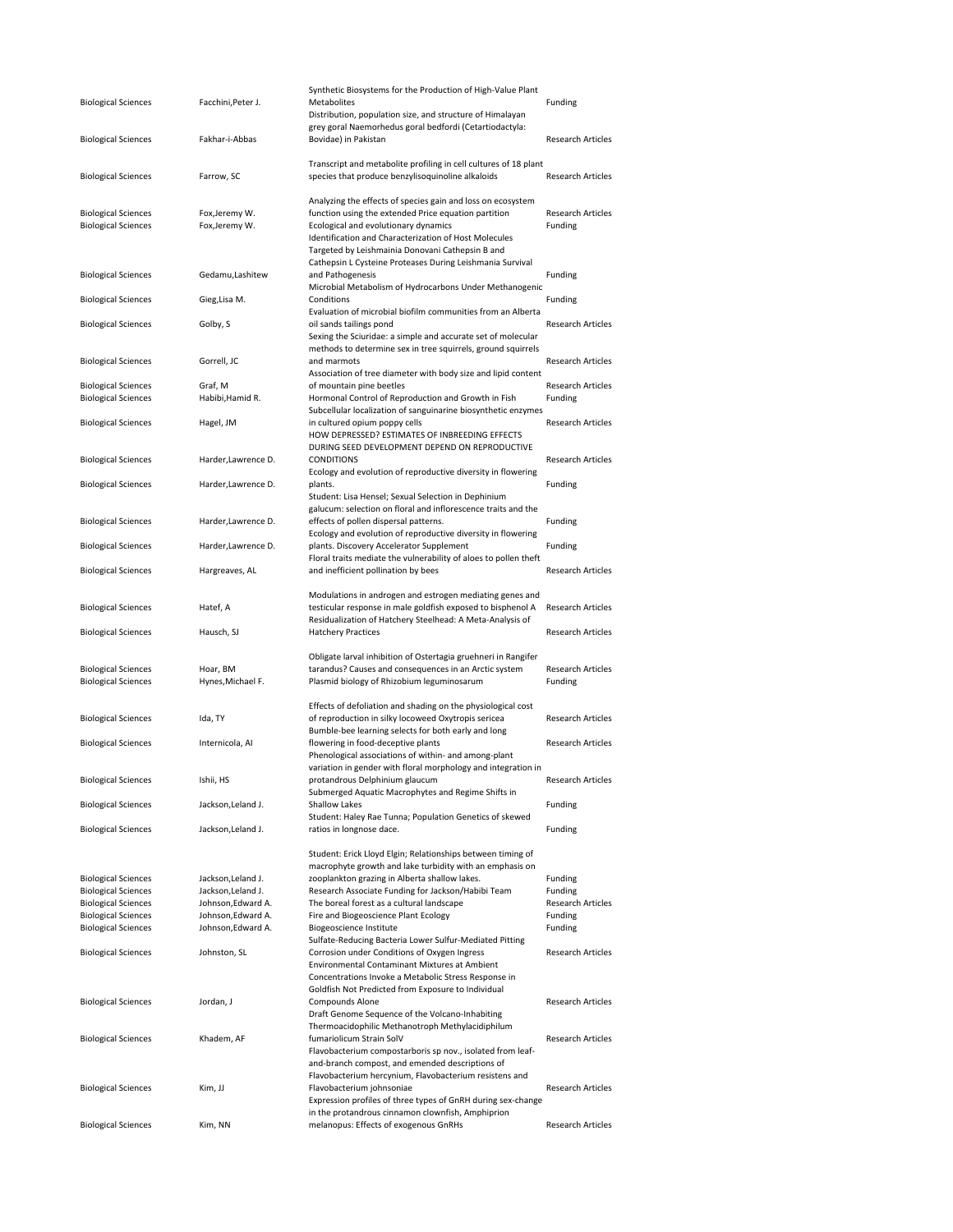|                            |                     | Synthetic Biosystems for the Production of High-Value Plant                                    |                          |
|----------------------------|---------------------|------------------------------------------------------------------------------------------------|--------------------------|
| <b>Biological Sciences</b> | Facchini, Peter J.  | Metabolites                                                                                    | Funding                  |
|                            |                     | Distribution, population size, and structure of Himalayan                                      |                          |
|                            |                     | grey goral Naemorhedus goral bedfordi (Cetartiodactyla:                                        |                          |
| <b>Biological Sciences</b> | Fakhar-i-Abbas      | Bovidae) in Pakistan                                                                           | <b>Research Articles</b> |
|                            |                     |                                                                                                |                          |
|                            |                     | Transcript and metabolite profiling in cell cultures of 18 plant                               |                          |
| <b>Biological Sciences</b> | Farrow, SC          | species that produce benzylisoquinoline alkaloids                                              | <b>Research Articles</b> |
|                            |                     |                                                                                                |                          |
|                            |                     | Analyzing the effects of species gain and loss on ecosystem                                    |                          |
| <b>Biological Sciences</b> | Fox, Jeremy W.      | function using the extended Price equation partition                                           | <b>Research Articles</b> |
| <b>Biological Sciences</b> | Fox, Jeremy W.      | Ecological and evolutionary dynamics                                                           | Funding                  |
|                            |                     | Identification and Characterization of Host Molecules                                          |                          |
|                            |                     | Targeted by Leishmainia Donovani Cathepsin B and                                               |                          |
|                            |                     | Cathepsin L Cysteine Proteases During Leishmania Survival                                      |                          |
| <b>Biological Sciences</b> | Gedamu, Lashitew    | and Pathogenesis                                                                               | Funding                  |
|                            |                     | Microbial Metabolism of Hydrocarbons Under Methanogenic                                        |                          |
| <b>Biological Sciences</b> | Gieg, Lisa M.       | Conditions                                                                                     | Funding                  |
|                            |                     | Evaluation of microbial biofilm communities from an Alberta                                    |                          |
| <b>Biological Sciences</b> | Golby, S            | oil sands tailings pond                                                                        | <b>Research Articles</b> |
|                            |                     | Sexing the Sciuridae: a simple and accurate set of molecular                                   |                          |
|                            |                     | methods to determine sex in tree squirrels, ground squirrels                                   |                          |
| <b>Biological Sciences</b> | Gorrell, JC         | and marmots                                                                                    | <b>Research Articles</b> |
|                            |                     | Association of tree diameter with body size and lipid content                                  |                          |
| <b>Biological Sciences</b> | Graf, M             | of mountain pine beetles                                                                       | <b>Research Articles</b> |
| <b>Biological Sciences</b> | Habibi, Hamid R.    | Hormonal Control of Reproduction and Growth in Fish                                            | Funding                  |
|                            |                     |                                                                                                |                          |
|                            |                     | Subcellular localization of sanguinarine biosynthetic enzymes<br>in cultured opium poppy cells | <b>Research Articles</b> |
| <b>Biological Sciences</b> | Hagel, JM           |                                                                                                |                          |
|                            |                     | HOW DEPRESSED? ESTIMATES OF INBREEDING EFFECTS                                                 |                          |
|                            |                     | DURING SEED DEVELOPMENT DEPEND ON REPRODUCTIVE                                                 |                          |
| <b>Biological Sciences</b> | Harder, Lawrence D. | <b>CONDITIONS</b>                                                                              | <b>Research Articles</b> |
|                            |                     | Ecology and evolution of reproductive diversity in flowering                                   |                          |
| <b>Biological Sciences</b> | Harder, Lawrence D. | plants.                                                                                        | Funding                  |
|                            |                     | Student: Lisa Hensel; Sexual Selection in Dephinium                                            |                          |
|                            |                     | galucum: selection on floral and inflorescence traits and the                                  |                          |
| <b>Biological Sciences</b> | Harder, Lawrence D. | effects of pollen dispersal patterns.                                                          | Funding                  |
|                            |                     | Ecology and evolution of reproductive diversity in flowering                                   |                          |
| <b>Biological Sciences</b> | Harder, Lawrence D. | plants. Discovery Accelerator Supplement                                                       | Funding                  |
|                            |                     | Floral traits mediate the vulnerability of aloes to pollen theft                               |                          |
| <b>Biological Sciences</b> | Hargreaves, AL      | and inefficient pollination by bees                                                            | <b>Research Articles</b> |
|                            |                     |                                                                                                |                          |
|                            |                     | Modulations in androgen and estrogen mediating genes and                                       |                          |
|                            |                     | testicular response in male goldfish exposed to bisphenol A                                    | <b>Research Articles</b> |
|                            |                     |                                                                                                |                          |
| <b>Biological Sciences</b> | Hatef, A            |                                                                                                |                          |
|                            |                     | Residualization of Hatchery Steelhead: A Meta-Analysis of                                      |                          |
| <b>Biological Sciences</b> | Hausch, SJ          | <b>Hatchery Practices</b>                                                                      | <b>Research Articles</b> |
|                            |                     |                                                                                                |                          |
|                            |                     | Obligate larval inhibition of Ostertagia gruehneri in Rangifer                                 |                          |
| <b>Biological Sciences</b> | Hoar, BM            | tarandus? Causes and consequences in an Arctic system                                          | <b>Research Articles</b> |
| <b>Biological Sciences</b> | Hynes, Michael F.   | Plasmid biology of Rhizobium leguminosarum                                                     | Funding                  |
|                            |                     |                                                                                                |                          |
|                            |                     | Effects of defoliation and shading on the physiological cost                                   |                          |
| <b>Biological Sciences</b> | Ida, TY             | of reproduction in silky locoweed Oxytropis sericea                                            | <b>Research Articles</b> |
|                            |                     | Bumble-bee learning selects for both early and long                                            |                          |
| <b>Biological Sciences</b> | Internicola, Al     | flowering in food-deceptive plants                                                             | <b>Research Articles</b> |
|                            |                     | Phenological associations of within- and among-plant                                           |                          |
|                            |                     | variation in gender with floral morphology and integration in                                  |                          |
| <b>Biological Sciences</b> | Ishii, HS           | protandrous Delphinium glaucum                                                                 | <b>Research Articles</b> |
|                            |                     | Submerged Aquatic Macrophytes and Regime Shifts in                                             |                          |
| <b>Biological Sciences</b> | Jackson, Leland J.  | Shallow Lakes                                                                                  | Funding                  |
|                            |                     | Student: Haley Rae Tunna; Population Genetics of skewed                                        |                          |
| <b>Biological Sciences</b> | Jackson, Leland J.  | ratios in longnose dace.                                                                       | Funding                  |
|                            |                     |                                                                                                |                          |
|                            |                     | Student: Erick Lloyd Elgin; Relationships between timing of                                    |                          |
|                            |                     | macrophyte growth and lake turbidity with an emphasis on                                       |                          |
| <b>Biological Sciences</b> | Jackson, Leland J.  | zooplankton grazing in Alberta shallow lakes.                                                  | Funding                  |
| <b>Biological Sciences</b> | Jackson, Leland J.  | Research Associate Funding for Jackson/Habibi Team                                             | Funding                  |
| <b>Biological Sciences</b> | Johnson, Edward A.  | The boreal forest as a cultural landscape                                                      | <b>Research Articles</b> |
| <b>Biological Sciences</b> | Johnson, Edward A.  | Fire and Biogeoscience Plant Ecology                                                           | Funding                  |
| <b>Biological Sciences</b> | Johnson, Edward A.  | Biogeoscience Institute                                                                        | Funding                  |
|                            |                     |                                                                                                |                          |
|                            |                     | Sulfate-Reducing Bacteria Lower Sulfur-Mediated Pitting                                        |                          |
| <b>Biological Sciences</b> | Johnston, SL        | Corrosion under Conditions of Oxygen Ingress                                                   | <b>Research Articles</b> |
|                            |                     | Environmental Contaminant Mixtures at Ambient                                                  |                          |
|                            |                     | Concentrations Invoke a Metabolic Stress Response in                                           |                          |
|                            |                     | Goldfish Not Predicted from Exposure to Individual                                             |                          |
| <b>Biological Sciences</b> | Jordan, J           | Compounds Alone                                                                                | <b>Research Articles</b> |
|                            |                     | Draft Genome Sequence of the Volcano-Inhabiting                                                |                          |
|                            |                     | Thermoacidophilic Methanotroph Methylacidiphilum                                               |                          |
| <b>Biological Sciences</b> | Khadem, AF          | fumariolicum Strain SolV                                                                       | <b>Research Articles</b> |
|                            |                     | Flavobacterium compostarboris sp nov., isolated from leaf-                                     |                          |
|                            |                     | and-branch compost, and emended descriptions of                                                |                          |
|                            |                     | Flavobacterium hercynium, Flavobacterium resistens and                                         |                          |
| <b>Biological Sciences</b> | Kim, JJ             | Flavobacterium johnsoniae                                                                      | <b>Research Articles</b> |
|                            |                     | Expression profiles of three types of GnRH during sex-change                                   |                          |
| <b>Biological Sciences</b> | Kim, NN             | in the protandrous cinnamon clownfish, Amphiprion<br>melanopus: Effects of exogenous GnRHs     | <b>Research Articles</b> |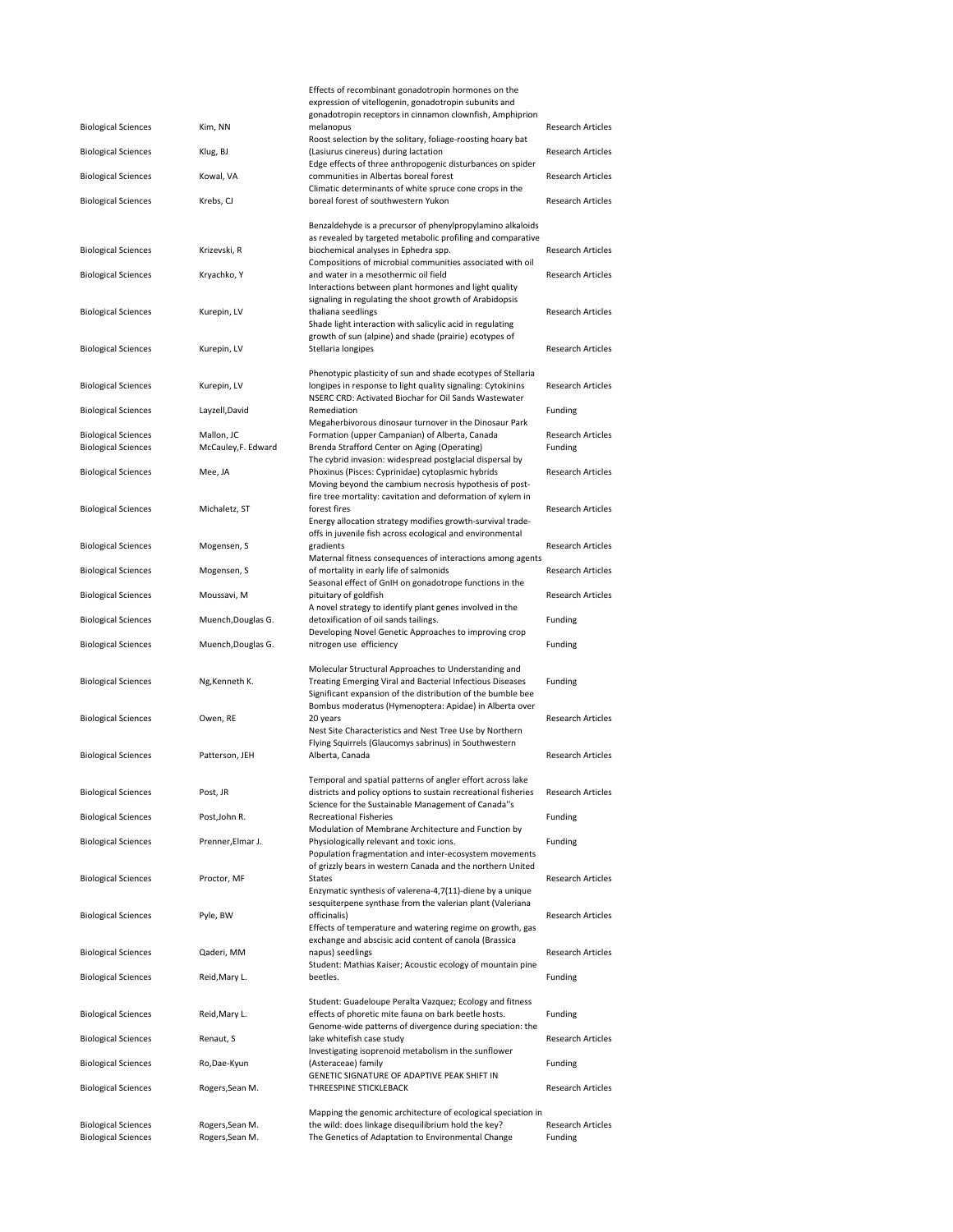|                                                          |                                    | Effects of recombinant gonadotropin hormones on the                                                                          |                                     |
|----------------------------------------------------------|------------------------------------|------------------------------------------------------------------------------------------------------------------------------|-------------------------------------|
|                                                          |                                    | expression of vitellogenin, gonadotropin subunits and<br>gonadotropin receptors in cinnamon clownfish, Amphiprion            |                                     |
| <b>Biological Sciences</b>                               | Kim, NN                            | melanopus                                                                                                                    | Research Articles                   |
| <b>Biological Sciences</b>                               | Klug, BJ                           | Roost selection by the solitary, foliage-roosting hoary bat<br>(Lasiurus cinereus) during lactation                          | <b>Research Articles</b>            |
|                                                          |                                    | Edge effects of three anthropogenic disturbances on spider                                                                   |                                     |
| <b>Biological Sciences</b>                               | Kowal, VA                          | communities in Albertas boreal forest<br>Climatic determinants of white spruce cone crops in the                             | <b>Research Articles</b>            |
| <b>Biological Sciences</b>                               | Krebs, CJ                          | boreal forest of southwestern Yukon                                                                                          | <b>Research Articles</b>            |
|                                                          |                                    | Benzaldehyde is a precursor of phenylpropylamino alkaloids                                                                   |                                     |
|                                                          |                                    | as revealed by targeted metabolic profiling and comparative                                                                  |                                     |
| <b>Biological Sciences</b>                               | Krizevski, R                       | biochemical analyses in Ephedra spp.                                                                                         | <b>Research Articles</b>            |
| <b>Biological Sciences</b>                               | Kryachko, Y                        | Compositions of microbial communities associated with oil<br>and water in a mesothermic oil field                            | <b>Research Articles</b>            |
|                                                          |                                    | Interactions between plant hormones and light quality                                                                        |                                     |
|                                                          | Kurepin, LV                        | signaling in regulating the shoot growth of Arabidopsis<br>thaliana seedlings                                                | Research Articles                   |
| <b>Biological Sciences</b>                               |                                    | Shade light interaction with salicylic acid in regulating                                                                    |                                     |
|                                                          |                                    | growth of sun (alpine) and shade (prairie) ecotypes of                                                                       |                                     |
| <b>Biological Sciences</b>                               | Kurepin, LV                        | Stellaria longipes                                                                                                           | <b>Research Articles</b>            |
|                                                          |                                    | Phenotypic plasticity of sun and shade ecotypes of Stellaria                                                                 |                                     |
| <b>Biological Sciences</b>                               | Kurepin, LV                        | longipes in response to light quality signaling: Cytokinins<br>NSERC CRD: Activated Biochar for Oil Sands Wastewater         | Research Articles                   |
| <b>Biological Sciences</b>                               | Layzell, David                     | Remediation                                                                                                                  | Funding                             |
|                                                          |                                    | Megaherbivorous dinosaur turnover in the Dinosaur Park                                                                       |                                     |
| <b>Biological Sciences</b><br><b>Biological Sciences</b> | Mallon, JC<br>McCauley,F. Edward   | Formation (upper Campanian) of Alberta, Canada<br>Brenda Strafford Center on Aging (Operating)                               | <b>Research Articles</b><br>Funding |
|                                                          |                                    | The cybrid invasion: widespread postglacial dispersal by                                                                     |                                     |
| <b>Biological Sciences</b>                               | Mee, JA                            | Phoxinus (Pisces: Cyprinidae) cytoplasmic hybrids<br>Moving beyond the cambium necrosis hypothesis of post-                  | <b>Research Articles</b>            |
|                                                          |                                    | fire tree mortality: cavitation and deformation of xylem in                                                                  |                                     |
| <b>Biological Sciences</b>                               | Michaletz, ST                      | forest fires                                                                                                                 | <b>Research Articles</b>            |
|                                                          |                                    | Energy allocation strategy modifies growth-survival trade-<br>offs in juvenile fish across ecological and environmental      |                                     |
| <b>Biological Sciences</b>                               | Mogensen, S                        | gradients                                                                                                                    | <b>Research Articles</b>            |
| <b>Biological Sciences</b>                               | Mogensen, S                        | Maternal fitness consequences of interactions among agents<br>of mortality in early life of salmonids                        | Research Articles                   |
|                                                          |                                    | Seasonal effect of GnIH on gonadotrope functions in the                                                                      |                                     |
| <b>Biological Sciences</b>                               | Moussavi, M                        | pituitary of goldfish<br>A novel strategy to identify plant genes involved in the                                            | <b>Research Articles</b>            |
|                                                          |                                    | detoxification of oil sands tailings.                                                                                        | Funding                             |
| <b>Biological Sciences</b>                               | Muench, Douglas G.                 |                                                                                                                              |                                     |
|                                                          |                                    | Developing Novel Genetic Approaches to improving crop                                                                        |                                     |
| <b>Biological Sciences</b>                               | Muench, Douglas G.                 | nitrogen use efficiency                                                                                                      | Funding                             |
|                                                          |                                    | Molecular Structural Approaches to Understanding and                                                                         |                                     |
| <b>Biological Sciences</b>                               | Ng, Kenneth K.                     | Treating Emerging Viral and Bacterial Infectious Diseases                                                                    | Funding                             |
|                                                          |                                    | Significant expansion of the distribution of the bumble bee<br>Bombus moderatus (Hymenoptera: Apidae) in Alberta over        |                                     |
| <b>Biological Sciences</b>                               | Owen, RE                           | 20 years                                                                                                                     | <b>Research Articles</b>            |
|                                                          |                                    | Nest Site Characteristics and Nest Tree Use by Northern<br>Flying Squirrels (Glaucomys sabrinus) in Southwestern             |                                     |
| <b>Biological Sciences</b>                               | Patterson, JEH                     | Alberta, Canada                                                                                                              | <b>Research Articles</b>            |
|                                                          |                                    |                                                                                                                              |                                     |
| <b>Biological Sciences</b>                               | Post, JR                           | Temporal and spatial patterns of angler effort across lake<br>districts and policy options to sustain recreational fisheries | <b>Research Articles</b>            |
|                                                          |                                    | Science for the Sustainable Management of Canada"s                                                                           |                                     |
| <b>Biological Sciences</b>                               | Post, John R.                      | <b>Recreational Fisheries</b><br>Modulation of Membrane Architecture and Function by                                         | Funding                             |
| <b>Biological Sciences</b>                               | Prenner, Elmar J.                  | Physiologically relevant and toxic ions.                                                                                     | Funding                             |
|                                                          |                                    | Population fragmentation and inter-ecosystem movements<br>of grizzly bears in western Canada and the northern United         |                                     |
| <b>Biological Sciences</b>                               | Proctor, MF                        | States                                                                                                                       | <b>Research Articles</b>            |
|                                                          |                                    | Enzymatic synthesis of valerena-4,7(11)-diene by a unique                                                                    |                                     |
| <b>Biological Sciences</b>                               | Pyle, BW                           | sesquiterpene synthase from the valerian plant (Valeriana<br>officinalis)                                                    | <b>Research Articles</b>            |
|                                                          |                                    | Effects of temperature and watering regime on growth, gas                                                                    |                                     |
| <b>Biological Sciences</b>                               | Qaderi, MM                         | exchange and abscisic acid content of canola (Brassica<br>napus) seedlings                                                   | <b>Research Articles</b>            |
|                                                          |                                    | Student: Mathias Kaiser; Acoustic ecology of mountain pine                                                                   |                                     |
| <b>Biological Sciences</b>                               | Reid, Mary L.                      | beetles.                                                                                                                     | Funding                             |
|                                                          |                                    | Student: Guadeloupe Peralta Vazquez; Ecology and fitness                                                                     |                                     |
| <b>Biological Sciences</b>                               | Reid, Mary L.                      | effects of phoretic mite fauna on bark beetle hosts.<br>Genome-wide patterns of divergence during speciation: the            | Funding                             |
| <b>Biological Sciences</b>                               | Renaut, S                          | lake whitefish case study                                                                                                    | <b>Research Articles</b>            |
|                                                          |                                    | Investigating isoprenoid metabolism in the sunflower                                                                         |                                     |
| <b>Biological Sciences</b>                               | Ro,Dae-Kyun                        | (Asteraceae) family<br>GENETIC SIGNATURE OF ADAPTIVE PEAK SHIFT IN                                                           | Funding                             |
| <b>Biological Sciences</b>                               | Rogers, Sean M.                    | THREESPINE STICKLEBACK                                                                                                       | <b>Research Articles</b>            |
|                                                          |                                    | Mapping the genomic architecture of ecological speciation in                                                                 |                                     |
| <b>Biological Sciences</b><br><b>Biological Sciences</b> | Rogers, Sean M.<br>Rogers, Sean M. | the wild: does linkage disequilibrium hold the key?<br>The Genetics of Adaptation to Environmental Change                    | <b>Research Articles</b><br>Funding |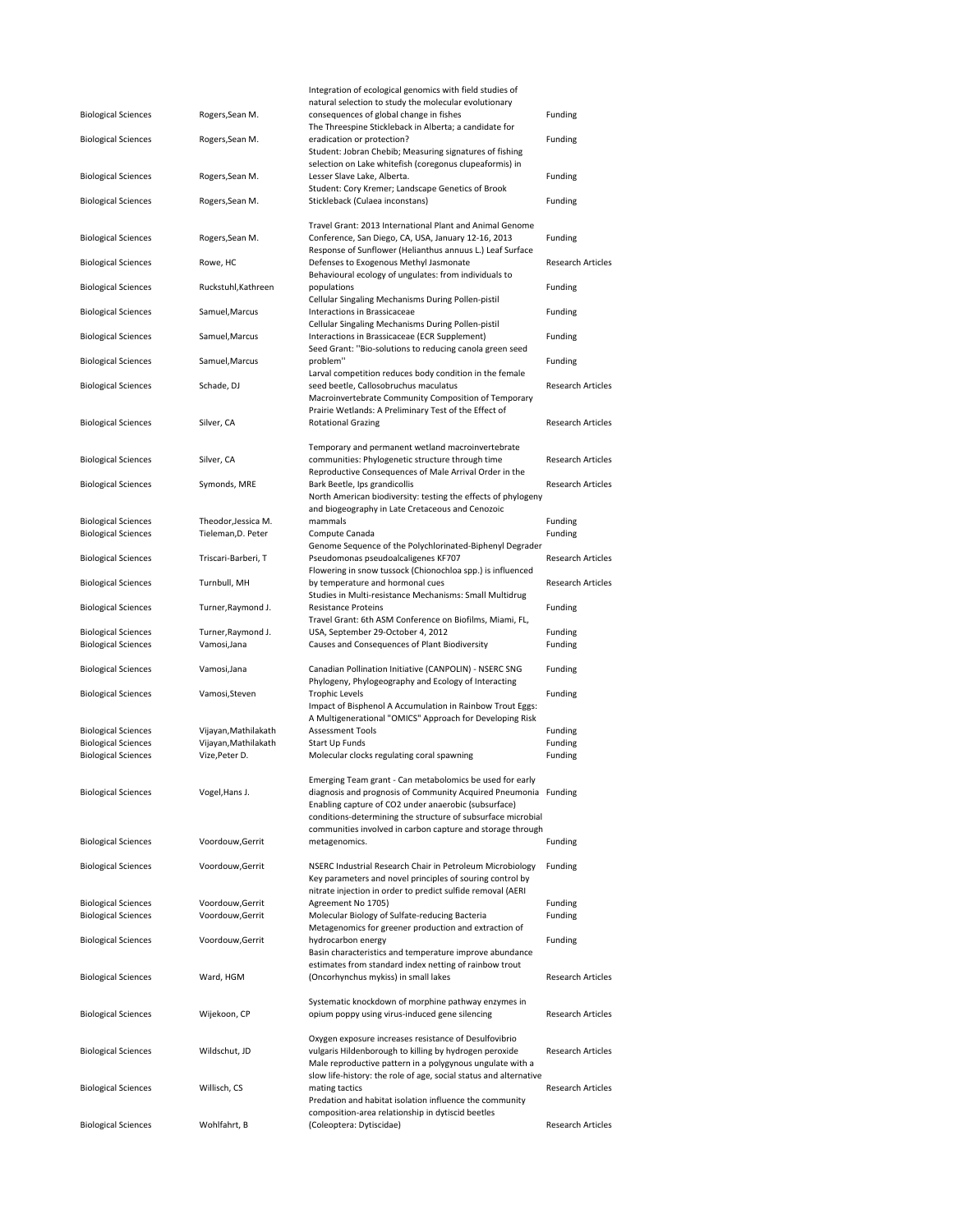|                            |                      | Integration of ecological genomics with field studies of                                                                                                                                                                                            |                          |
|----------------------------|----------------------|-----------------------------------------------------------------------------------------------------------------------------------------------------------------------------------------------------------------------------------------------------|--------------------------|
| <b>Biological Sciences</b> | Rogers, Sean M.      | natural selection to study the molecular evolutionary<br>consequences of global change in fishes<br>The Threespine Stickleback in Alberta; a candidate for                                                                                          | Funding                  |
| <b>Biological Sciences</b> | Rogers, Sean M.      | eradication or protection?<br>Student: Jobran Chebib; Measuring signatures of fishing                                                                                                                                                               | Funding                  |
| <b>Biological Sciences</b> | Rogers, Sean M.      | selection on Lake whitefish (coregonus clupeaformis) in<br>Lesser Slave Lake, Alberta.<br>Student: Cory Kremer; Landscape Genetics of Brook                                                                                                         | Funding                  |
| <b>Biological Sciences</b> | Rogers, Sean M.      | Stickleback (Culaea inconstans)                                                                                                                                                                                                                     | Funding                  |
| <b>Biological Sciences</b> | Rogers, Sean M.      | Travel Grant: 2013 International Plant and Animal Genome<br>Conference, San Diego, CA, USA, January 12-16, 2013<br>Response of Sunflower (Helianthus annuus L.) Leaf Surface                                                                        | Funding                  |
| <b>Biological Sciences</b> | Rowe, HC             | Defenses to Exogenous Methyl Jasmonate<br>Behavioural ecology of ungulates: from individuals to                                                                                                                                                     | <b>Research Articles</b> |
| <b>Biological Sciences</b> | Ruckstuhl, Kathreen  | populations<br>Cellular Singaling Mechanisms During Pollen-pistil                                                                                                                                                                                   | Funding                  |
| <b>Biological Sciences</b> | Samuel, Marcus       | Interactions in Brassicaceae<br>Cellular Singaling Mechanisms During Pollen-pistil                                                                                                                                                                  | Funding                  |
| <b>Biological Sciences</b> | Samuel, Marcus       | Interactions in Brassicaceae (ECR Supplement)<br>Seed Grant: "Bio-solutions to reducing canola green seed                                                                                                                                           | Funding                  |
| <b>Biological Sciences</b> | Samuel, Marcus       | problem"<br>Larval competition reduces body condition in the female                                                                                                                                                                                 | Funding                  |
| <b>Biological Sciences</b> | Schade, DJ           | seed beetle, Callosobruchus maculatus<br>Macroinvertebrate Community Composition of Temporary                                                                                                                                                       | <b>Research Articles</b> |
| <b>Biological Sciences</b> | Silver, CA           | Prairie Wetlands: A Preliminary Test of the Effect of<br><b>Rotational Grazing</b>                                                                                                                                                                  | <b>Research Articles</b> |
| <b>Biological Sciences</b> | Silver, CA           | Temporary and permanent wetland macroinvertebrate<br>communities: Phylogenetic structure through time<br>Reproductive Consequences of Male Arrival Order in the                                                                                     | <b>Research Articles</b> |
| <b>Biological Sciences</b> | Symonds, MRE         | Bark Beetle, Ips grandicollis<br>North American biodiversity: testing the effects of phylogeny                                                                                                                                                      | <b>Research Articles</b> |
| <b>Biological Sciences</b> | Theodor, Jessica M.  | and biogeography in Late Cretaceous and Cenozoic<br>mammals                                                                                                                                                                                         | Funding                  |
| <b>Biological Sciences</b> | Tieleman, D. Peter   | Compute Canada                                                                                                                                                                                                                                      | Funding                  |
| <b>Biological Sciences</b> | Triscari-Barberi, T  | Genome Sequence of the Polychlorinated-Biphenyl Degrader<br>Pseudomonas pseudoalcaligenes KF707<br>Flowering in snow tussock (Chionochloa spp.) is influenced                                                                                       | <b>Research Articles</b> |
| <b>Biological Sciences</b> | Turnbull, MH         | by temperature and hormonal cues<br>Studies in Multi-resistance Mechanisms: Small Multidrug                                                                                                                                                         | <b>Research Articles</b> |
| <b>Biological Sciences</b> | Turner, Raymond J.   | <b>Resistance Proteins</b><br>Travel Grant: 6th ASM Conference on Biofilms, Miami, FL,                                                                                                                                                              | Funding                  |
| <b>Biological Sciences</b> | Turner, Raymond J.   | USA, September 29-October 4, 2012                                                                                                                                                                                                                   | Funding                  |
| <b>Biological Sciences</b> | Vamosi, Jana         | Causes and Consequences of Plant Biodiversity                                                                                                                                                                                                       | Funding                  |
| <b>Biological Sciences</b> | Vamosi, Jana         | Canadian Pollination Initiative (CANPOLIN) - NSERC SNG<br>Phylogeny, Phylogeography and Ecology of Interacting                                                                                                                                      | Funding                  |
| <b>Biological Sciences</b> | Vamosi, Steven       | <b>Trophic Levels</b><br>Impact of Bisphenol A Accumulation in Rainbow Trout Eggs:<br>A Multigenerational "OMICS" Approach for Developing Risk                                                                                                      | Funding                  |
| <b>Biological Sciences</b> | Vijayan, Mathilakath | <b>Assessment Tools</b>                                                                                                                                                                                                                             | Funding                  |
| <b>Biological Sciences</b> | Vijayan, Mathilakath | Start Up Funds                                                                                                                                                                                                                                      | Funding                  |
| <b>Biological Sciences</b> | Vize, Peter D.       | Molecular clocks regulating coral spawning                                                                                                                                                                                                          | Funding                  |
| <b>Biological Sciences</b> | Vogel, Hans J.       | Emerging Team grant - Can metabolomics be used for early<br>diagnosis and prognosis of Community Acquired Pneumonia Funding<br>Enabling capture of CO2 under anaerobic (subsurface)<br>conditions-determining the structure of subsurface microbial |                          |
| <b>Biological Sciences</b> | Voordouw, Gerrit     | communities involved in carbon capture and storage through<br>metagenomics.                                                                                                                                                                         | Funding                  |
| <b>Biological Sciences</b> | Voordouw, Gerrit     | NSERC Industrial Research Chair in Petroleum Microbiology<br>Key parameters and novel principles of souring control by                                                                                                                              | Funding                  |
| <b>Biological Sciences</b> | Voordouw, Gerrit     | nitrate injection in order to predict sulfide removal (AERI<br>Agreement No 1705)                                                                                                                                                                   | Funding                  |
| <b>Biological Sciences</b> | Voordouw, Gerrit     | Molecular Biology of Sulfate-reducing Bacteria                                                                                                                                                                                                      | Funding                  |
| <b>Biological Sciences</b> | Voordouw, Gerrit     | Metagenomics for greener production and extraction of<br>hydrocarbon energy                                                                                                                                                                         | Funding                  |
| <b>Biological Sciences</b> | Ward, HGM            | Basin characteristics and temperature improve abundance<br>estimates from standard index netting of rainbow trout<br>(Oncorhynchus mykiss) in small lakes                                                                                           | <b>Research Articles</b> |
| <b>Biological Sciences</b> | Wijekoon, CP         | Systematic knockdown of morphine pathway enzymes in<br>opium poppy using virus-induced gene silencing                                                                                                                                               | Research Articles        |
| <b>Biological Sciences</b> | Wildschut, JD        | Oxygen exposure increases resistance of Desulfovibrio<br>vulgaris Hildenborough to killing by hydrogen peroxide<br>Male reproductive pattern in a polygynous ungulate with a                                                                        | <b>Research Articles</b> |
| <b>Biological Sciences</b> | Willisch, CS         | slow life-history: the role of age, social status and alternative<br>mating tactics<br>Predation and habitat isolation influence the community                                                                                                      | Research Articles        |
| <b>Biological Sciences</b> | Wohlfahrt, B         | composition-area relationship in dytiscid beetles<br>(Coleoptera: Dytiscidae)                                                                                                                                                                       | <b>Research Articles</b> |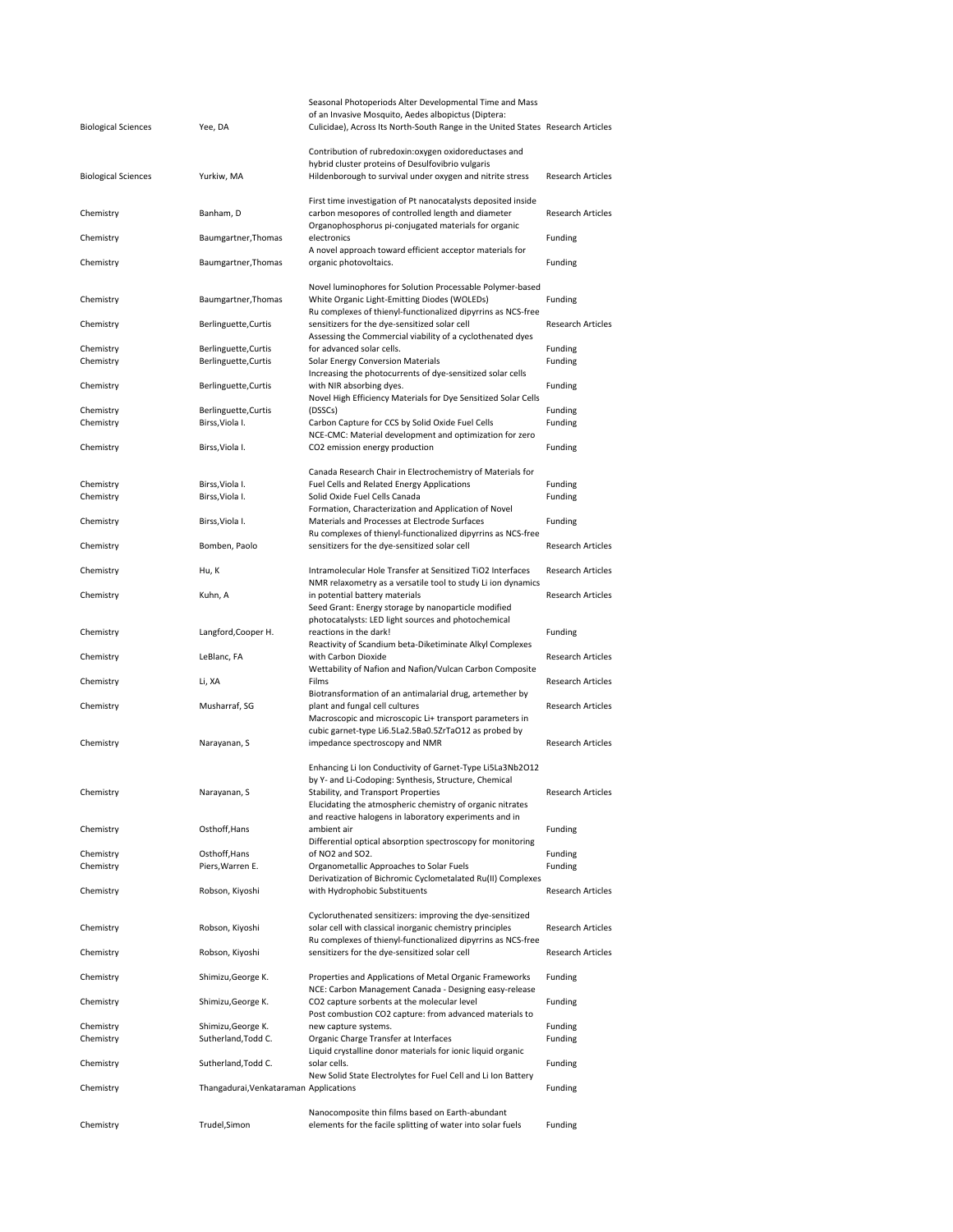| <b>Biological Sciences</b> | Yee, DA                                 | Seasonal Photoperiods Alter Developmental Time and Mass<br>of an Invasive Mosquito, Aedes albopictus (Diptera:<br>Culicidae), Across Its North-South Range in the United States Research Articles |                          |
|----------------------------|-----------------------------------------|---------------------------------------------------------------------------------------------------------------------------------------------------------------------------------------------------|--------------------------|
| <b>Biological Sciences</b> | Yurkiw, MA                              | Contribution of rubredoxin: oxygen oxidoreductases and<br>hybrid cluster proteins of Desulfovibrio vulgaris<br>Hildenborough to survival under oxygen and nitrite stress                          | <b>Research Articles</b> |
| Chemistry                  | Banham, D                               | First time investigation of Pt nanocatalysts deposited inside<br>carbon mesopores of controlled length and diameter<br>Organophosphorus pi-conjugated materials for organic                       | <b>Research Articles</b> |
| Chemistry                  | Baumgartner, Thomas                     | electronics                                                                                                                                                                                       | Funding                  |
| Chemistry                  | Baumgartner, Thomas                     | A novel approach toward efficient acceptor materials for<br>organic photovoltaics.                                                                                                                | Funding                  |
| Chemistry                  | Baumgartner, Thomas                     | Novel luminophores for Solution Processable Polymer-based<br>White Organic Light-Emitting Diodes (WOLEDs)                                                                                         | Funding                  |
| Chemistry                  | Berlinguette, Curtis                    | Ru complexes of thienyl-functionalized dipyrrins as NCS-free<br>sensitizers for the dye-sensitized solar cell                                                                                     | <b>Research Articles</b> |
| Chemistry                  | Berlinguette, Curtis                    | Assessing the Commercial viability of a cyclothenated dyes<br>for advanced solar cells.                                                                                                           | Funding                  |
| Chemistry                  | Berlinguette, Curtis                    | Solar Energy Conversion Materials                                                                                                                                                                 | Funding                  |
| Chemistry                  | Berlinguette, Curtis                    | Increasing the photocurrents of dye-sensitized solar cells<br>with NIR absorbing dyes.                                                                                                            | Funding                  |
|                            |                                         | Novel High Efficiency Materials for Dye Sensitized Solar Cells                                                                                                                                    |                          |
| Chemistry<br>Chemistry     | Berlinguette, Curtis<br>Birss, Viola I. | (DSSCs)<br>Carbon Capture for CCS by Solid Oxide Fuel Cells                                                                                                                                       | Funding<br>Funding       |
|                            |                                         | NCE-CMC: Material development and optimization for zero                                                                                                                                           |                          |
| Chemistry                  | Birss, Viola I.                         | CO2 emission energy production                                                                                                                                                                    | Funding                  |
|                            |                                         | Canada Research Chair in Electrochemistry of Materials for                                                                                                                                        |                          |
| Chemistry                  | Birss, Viola I.                         | Fuel Cells and Related Energy Applications                                                                                                                                                        | Funding                  |
| Chemistry                  | Birss, Viola I.                         | Solid Oxide Fuel Cells Canada                                                                                                                                                                     | Funding                  |
| Chemistry                  | Birss, Viola I.                         | Formation, Characterization and Application of Novel<br>Materials and Processes at Electrode Surfaces                                                                                             | Funding                  |
|                            |                                         | Ru complexes of thienyl-functionalized dipyrrins as NCS-free                                                                                                                                      |                          |
| Chemistry                  | Bomben, Paolo                           | sensitizers for the dye-sensitized solar cell                                                                                                                                                     | <b>Research Articles</b> |
| Chemistry                  | Hu, K                                   | Intramolecular Hole Transfer at Sensitized TiO2 Interfaces                                                                                                                                        | <b>Research Articles</b> |
| Chemistry                  | Kuhn, A                                 | NMR relaxometry as a versatile tool to study Li ion dynamics<br>in potential battery materials                                                                                                    | <b>Research Articles</b> |
|                            |                                         | Seed Grant: Energy storage by nanoparticle modified                                                                                                                                               |                          |
| Chemistry                  | Langford, Cooper H.                     | photocatalysts: LED light sources and photochemical<br>reactions in the dark!                                                                                                                     | Funding                  |
|                            |                                         | Reactivity of Scandium beta-Diketiminate Alkyl Complexes                                                                                                                                          |                          |
| Chemistry                  | LeBlanc, FA                             | with Carbon Dioxide<br>Wettability of Nafion and Nafion/Vulcan Carbon Composite                                                                                                                   | <b>Research Articles</b> |
| Chemistry                  | Li, XA                                  | Films                                                                                                                                                                                             | Research Articles        |
|                            | Musharraf, SG                           | Biotransformation of an antimalarial drug, artemether by                                                                                                                                          | <b>Research Articles</b> |
| Chemistry                  |                                         | plant and fungal cell cultures<br>Macroscopic and microscopic Li+ transport parameters in                                                                                                         |                          |
| Chemistry                  | Narayanan, S                            | cubic garnet-type Li6.5La2.5Ba0.5ZrTaO12 as probed by<br>impedance spectroscopy and NMR                                                                                                           | <b>Research Articles</b> |
|                            |                                         |                                                                                                                                                                                                   |                          |
|                            |                                         | Enhancing Li Ion Conductivity of Garnet-Type Li5La3Nb2O12<br>by Y- and Li-Codoping: Synthesis, Structure, Chemical                                                                                |                          |
| Chemistry                  | Narayanan, S                            | Stability, and Transport Properties                                                                                                                                                               | Research Articles        |
|                            |                                         | Elucidating the atmospheric chemistry of organic nitrates                                                                                                                                         |                          |
| Chemistry                  | Osthoff, Hans                           | and reactive halogens in laboratory experiments and in<br>ambient air                                                                                                                             | Funding                  |
|                            |                                         | Differential optical absorption spectroscopy for monitoring                                                                                                                                       |                          |
| Chemistry                  | Osthoff, Hans                           | of NO2 and SO2.                                                                                                                                                                                   | Funding                  |
| Chemistry                  | Piers, Warren E.                        | Organometallic Approaches to Solar Fuels                                                                                                                                                          | Funding                  |
| Chemistry                  | Robson, Kiyoshi                         | Derivatization of Bichromic Cyclometalated Ru(II) Complexes<br>with Hydrophobic Substituents                                                                                                      | <b>Research Articles</b> |
|                            |                                         | Cycloruthenated sensitizers: improving the dye-sensitized                                                                                                                                         |                          |
| Chemistry                  | Robson, Kiyoshi                         | solar cell with classical inorganic chemistry principles                                                                                                                                          | <b>Research Articles</b> |
| Chemistry                  | Robson, Kiyoshi                         | Ru complexes of thienyl-functionalized dipyrrins as NCS-free<br>sensitizers for the dye-sensitized solar cell                                                                                     | <b>Research Articles</b> |
|                            |                                         |                                                                                                                                                                                                   |                          |
| Chemistry                  | Shimizu, George K.                      | Properties and Applications of Metal Organic Frameworks<br>NCE: Carbon Management Canada - Designing easy-release                                                                                 | Funding                  |
| Chemistry                  | Shimizu, George K.                      | CO2 capture sorbents at the molecular level<br>Post combustion CO2 capture: from advanced materials to                                                                                            | Funding                  |
| Chemistry                  | Shimizu, George K.                      | new capture systems.                                                                                                                                                                              | Funding                  |
| Chemistry                  | Sutherland, Todd C.                     | Organic Charge Transfer at Interfaces                                                                                                                                                             | Funding                  |
| Chemistry                  | Sutherland, Todd C.                     | Liquid crystalline donor materials for ionic liquid organic<br>solar cells.                                                                                                                       | Funding                  |
|                            |                                         | New Solid State Electrolytes for Fuel Cell and Li Ion Battery                                                                                                                                     |                          |
| Chemistry                  | Thangadurai, Venkataraman Applications  |                                                                                                                                                                                                   | Funding                  |
|                            |                                         | Nanocomposite thin films based on Earth-abundant                                                                                                                                                  |                          |
| Chemistry                  | Trudel, Simon                           | elements for the facile splitting of water into solar fuels                                                                                                                                       | Funding                  |